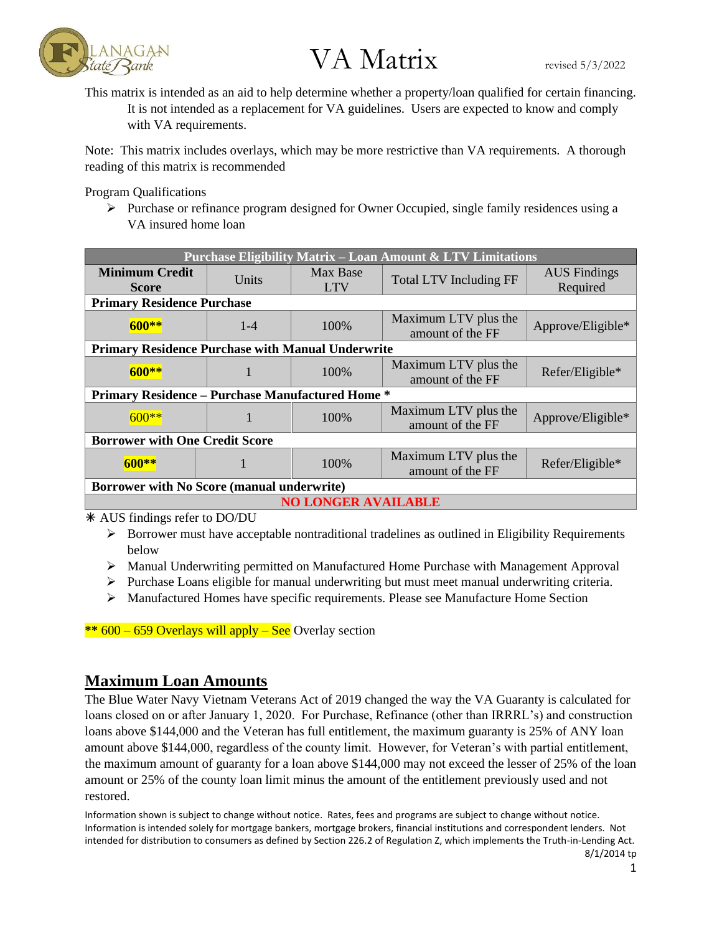

This matrix is intended as an aid to help determine whether a property/loan qualified for certain financing. It is not intended as a replacement for VA guidelines. Users are expected to know and comply with VA requirements.

Note: This matrix includes overlays, which may be more restrictive than VA requirements. A thorough reading of this matrix is recommended

Program Qualifications

 $\triangleright$  Purchase or refinance program designed for Owner Occupied, single family residences using a VA insured home loan

| <b>Purchase Eligibility Matrix - Loan Amount &amp; LTV Limitations</b> |         |                        |                                          |                                 |
|------------------------------------------------------------------------|---------|------------------------|------------------------------------------|---------------------------------|
| <b>Minimum Credit</b><br><b>Score</b>                                  | Units   | Max Base<br><b>LTV</b> | <b>Total LTV Including FF</b>            | <b>AUS</b> Findings<br>Required |
| <b>Primary Residence Purchase</b>                                      |         |                        |                                          |                                 |
| $600**$                                                                | $1 - 4$ | 100%                   | Maximum LTV plus the<br>amount of the FF | Approve/Eligible*               |
| <b>Primary Residence Purchase with Manual Underwrite</b>               |         |                        |                                          |                                 |
| $600**$                                                                |         | 100%                   | Maximum LTV plus the<br>amount of the FF | Refer/Eligible*                 |
| <b>Primary Residence – Purchase Manufactured Home *</b>                |         |                        |                                          |                                 |
| $600**$                                                                |         | 100\%                  | Maximum LTV plus the<br>amount of the FF | Approve/Eligible*               |
| <b>Borrower with One Credit Score</b>                                  |         |                        |                                          |                                 |
| $600**$                                                                |         | 100%                   | Maximum LTV plus the<br>amount of the FF | Refer/Eligible*                 |
| Borrower with No Score (manual underwrite)                             |         |                        |                                          |                                 |
| <b>NO LONGER AVAILABLE</b>                                             |         |                        |                                          |                                 |

AUS findings refer to DO/DU

- $\triangleright$  Borrower must have acceptable nontraditional tradelines as outlined in Eligibility Requirements below
- ➢ Manual Underwriting permitted on Manufactured Home Purchase with Management Approval
- $\triangleright$  Purchase Loans eligible for manual underwriting but must meet manual underwriting criteria.
- $\triangleright$  Manufactured Homes have specific requirements. Please see Manufacture Home Section

**\*\*** 600 – 659 Overlays will apply – See Overlay section

### **Maximum Loan Amounts**

The Blue Water Navy Vietnam Veterans Act of 2019 changed the way the VA Guaranty is calculated for loans closed on or after January 1, 2020. For Purchase, Refinance (other than IRRRL's) and construction loans above \$144,000 and the Veteran has full entitlement, the maximum guaranty is 25% of ANY loan amount above \$144,000, regardless of the county limit. However, for Veteran's with partial entitlement, the maximum amount of guaranty for a loan above \$144,000 may not exceed the lesser of 25% of the loan amount or 25% of the county loan limit minus the amount of the entitlement previously used and not restored.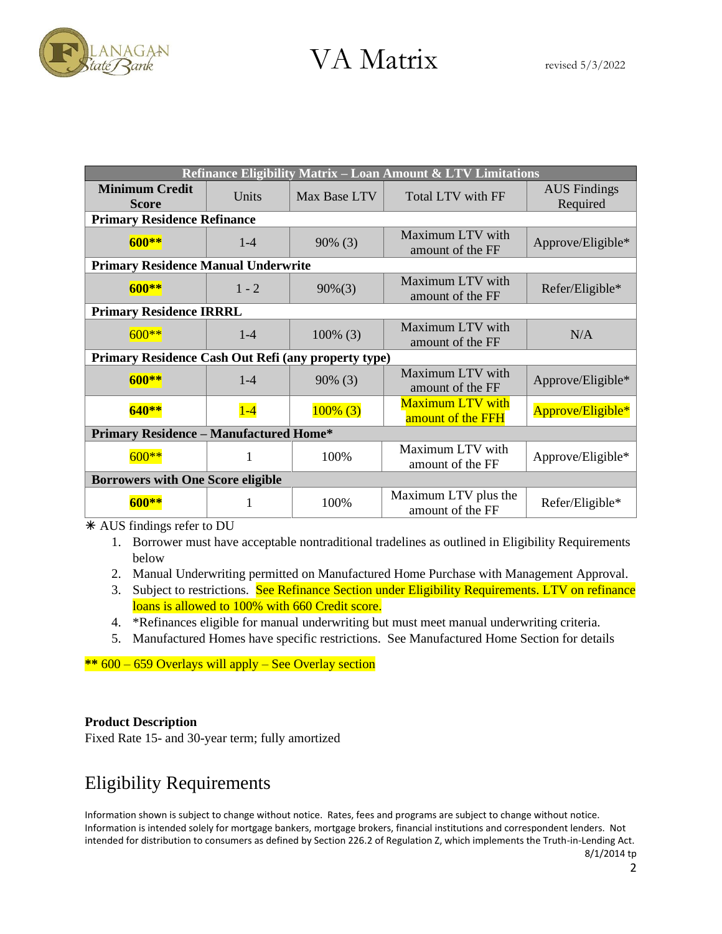

| <b>Refinance Eligibility Matrix – Loan Amount &amp; LTV Limitations</b> |         |              |                                              |                                 |
|-------------------------------------------------------------------------|---------|--------------|----------------------------------------------|---------------------------------|
| <b>Minimum Credit</b><br><b>Score</b>                                   | Units   | Max Base LTV | Total LTV with FF                            | <b>AUS</b> Findings<br>Required |
| <b>Primary Residence Refinance</b>                                      |         |              |                                              |                                 |
| $600**$                                                                 | $1 - 4$ | $90\%$ (3)   | Maximum LTV with<br>amount of the FF         | Approve/Eligible*               |
| <b>Primary Residence Manual Underwrite</b>                              |         |              |                                              |                                 |
| $600**$                                                                 | $1 - 2$ | $90\%(3)$    | Maximum LTV with<br>amount of the FF         | Refer/Eligible*                 |
| <b>Primary Residence IRRRL</b>                                          |         |              |                                              |                                 |
| $600**$                                                                 | $1 - 4$ | $100\%$ (3)  | Maximum LTV with<br>amount of the FF         | N/A                             |
| Primary Residence Cash Out Refi (any property type)                     |         |              |                                              |                                 |
| $600**$                                                                 | $1 - 4$ | $90\%$ (3)   | Maximum LTV with<br>amount of the FF         | Approve/Eligible*               |
| $640**$                                                                 | $1-4$   | $100\%$ (3)  | <b>Maximum LTV with</b><br>amount of the FFH | Approve/Eligible*               |
| <b>Primary Residence - Manufactured Home*</b>                           |         |              |                                              |                                 |
| $600**$                                                                 | 1       | 100%         | Maximum LTV with<br>amount of the FF         | Approve/Eligible*               |
| <b>Borrowers with One Score eligible</b>                                |         |              |                                              |                                 |
|                                                                         | 1       | 100%         | Maximum LTV plus the<br>amount of the FF     | Refer/Eligible*                 |

AUS findings refer to DU

- 1. Borrower must have acceptable nontraditional tradelines as outlined in Eligibility Requirements below
- 2. Manual Underwriting permitted on Manufactured Home Purchase with Management Approval.
- 3. Subject to restrictions. See Refinance Section under Eligibility Requirements. LTV on refinance loans is allowed to 100% with 660 Credit score.
- 4. \*Refinances eligible for manual underwriting but must meet manual underwriting criteria.
- 5. Manufactured Homes have specific restrictions. See Manufactured Home Section for details

**\*\*** 600 – 659 Overlays will apply – See Overlay section

### **Product Description**

Fixed Rate 15- and 30-year term; fully amortized

### Eligibility Requirements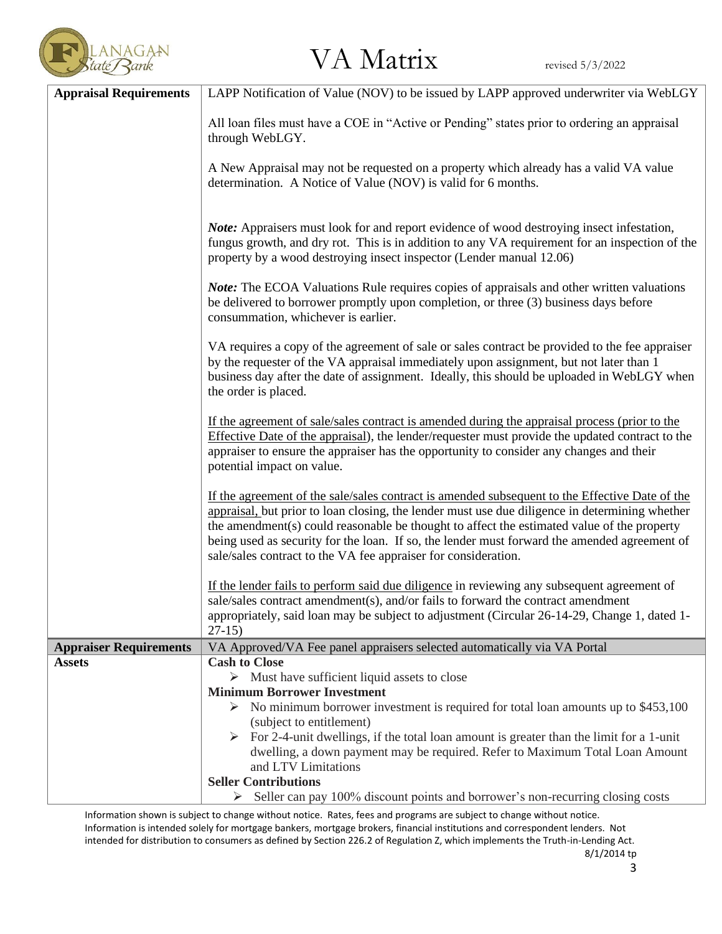

| <b>Appraisal Requirements</b> | LAPP Notification of Value (NOV) to be issued by LAPP approved underwriter via WebLGY                                                                                                                                                                                                                                                                                                                                                                                                                                                                                                                                                                                                                                                                                                                                                                                                       |  |  |
|-------------------------------|---------------------------------------------------------------------------------------------------------------------------------------------------------------------------------------------------------------------------------------------------------------------------------------------------------------------------------------------------------------------------------------------------------------------------------------------------------------------------------------------------------------------------------------------------------------------------------------------------------------------------------------------------------------------------------------------------------------------------------------------------------------------------------------------------------------------------------------------------------------------------------------------|--|--|
|                               | All loan files must have a COE in "Active or Pending" states prior to ordering an appraisal<br>through WebLGY.                                                                                                                                                                                                                                                                                                                                                                                                                                                                                                                                                                                                                                                                                                                                                                              |  |  |
|                               | A New Appraisal may not be requested on a property which already has a valid VA value<br>determination. A Notice of Value (NOV) is valid for 6 months.                                                                                                                                                                                                                                                                                                                                                                                                                                                                                                                                                                                                                                                                                                                                      |  |  |
|                               | <b>Note:</b> Appraisers must look for and report evidence of wood destroying insect infestation,<br>fungus growth, and dry rot. This is in addition to any VA requirement for an inspection of the<br>property by a wood destroying insect inspector (Lender manual 12.06)                                                                                                                                                                                                                                                                                                                                                                                                                                                                                                                                                                                                                  |  |  |
|                               | <b>Note:</b> The ECOA Valuations Rule requires copies of appraisals and other written valuations<br>be delivered to borrower promptly upon completion, or three (3) business days before<br>consummation, whichever is earlier.                                                                                                                                                                                                                                                                                                                                                                                                                                                                                                                                                                                                                                                             |  |  |
|                               | VA requires a copy of the agreement of sale or sales contract be provided to the fee appraiser<br>by the requester of the VA appraisal immediately upon assignment, but not later than 1<br>business day after the date of assignment. Ideally, this should be uploaded in WebLGY when<br>the order is placed.                                                                                                                                                                                                                                                                                                                                                                                                                                                                                                                                                                              |  |  |
|                               | If the agreement of sale/sales contract is amended during the appraisal process (prior to the<br>Effective Date of the appraisal), the lender/requester must provide the updated contract to the<br>appraiser to ensure the appraiser has the opportunity to consider any changes and their<br>potential impact on value.<br>If the agreement of the sale/sales contract is amended subsequent to the Effective Date of the<br>appraisal, but prior to loan closing, the lender must use due diligence in determining whether<br>the amendment(s) could reasonable be thought to affect the estimated value of the property<br>being used as security for the loan. If so, the lender must forward the amended agreement of<br>sale/sales contract to the VA fee appraiser for consideration.<br>If the lender fails to perform said due diligence in reviewing any subsequent agreement of |  |  |
|                               |                                                                                                                                                                                                                                                                                                                                                                                                                                                                                                                                                                                                                                                                                                                                                                                                                                                                                             |  |  |
|                               |                                                                                                                                                                                                                                                                                                                                                                                                                                                                                                                                                                                                                                                                                                                                                                                                                                                                                             |  |  |
|                               | sale/sales contract amendment(s), and/or fails to forward the contract amendment                                                                                                                                                                                                                                                                                                                                                                                                                                                                                                                                                                                                                                                                                                                                                                                                            |  |  |
|                               | appropriately, said loan may be subject to adjustment (Circular 26-14-29, Change 1, dated 1-<br>$27-15$                                                                                                                                                                                                                                                                                                                                                                                                                                                                                                                                                                                                                                                                                                                                                                                     |  |  |
| <b>Appraiser Requirements</b> | VA Approved/VA Fee panel appraisers selected automatically via VA Portal                                                                                                                                                                                                                                                                                                                                                                                                                                                                                                                                                                                                                                                                                                                                                                                                                    |  |  |
| <b>Assets</b>                 | <b>Cash to Close</b>                                                                                                                                                                                                                                                                                                                                                                                                                                                                                                                                                                                                                                                                                                                                                                                                                                                                        |  |  |
|                               | $\triangleright$ Must have sufficient liquid assets to close<br><b>Minimum Borrower Investment</b>                                                                                                                                                                                                                                                                                                                                                                                                                                                                                                                                                                                                                                                                                                                                                                                          |  |  |
|                               | No minimum borrower investment is required for total loan amounts up to \$453,100                                                                                                                                                                                                                                                                                                                                                                                                                                                                                                                                                                                                                                                                                                                                                                                                           |  |  |
|                               | (subject to entitlement)                                                                                                                                                                                                                                                                                                                                                                                                                                                                                                                                                                                                                                                                                                                                                                                                                                                                    |  |  |
|                               | $\triangleright$ For 2-4-unit dwellings, if the total loan amount is greater than the limit for a 1-unit                                                                                                                                                                                                                                                                                                                                                                                                                                                                                                                                                                                                                                                                                                                                                                                    |  |  |
|                               | dwelling, a down payment may be required. Refer to Maximum Total Loan Amount<br>and LTV Limitations                                                                                                                                                                                                                                                                                                                                                                                                                                                                                                                                                                                                                                                                                                                                                                                         |  |  |
|                               | <b>Seller Contributions</b>                                                                                                                                                                                                                                                                                                                                                                                                                                                                                                                                                                                                                                                                                                                                                                                                                                                                 |  |  |
|                               | $\triangleright$ Seller can pay 100% discount points and borrower's non-recurring closing costs                                                                                                                                                                                                                                                                                                                                                                                                                                                                                                                                                                                                                                                                                                                                                                                             |  |  |

Information shown is subject to change without notice. Rates, fees and programs are subject to change without notice. Information is intended solely for mortgage bankers, mortgage brokers, financial institutions and correspondent lenders. Not intended for distribution to consumers as defined by Section 226.2 of Regulation Z, which implements the Truth-in-Lending Act. 8/1/2014 tp

3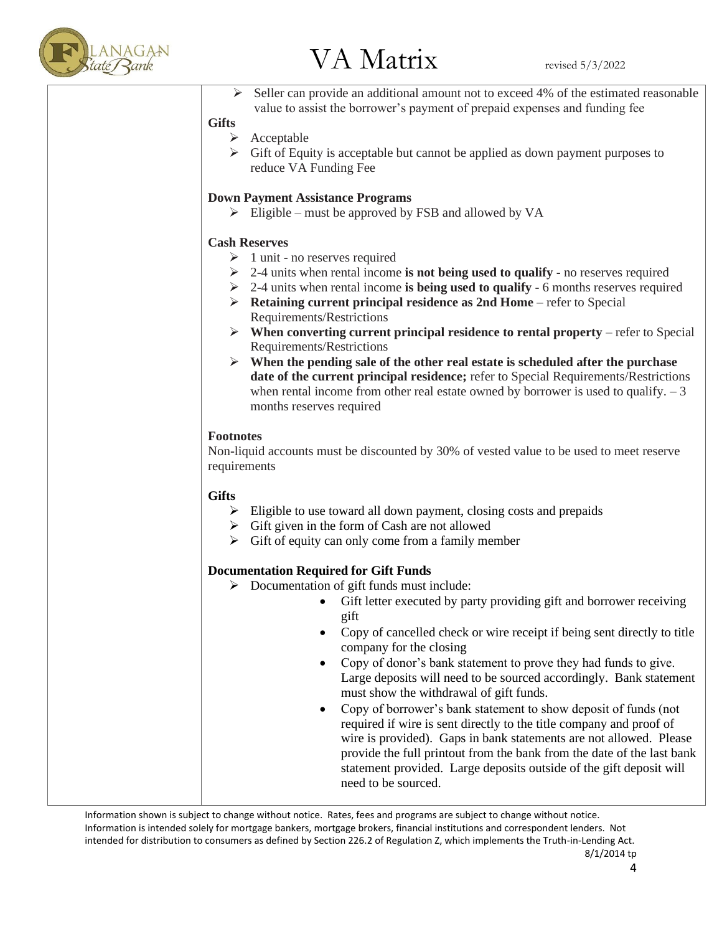

Seller can provide an additional amount not to exceed 4% of the estimated reasonable value to assist the borrower's payment of prepaid expenses and funding fee

### **Gifts**

- ➢ Acceptable
- ➢ Gift of Equity is acceptable but cannot be applied as down payment purposes to reduce VA Funding Fee

### **Down Payment Assistance Programs**

 $\triangleright$  Eligible – must be approved by FSB and allowed by VA

### **Cash Reserves**

- $\geq 1$  unit no reserves required
- ➢ 2-4 units when rental income **is not being used to qualify -** no reserves required
- ➢ 2-4 units when rental income **is being used to qualify**  6 months reserves required
- ➢ **Retaining current principal residence as 2nd Home**  refer to Special Requirements/Restrictions
- ➢ **When converting current principal residence to rental property**  refer to Special Requirements/Restrictions
- ➢ **When the pending sale of the other real estate is scheduled after the purchase date of the current principal residence;** refer to Special Requirements/Restrictions when rental income from other real estate owned by borrower is used to qualify.  $-3$ months reserves required

### **Footnotes**

Non-liquid accounts must be discounted by 30% of vested value to be used to meet reserve requirements

### **Gifts**

- ➢ Eligible to use toward all down payment, closing costs and prepaids
- $\triangleright$  Gift given in the form of Cash are not allowed
- $\triangleright$  Gift of equity can only come from a family member

### **Documentation Required for Gift Funds**

- ➢ Documentation of gift funds must include:
	- Gift letter executed by party providing gift and borrower receiving gift
	- Copy of cancelled check or wire receipt if being sent directly to title company for the closing
	- Copy of donor's bank statement to prove they had funds to give. Large deposits will need to be sourced accordingly. Bank statement must show the withdrawal of gift funds.
	- Copy of borrower's bank statement to show deposit of funds (not required if wire is sent directly to the title company and proof of wire is provided). Gaps in bank statements are not allowed. Please provide the full printout from the bank from the date of the last bank statement provided. Large deposits outside of the gift deposit will need to be sourced.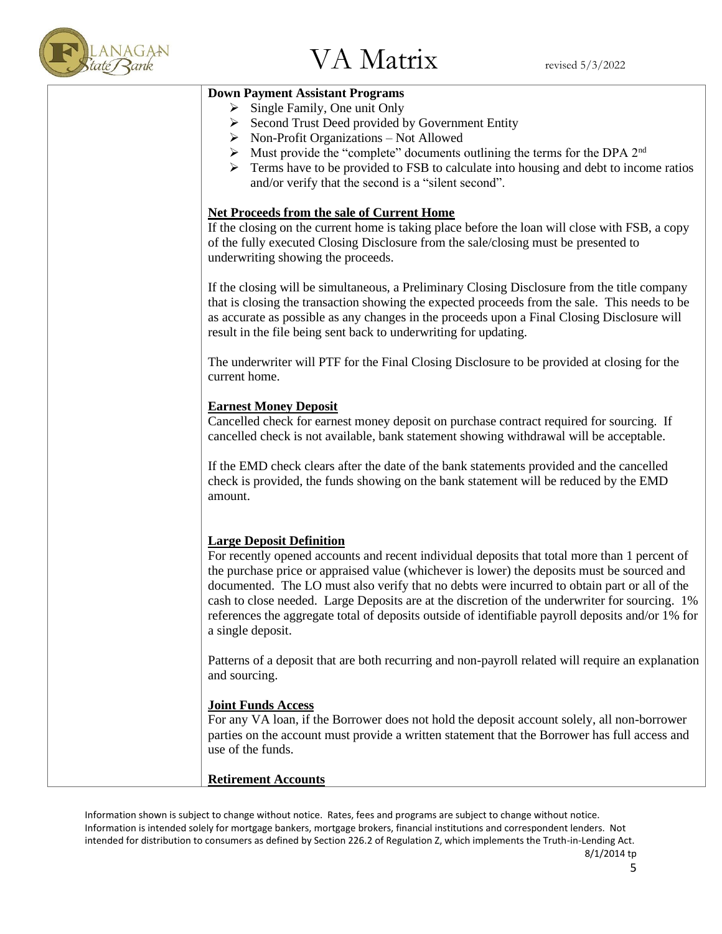

| <b>Down Payment Assistant Programs</b>                                                                                               |
|--------------------------------------------------------------------------------------------------------------------------------------|
| $\triangleright$ Single Family, One unit Only                                                                                        |
| > Second Trust Deed provided by Government Entity                                                                                    |
| Non-Profit Organizations – Not Allowed<br>➤<br>Must provide the "complete" documents outlining the terms for the DPA 2 <sup>nd</sup> |
| ➤<br>Terms have to be provided to FSB to calculate into housing and debt to income ratios<br>➤                                       |
| and/or verify that the second is a "silent second".                                                                                  |
|                                                                                                                                      |
| <b>Net Proceeds from the sale of Current Home</b>                                                                                    |
| If the closing on the current home is taking place before the loan will close with FSB, a copy                                       |
| of the fully executed Closing Disclosure from the sale/closing must be presented to                                                  |
| underwriting showing the proceeds.                                                                                                   |
|                                                                                                                                      |
| If the closing will be simultaneous, a Preliminary Closing Disclosure from the title company                                         |
| that is closing the transaction showing the expected proceeds from the sale. This needs to be                                        |
| as accurate as possible as any changes in the proceeds upon a Final Closing Disclosure will                                          |
| result in the file being sent back to underwriting for updating.                                                                     |
| The underwriter will PTF for the Final Closing Disclosure to be provided at closing for the                                          |
| current home.                                                                                                                        |
|                                                                                                                                      |
| <b>Earnest Money Deposit</b>                                                                                                         |
| Cancelled check for earnest money deposit on purchase contract required for sourcing. If                                             |
| cancelled check is not available, bank statement showing withdrawal will be acceptable.                                              |
|                                                                                                                                      |
| If the EMD check clears after the date of the bank statements provided and the cancelled                                             |
| check is provided, the funds showing on the bank statement will be reduced by the EMD                                                |
| amount.                                                                                                                              |
|                                                                                                                                      |
| <b>Large Deposit Definition</b>                                                                                                      |
| For recently opened accounts and recent individual deposits that total more than 1 percent of                                        |
| the purchase price or appraised value (whichever is lower) the deposits must be sourced and                                          |
| documented. The LO must also verify that no debts were incurred to obtain part or all of the                                         |
| cash to close needed. Large Deposits are at the discretion of the underwriter for sourcing. 1%                                       |
| references the aggregate total of deposits outside of identifiable payroll deposits and/or 1% for                                    |
| a single deposit.                                                                                                                    |
|                                                                                                                                      |
| Patterns of a deposit that are both recurring and non-payroll related will require an explanation                                    |
| and sourcing.                                                                                                                        |
| <b>Joint Funds Access</b>                                                                                                            |
| For any VA loan, if the Borrower does not hold the deposit account solely, all non-borrower                                          |
| parties on the account must provide a written statement that the Borrower has full access and                                        |
| use of the funds.                                                                                                                    |
|                                                                                                                                      |
| <b>Retirement Accounts</b>                                                                                                           |
|                                                                                                                                      |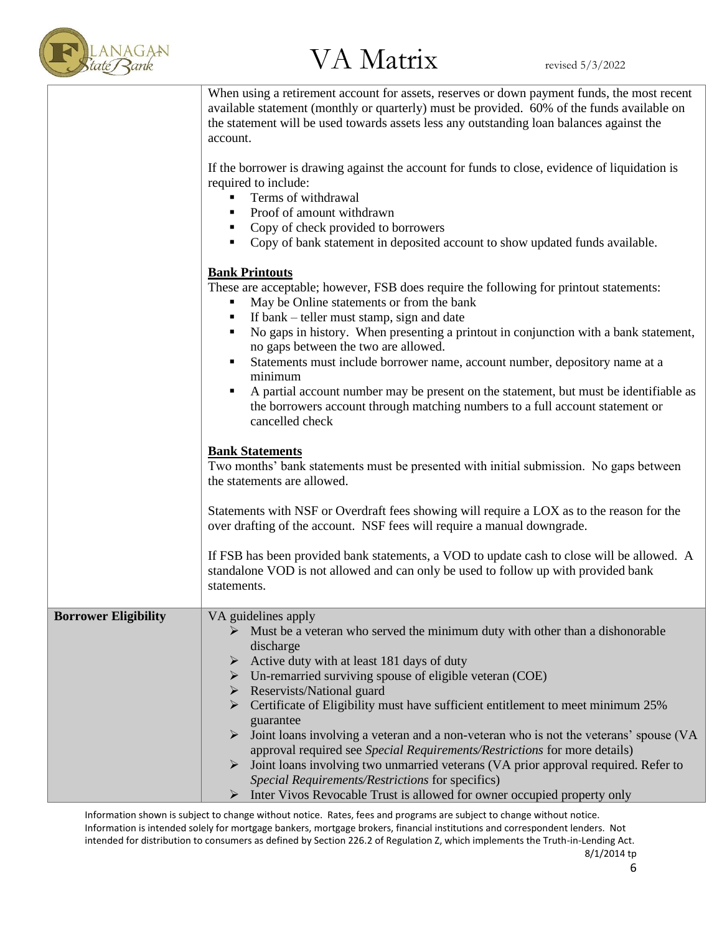

# LANAGAN<br>tate Rank  $VA$  Matrix revised 5/3/2022

|                             | When using a retirement account for assets, reserves or down payment funds, the most recent<br>available statement (monthly or quarterly) must be provided. 60% of the funds available on<br>the statement will be used towards assets less any outstanding loan balances against the<br>account.                                                                                                                                                                                                                                                                                                                                                                                                                                                                                                                                                |
|-----------------------------|--------------------------------------------------------------------------------------------------------------------------------------------------------------------------------------------------------------------------------------------------------------------------------------------------------------------------------------------------------------------------------------------------------------------------------------------------------------------------------------------------------------------------------------------------------------------------------------------------------------------------------------------------------------------------------------------------------------------------------------------------------------------------------------------------------------------------------------------------|
|                             | If the borrower is drawing against the account for funds to close, evidence of liquidation is<br>required to include:<br>Terms of withdrawal<br>٠<br>Proof of amount withdrawn<br>٠<br>Copy of check provided to borrowers<br>٠<br>Copy of bank statement in deposited account to show updated funds available.<br>٠                                                                                                                                                                                                                                                                                                                                                                                                                                                                                                                             |
|                             | <b>Bank Printouts</b><br>These are acceptable; however, FSB does require the following for printout statements:<br>May be Online statements or from the bank<br>٠<br>If bank – teller must stamp, sign and date<br>No gaps in history. When presenting a printout in conjunction with a bank statement,<br>٠<br>no gaps between the two are allowed.<br>Statements must include borrower name, account number, depository name at a<br>٠<br>minimum<br>A partial account number may be present on the statement, but must be identifiable as<br>٠<br>the borrowers account through matching numbers to a full account statement or<br>cancelled check                                                                                                                                                                                            |
|                             | <b>Bank Statements</b><br>Two months' bank statements must be presented with initial submission. No gaps between<br>the statements are allowed.<br>Statements with NSF or Overdraft fees showing will require a LOX as to the reason for the<br>over drafting of the account. NSF fees will require a manual downgrade.                                                                                                                                                                                                                                                                                                                                                                                                                                                                                                                          |
|                             | If FSB has been provided bank statements, a VOD to update cash to close will be allowed. A<br>standalone VOD is not allowed and can only be used to follow up with provided bank<br>statements.                                                                                                                                                                                                                                                                                                                                                                                                                                                                                                                                                                                                                                                  |
| <b>Borrower Eligibility</b> | VA guidelines apply<br>$\triangleright$ Must be a veteran who served the minimum duty with other than a dishonorable<br>discharge<br>$\triangleright$ Active duty with at least 181 days of duty<br>$\triangleright$ Un-remarried surviving spouse of eligible veteran (COE)<br>Reservists/National guard<br>➤<br>$\triangleright$ Certificate of Eligibility must have sufficient entitlement to meet minimum 25%<br>guarantee<br>Joint loans involving a veteran and a non-veteran who is not the veterans' spouse (VA<br>approval required see Special Requirements/Restrictions for more details)<br>$\triangleright$ Joint loans involving two unmarried veterans (VA prior approval required. Refer to<br>Special Requirements/Restrictions for specifics)<br>Inter Vivos Revocable Trust is allowed for owner occupied property only<br>➤ |

Information shown is subject to change without notice. Rates, fees and programs are subject to change without notice. Information is intended solely for mortgage bankers, mortgage brokers, financial institutions and correspondent lenders. Not intended for distribution to consumers as defined by Section 226.2 of Regulation Z, which implements the Truth-in-Lending Act. 8/1/2014 tp

6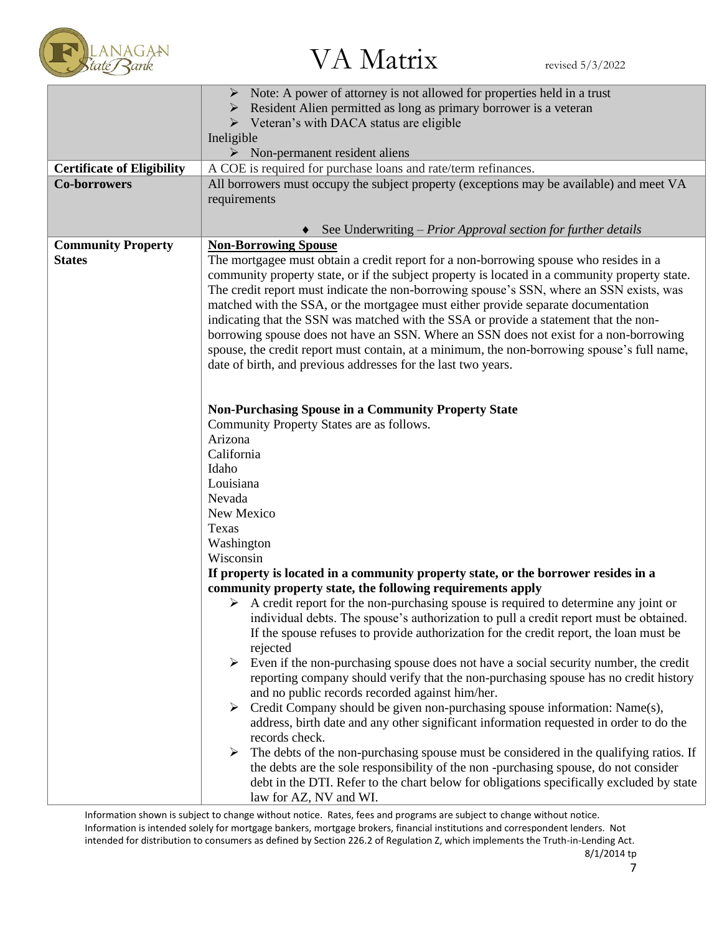

# $N_{\text{AGAN}}$ <br>Analyzink revised 5/3/2022

|                                   | Note: A power of attorney is not allowed for properties held in a trust                              |  |  |
|-----------------------------------|------------------------------------------------------------------------------------------------------|--|--|
|                                   | Resident Alien permitted as long as primary borrower is a veteran                                    |  |  |
|                                   | $\triangleright$ Veteran's with DACA status are eligible                                             |  |  |
|                                   | Ineligible                                                                                           |  |  |
|                                   | $\triangleright$ Non-permanent resident aliens                                                       |  |  |
| <b>Certificate of Eligibility</b> | A COE is required for purchase loans and rate/term refinances.                                       |  |  |
| <b>Co-borrowers</b>               | All borrowers must occupy the subject property (exceptions may be available) and meet VA             |  |  |
|                                   | requirements                                                                                         |  |  |
|                                   |                                                                                                      |  |  |
|                                   | See Underwriting – Prior Approval section for further details                                        |  |  |
| <b>Community Property</b>         | <b>Non-Borrowing Spouse</b>                                                                          |  |  |
| <b>States</b>                     | The mortgagee must obtain a credit report for a non-borrowing spouse who resides in a                |  |  |
|                                   | community property state, or if the subject property is located in a community property state.       |  |  |
|                                   | The credit report must indicate the non-borrowing spouse's SSN, where an SSN exists, was             |  |  |
|                                   | matched with the SSA, or the mortgagee must either provide separate documentation                    |  |  |
|                                   | indicating that the SSN was matched with the SSA or provide a statement that the non-                |  |  |
|                                   | borrowing spouse does not have an SSN. Where an SSN does not exist for a non-borrowing               |  |  |
|                                   | spouse, the credit report must contain, at a minimum, the non-borrowing spouse's full name,          |  |  |
|                                   | date of birth, and previous addresses for the last two years.                                        |  |  |
|                                   |                                                                                                      |  |  |
|                                   |                                                                                                      |  |  |
|                                   | <b>Non-Purchasing Spouse in a Community Property State</b>                                           |  |  |
|                                   | Community Property States are as follows.                                                            |  |  |
|                                   | Arizona                                                                                              |  |  |
|                                   | California                                                                                           |  |  |
|                                   | Idaho                                                                                                |  |  |
|                                   | Louisiana                                                                                            |  |  |
|                                   | Nevada                                                                                               |  |  |
|                                   | New Mexico                                                                                           |  |  |
|                                   | Texas                                                                                                |  |  |
|                                   | Washington                                                                                           |  |  |
|                                   | Wisconsin                                                                                            |  |  |
|                                   | If property is located in a community property state, or the borrower resides in a                   |  |  |
|                                   | community property state, the following requirements apply                                           |  |  |
|                                   | $\triangleright$ A credit report for the non-purchasing spouse is required to determine any joint or |  |  |
|                                   | individual debts. The spouse's authorization to pull a credit report must be obtained.               |  |  |
|                                   | If the spouse refuses to provide authorization for the credit report, the loan must be               |  |  |
|                                   |                                                                                                      |  |  |
|                                   | rejected                                                                                             |  |  |
|                                   | Even if the non-purchasing spouse does not have a social security number, the credit<br>➤            |  |  |
|                                   | reporting company should verify that the non-purchasing spouse has no credit history                 |  |  |
|                                   | and no public records recorded against him/her.                                                      |  |  |
|                                   | $\triangleright$ Credit Company should be given non-purchasing spouse information: Name(s),          |  |  |
|                                   | address, birth date and any other significant information requested in order to do the               |  |  |
|                                   | records check.                                                                                       |  |  |
|                                   | The debts of the non-purchasing spouse must be considered in the qualifying ratios. If               |  |  |
|                                   | the debts are the sole responsibility of the non-purchasing spouse, do not consider                  |  |  |
|                                   | debt in the DTI. Refer to the chart below for obligations specifically excluded by state             |  |  |
|                                   | law for AZ, NV and WI.                                                                               |  |  |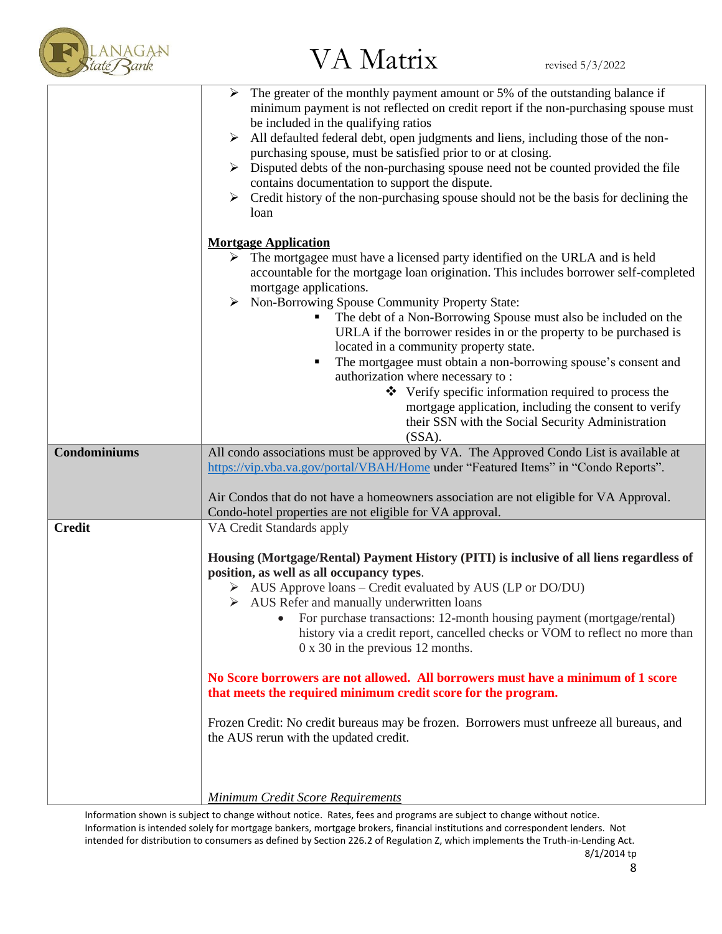

### $V_A$  Matrix revised 5/3/2022<br>de Rank

|                     | $\triangleright$ The greater of the monthly payment amount or 5% of the outstanding balance if<br>minimum payment is not reflected on credit report if the non-purchasing spouse must<br>be included in the qualifying ratios<br>All defaulted federal debt, open judgments and liens, including those of the non-<br>➤<br>purchasing spouse, must be satisfied prior to or at closing.<br>Disputed debts of the non-purchasing spouse need not be counted provided the file<br>contains documentation to support the dispute.<br>$\triangleright$ Credit history of the non-purchasing spouse should not be the basis for declining the<br>loan                                                                                          |
|---------------------|-------------------------------------------------------------------------------------------------------------------------------------------------------------------------------------------------------------------------------------------------------------------------------------------------------------------------------------------------------------------------------------------------------------------------------------------------------------------------------------------------------------------------------------------------------------------------------------------------------------------------------------------------------------------------------------------------------------------------------------------|
|                     | <b>Mortgage Application</b>                                                                                                                                                                                                                                                                                                                                                                                                                                                                                                                                                                                                                                                                                                               |
|                     | The mortgagee must have a licensed party identified on the URLA and is held<br>➤<br>accountable for the mortgage loan origination. This includes borrower self-completed<br>mortgage applications.<br>> Non-Borrowing Spouse Community Property State:<br>The debt of a Non-Borrowing Spouse must also be included on the<br>URLA if the borrower resides in or the property to be purchased is<br>located in a community property state.<br>The mortgagee must obtain a non-borrowing spouse's consent and<br>٠<br>authorization where necessary to:<br>❖ Verify specific information required to process the<br>mortgage application, including the consent to verify<br>their SSN with the Social Security Administration<br>$(SSA)$ . |
| <b>Condominiums</b> | All condo associations must be approved by VA. The Approved Condo List is available at                                                                                                                                                                                                                                                                                                                                                                                                                                                                                                                                                                                                                                                    |
|                     | https://vip.vba.va.gov/portal/VBAH/Home under "Featured Items" in "Condo Reports".                                                                                                                                                                                                                                                                                                                                                                                                                                                                                                                                                                                                                                                        |
|                     | Air Condos that do not have a homeowners association are not eligible for VA Approval.                                                                                                                                                                                                                                                                                                                                                                                                                                                                                                                                                                                                                                                    |
| <b>Credit</b>       | Condo-hotel properties are not eligible for VA approval.<br>VA Credit Standards apply                                                                                                                                                                                                                                                                                                                                                                                                                                                                                                                                                                                                                                                     |
|                     | Housing (Mortgage/Rental) Payment History (PITI) is inclusive of all liens regardless of<br>position, as well as all occupancy types.<br>$\triangleright$ AUS Approve loans – Credit evaluated by AUS (LP or DO/DU)<br>$\triangleright$ AUS Refer and manually underwritten loans<br>• For purchase transactions: 12-month housing payment (mortgage/rental)<br>history via a credit report, cancelled checks or VOM to reflect no more than<br>$0 \times 30$ in the previous 12 months.                                                                                                                                                                                                                                                  |
|                     | No Score borrowers are not allowed. All borrowers must have a minimum of 1 score<br>that meets the required minimum credit score for the program.                                                                                                                                                                                                                                                                                                                                                                                                                                                                                                                                                                                         |
|                     | Frozen Credit: No credit bureaus may be frozen. Borrowers must unfreeze all bureaus, and<br>the AUS rerun with the updated credit.                                                                                                                                                                                                                                                                                                                                                                                                                                                                                                                                                                                                        |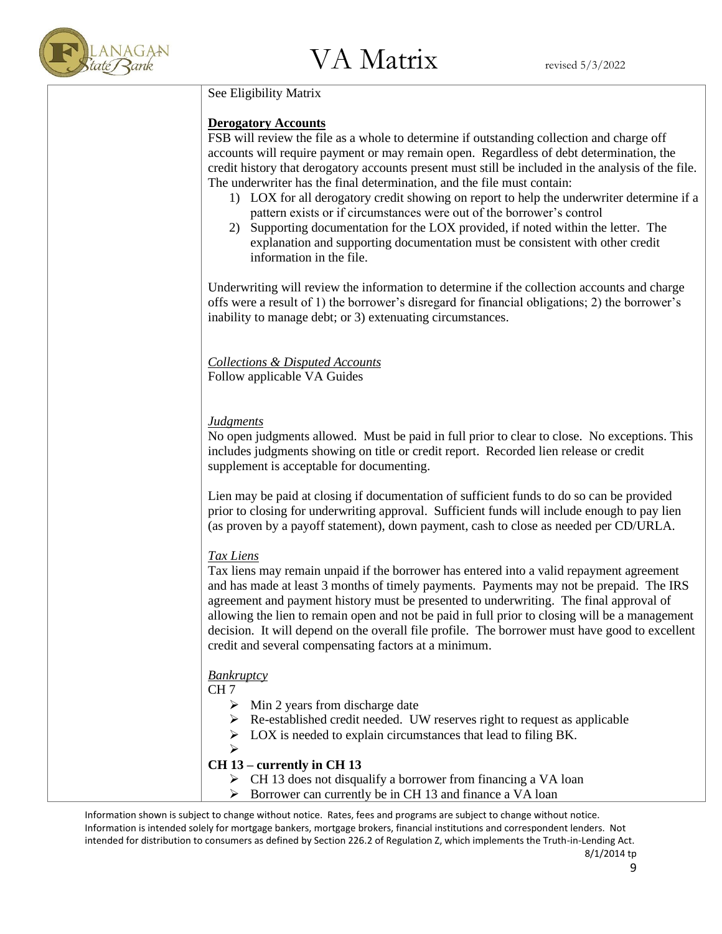

### See Eligibility Matrix

### **Derogatory Accounts**

FSB will review the file as a whole to determine if outstanding collection and charge off accounts will require payment or may remain open. Regardless of debt determination, the credit history that derogatory accounts present must still be included in the analysis of the file. The underwriter has the final determination, and the file must contain:

- 1) LOX for all derogatory credit showing on report to help the underwriter determine if a pattern exists or if circumstances were out of the borrower's control
- 2) Supporting documentation for the LOX provided, if noted within the letter. The explanation and supporting documentation must be consistent with other credit information in the file.

Underwriting will review the information to determine if the collection accounts and charge offs were a result of 1) the borrower's disregard for financial obligations; 2) the borrower's inability to manage debt; or 3) extenuating circumstances.

*Collections & Disputed Accounts* Follow applicable VA Guides

### *Judgments*

No open judgments allowed. Must be paid in full prior to clear to close. No exceptions. This includes judgments showing on title or credit report. Recorded lien release or credit supplement is acceptable for documenting.

Lien may be paid at closing if documentation of sufficient funds to do so can be provided prior to closing for underwriting approval. Sufficient funds will include enough to pay lien (as proven by a payoff statement), down payment, cash to close as needed per CD/URLA.

### *Tax Liens*

Tax liens may remain unpaid if the borrower has entered into a valid repayment agreement and has made at least 3 months of timely payments. Payments may not be prepaid. The IRS agreement and payment history must be presented to underwriting. The final approval of allowing the lien to remain open and not be paid in full prior to closing will be a management decision. It will depend on the overall file profile. The borrower must have good to excellent credit and several compensating factors at a minimum.

### *Bankruptcy*

### CH 7

- $\triangleright$  Min 2 years from discharge date
- ➢ Re-established credit needed. UW reserves right to request as applicable
- $\triangleright$  LOX is needed to explain circumstances that lead to filing BK.
- ➢

### **CH 13 – currently in CH 13**

- ➢ CH 13 does not disqualify a borrower from financing a VA loan
- ➢ Borrower can currently be in CH 13 and finance a VA loan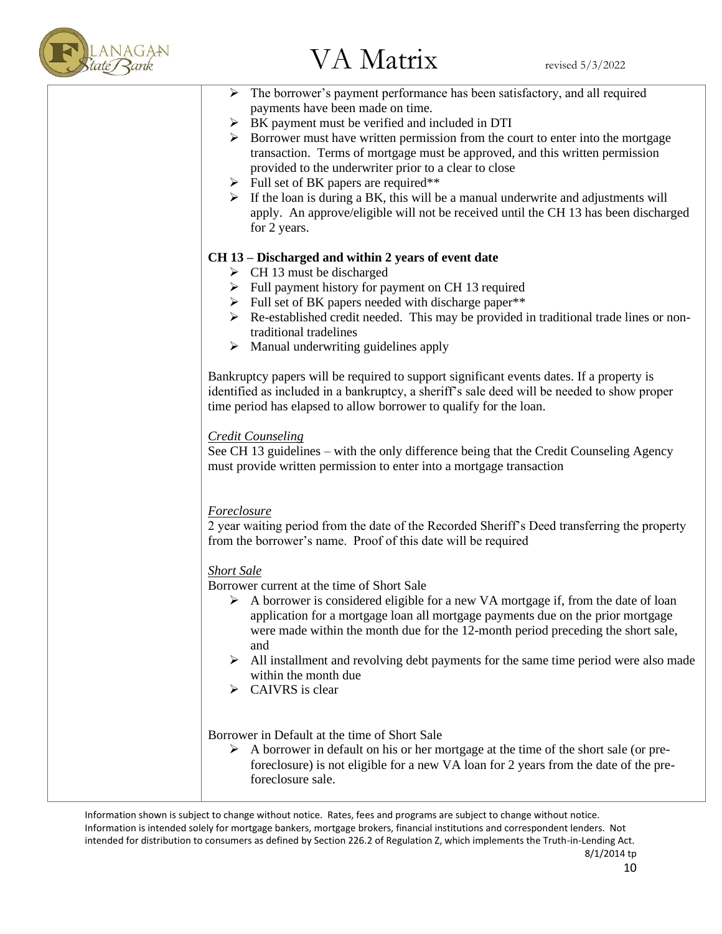

| $\triangleright$ The borrower's payment performance has been satisfactory, and all required                                                                                                                                                                                                                                    |
|--------------------------------------------------------------------------------------------------------------------------------------------------------------------------------------------------------------------------------------------------------------------------------------------------------------------------------|
| payments have been made on time.                                                                                                                                                                                                                                                                                               |
| $\triangleright$ BK payment must be verified and included in DTI                                                                                                                                                                                                                                                               |
| $\triangleright$ Borrower must have written permission from the court to enter into the mortgage<br>transaction. Terms of mortgage must be approved, and this written permission<br>provided to the underwriter prior to a clear to close                                                                                      |
| $\triangleright$ Full set of BK papers are required**                                                                                                                                                                                                                                                                          |
| $\triangleright$ If the loan is during a BK, this will be a manual underwrite and adjustments will<br>apply. An approve/eligible will not be received until the CH 13 has been discharged<br>for 2 years.                                                                                                                      |
| CH 13 – Discharged and within 2 years of event date                                                                                                                                                                                                                                                                            |
| $\triangleright$ CH 13 must be discharged                                                                                                                                                                                                                                                                                      |
| $\triangleright$ Full payment history for payment on CH 13 required                                                                                                                                                                                                                                                            |
| > Full set of BK papers needed with discharge paper**                                                                                                                                                                                                                                                                          |
| $\triangleright$ Re-established credit needed. This may be provided in traditional trade lines or non-<br>traditional tradelines                                                                                                                                                                                               |
| $\triangleright$ Manual underwriting guidelines apply                                                                                                                                                                                                                                                                          |
| Bankruptcy papers will be required to support significant events dates. If a property is<br>identified as included in a bankruptcy, a sheriff's sale deed will be needed to show proper<br>time period has elapsed to allow borrower to qualify for the loan.                                                                  |
|                                                                                                                                                                                                                                                                                                                                |
| <b>Credit Counseling</b><br>See CH 13 guidelines - with the only difference being that the Credit Counseling Agency<br>must provide written permission to enter into a mortgage transaction                                                                                                                                    |
|                                                                                                                                                                                                                                                                                                                                |
| <b>Foreclosure</b><br>2 year waiting period from the date of the Recorded Sheriff's Deed transferring the property<br>from the borrower's name. Proof of this date will be required                                                                                                                                            |
| <b>Short Sale</b>                                                                                                                                                                                                                                                                                                              |
| Borrower current at the time of Short Sale<br>$\triangleright$ A borrower is considered eligible for a new VA mortgage if, from the date of loan<br>application for a mortgage loan all mortgage payments due on the prior mortgage<br>were made within the month due for the 12-month period preceding the short sale,<br>and |
| All installment and revolving debt payments for the same time period were also made<br>➤<br>within the month due<br>CAIVRS is clear                                                                                                                                                                                            |
|                                                                                                                                                                                                                                                                                                                                |
| Borrower in Default at the time of Short Sale<br>$\triangleright$ A borrower in default on his or her mortgage at the time of the short sale (or pre-<br>foreclosure) is not eligible for a new VA loan for 2 years from the date of the pre-<br>foreclosure sale.                                                             |
|                                                                                                                                                                                                                                                                                                                                |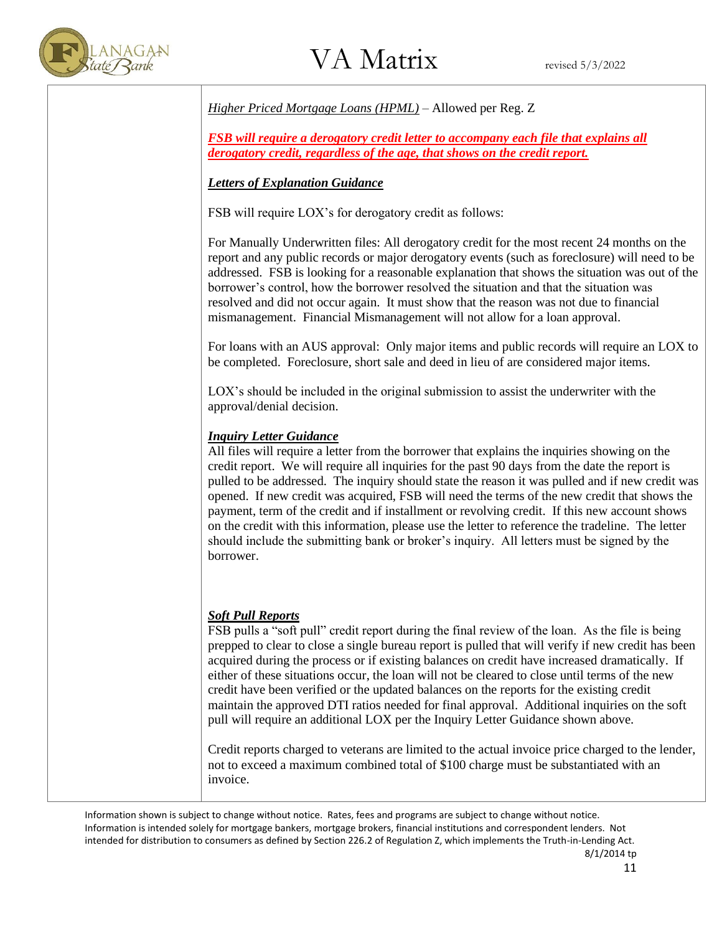

*Higher Priced Mortgage Loans (HPML)* – Allowed per Reg. Z

*FSB will require a derogatory credit letter to accompany each file that explains all derogatory credit, regardless of the age, that shows on the credit report.*

### *Letters of Explanation Guidance*

FSB will require LOX's for derogatory credit as follows:

For Manually Underwritten files: All derogatory credit for the most recent 24 months on the report and any public records or major derogatory events (such as foreclosure) will need to be addressed. FSB is looking for a reasonable explanation that shows the situation was out of the borrower's control, how the borrower resolved the situation and that the situation was resolved and did not occur again. It must show that the reason was not due to financial mismanagement. Financial Mismanagement will not allow for a loan approval.

For loans with an AUS approval: Only major items and public records will require an LOX to be completed. Foreclosure, short sale and deed in lieu of are considered major items.

LOX's should be included in the original submission to assist the underwriter with the approval/denial decision.

### *Inquiry Letter Guidance*

All files will require a letter from the borrower that explains the inquiries showing on the credit report. We will require all inquiries for the past 90 days from the date the report is pulled to be addressed. The inquiry should state the reason it was pulled and if new credit was opened. If new credit was acquired, FSB will need the terms of the new credit that shows the payment, term of the credit and if installment or revolving credit. If this new account shows on the credit with this information, please use the letter to reference the tradeline. The letter should include the submitting bank or broker's inquiry. All letters must be signed by the borrower.

### *Soft Pull Reports*

FSB pulls a "soft pull" credit report during the final review of the loan. As the file is being prepped to clear to close a single bureau report is pulled that will verify if new credit has been acquired during the process or if existing balances on credit have increased dramatically. If either of these situations occur, the loan will not be cleared to close until terms of the new credit have been verified or the updated balances on the reports for the existing credit maintain the approved DTI ratios needed for final approval. Additional inquiries on the soft pull will require an additional LOX per the Inquiry Letter Guidance shown above.

Credit reports charged to veterans are limited to the actual invoice price charged to the lender, not to exceed a maximum combined total of \$100 charge must be substantiated with an invoice.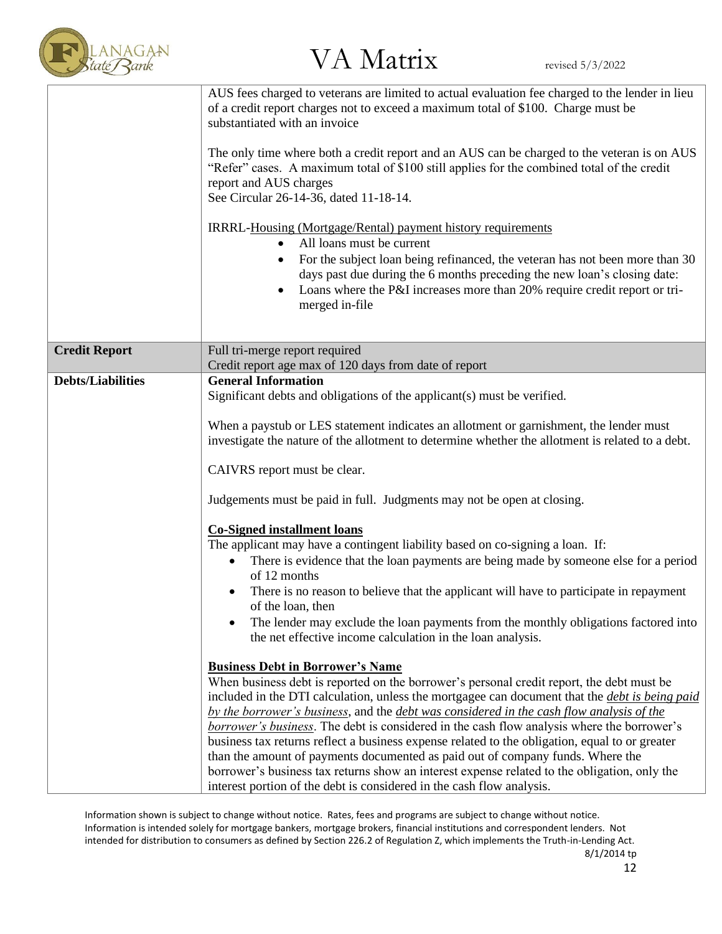

|                          | AUS fees charged to veterans are limited to actual evaluation fee charged to the lender in lieu<br>of a credit report charges not to exceed a maximum total of \$100. Charge must be<br>substantiated with an invoice<br>The only time where both a credit report and an AUS can be charged to the veteran is on AUS<br>"Refer" cases. A maximum total of \$100 still applies for the combined total of the credit<br>report and AUS charges<br>See Circular 26-14-36, dated 11-18-14.<br>IRRRL-Housing (Mortgage/Rental) payment history requirements<br>All loans must be current<br>$\bullet$<br>For the subject loan being refinanced, the veteran has not been more than 30<br>days past due during the 6 months preceding the new loan's closing date:<br>Loans where the P&I increases more than 20% require credit report or tri-<br>$\bullet$<br>merged in-file |
|--------------------------|--------------------------------------------------------------------------------------------------------------------------------------------------------------------------------------------------------------------------------------------------------------------------------------------------------------------------------------------------------------------------------------------------------------------------------------------------------------------------------------------------------------------------------------------------------------------------------------------------------------------------------------------------------------------------------------------------------------------------------------------------------------------------------------------------------------------------------------------------------------------------|
| <b>Credit Report</b>     | Full tri-merge report required<br>Credit report age max of 120 days from date of report                                                                                                                                                                                                                                                                                                                                                                                                                                                                                                                                                                                                                                                                                                                                                                                  |
| <b>Debts/Liabilities</b> | <b>General Information</b>                                                                                                                                                                                                                                                                                                                                                                                                                                                                                                                                                                                                                                                                                                                                                                                                                                               |
|                          | Significant debts and obligations of the applicant(s) must be verified.                                                                                                                                                                                                                                                                                                                                                                                                                                                                                                                                                                                                                                                                                                                                                                                                  |
|                          |                                                                                                                                                                                                                                                                                                                                                                                                                                                                                                                                                                                                                                                                                                                                                                                                                                                                          |
|                          | When a paystub or LES statement indicates an allotment or garnishment, the lender must<br>investigate the nature of the allotment to determine whether the allotment is related to a debt.                                                                                                                                                                                                                                                                                                                                                                                                                                                                                                                                                                                                                                                                               |
|                          | CAIVRS report must be clear.                                                                                                                                                                                                                                                                                                                                                                                                                                                                                                                                                                                                                                                                                                                                                                                                                                             |
|                          | Judgements must be paid in full. Judgments may not be open at closing.                                                                                                                                                                                                                                                                                                                                                                                                                                                                                                                                                                                                                                                                                                                                                                                                   |
|                          | <b>Co-Signed installment loans</b>                                                                                                                                                                                                                                                                                                                                                                                                                                                                                                                                                                                                                                                                                                                                                                                                                                       |
|                          | The applicant may have a contingent liability based on co-signing a loan. If:                                                                                                                                                                                                                                                                                                                                                                                                                                                                                                                                                                                                                                                                                                                                                                                            |
|                          | There is evidence that the loan payments are being made by someone else for a period<br>$\bullet$<br>of 12 months                                                                                                                                                                                                                                                                                                                                                                                                                                                                                                                                                                                                                                                                                                                                                        |
|                          | There is no reason to believe that the applicant will have to participate in repayment<br>$\bullet$<br>of the loan, then                                                                                                                                                                                                                                                                                                                                                                                                                                                                                                                                                                                                                                                                                                                                                 |
|                          | The lender may exclude the loan payments from the monthly obligations factored into                                                                                                                                                                                                                                                                                                                                                                                                                                                                                                                                                                                                                                                                                                                                                                                      |
|                          | the net effective income calculation in the loan analysis.                                                                                                                                                                                                                                                                                                                                                                                                                                                                                                                                                                                                                                                                                                                                                                                                               |
|                          | <b>Business Debt in Borrower's Name</b>                                                                                                                                                                                                                                                                                                                                                                                                                                                                                                                                                                                                                                                                                                                                                                                                                                  |
|                          | When business debt is reported on the borrower's personal credit report, the debt must be                                                                                                                                                                                                                                                                                                                                                                                                                                                                                                                                                                                                                                                                                                                                                                                |
|                          | included in the DTI calculation, unless the mortgagee can document that the <i>debt is being paid</i><br>by the borrower's business, and the debt was considered in the cash flow analysis of the                                                                                                                                                                                                                                                                                                                                                                                                                                                                                                                                                                                                                                                                        |
|                          | borrower's business. The debt is considered in the cash flow analysis where the borrower's                                                                                                                                                                                                                                                                                                                                                                                                                                                                                                                                                                                                                                                                                                                                                                               |
|                          | business tax returns reflect a business expense related to the obligation, equal to or greater                                                                                                                                                                                                                                                                                                                                                                                                                                                                                                                                                                                                                                                                                                                                                                           |
|                          | than the amount of payments documented as paid out of company funds. Where the                                                                                                                                                                                                                                                                                                                                                                                                                                                                                                                                                                                                                                                                                                                                                                                           |
|                          | borrower's business tax returns show an interest expense related to the obligation, only the                                                                                                                                                                                                                                                                                                                                                                                                                                                                                                                                                                                                                                                                                                                                                                             |
|                          | interest portion of the debt is considered in the cash flow analysis.                                                                                                                                                                                                                                                                                                                                                                                                                                                                                                                                                                                                                                                                                                                                                                                                    |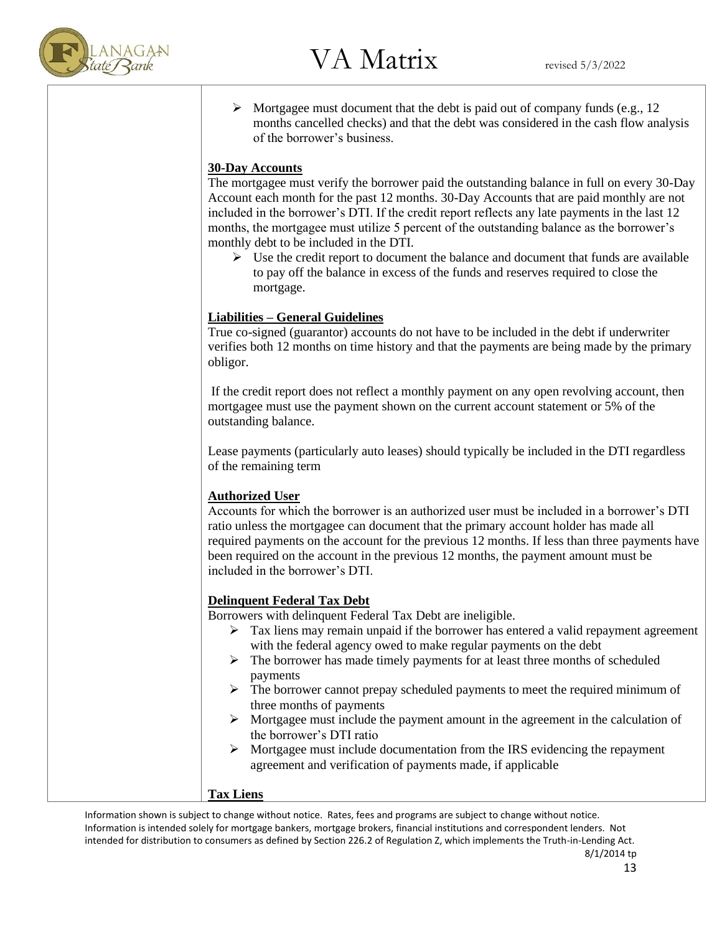

 $\triangleright$  Mortgagee must document that the debt is paid out of company funds (e.g., 12) months cancelled checks) and that the debt was considered in the cash flow analysis of the borrower's business.

### **30-Day Accounts**

The mortgagee must verify the borrower paid the outstanding balance in full on every 30-Day Account each month for the past 12 months. 30-Day Accounts that are paid monthly are not included in the borrower's DTI. If the credit report reflects any late payments in the last 12 months, the mortgagee must utilize 5 percent of the outstanding balance as the borrower's monthly debt to be included in the DTI.

 $\triangleright$  Use the credit report to document the balance and document that funds are available to pay off the balance in excess of the funds and reserves required to close the mortgage.

### **Liabilities – General Guidelines**

True co-signed (guarantor) accounts do not have to be included in the debt if underwriter verifies both 12 months on time history and that the payments are being made by the primary obligor.

If the credit report does not reflect a monthly payment on any open revolving account, then mortgagee must use the payment shown on the current account statement or 5% of the outstanding balance.

Lease payments (particularly auto leases) should typically be included in the DTI regardless of the remaining term

### **Authorized User**

Accounts for which the borrower is an authorized user must be included in a borrower's DTI ratio unless the mortgagee can document that the primary account holder has made all required payments on the account for the previous 12 months. If less than three payments have been required on the account in the previous 12 months, the payment amount must be included in the borrower's DTI.

### **Delinquent Federal Tax Debt**

Borrowers with delinquent Federal Tax Debt are ineligible.

- $\triangleright$  Tax liens may remain unpaid if the borrower has entered a valid repayment agreement with the federal agency owed to make regular payments on the debt
- $\triangleright$  The borrower has made timely payments for at least three months of scheduled payments
- $\triangleright$  The borrower cannot prepay scheduled payments to meet the required minimum of three months of payments
- ➢ Mortgagee must include the payment amount in the agreement in the calculation of the borrower's DTI ratio
- ➢ Mortgagee must include documentation from the IRS evidencing the repayment agreement and verification of payments made, if applicable

### **Tax Liens**

Information shown is subject to change without notice. Rates, fees and programs are subject to change without notice. Information is intended solely for mortgage bankers, mortgage brokers, financial institutions and correspondent lenders. Not intended for distribution to consumers as defined by Section 226.2 of Regulation Z, which implements the Truth-in-Lending Act.

8/1/2014 tp 13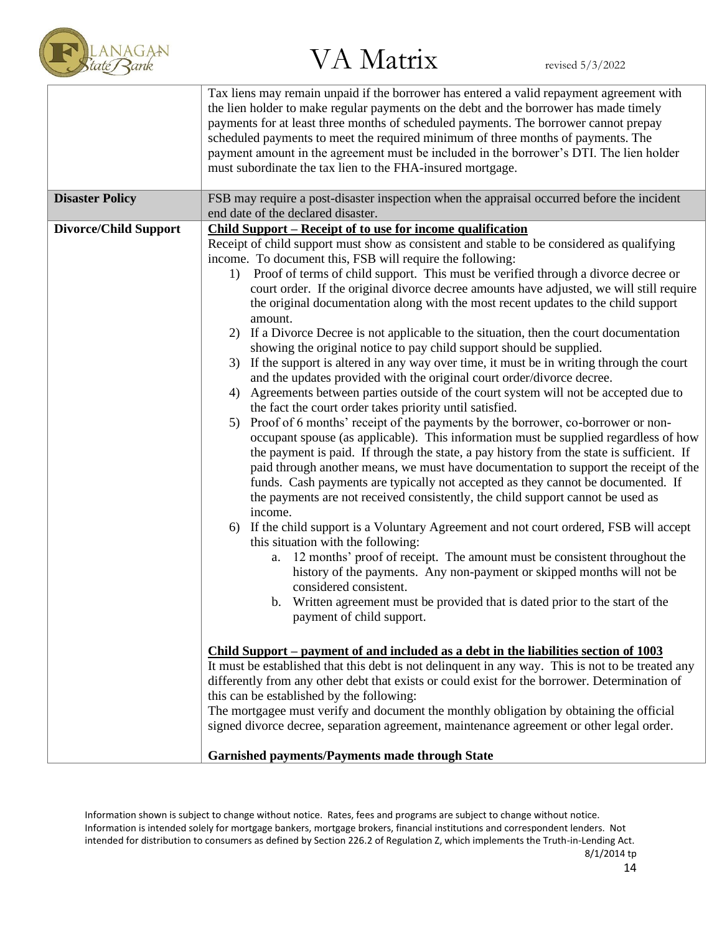

|                              | Tax liens may remain unpaid if the borrower has entered a valid repayment agreement with<br>the lien holder to make regular payments on the debt and the borrower has made timely<br>payments for at least three months of scheduled payments. The borrower cannot prepay<br>scheduled payments to meet the required minimum of three months of payments. The<br>payment amount in the agreement must be included in the borrower's DTI. The lien holder<br>must subordinate the tax lien to the FHA-insured mortgage.                                                                                                                                                                                                                                                                                                                                                                                                                                                                                                                                                                                                                                                                                                                                                                                                                                                                                                                                                                                                                                                                                                                                                                                                                                                                                                                                                                                                                                                                                                                                                                                                                                                                                                                                                                                                                                                                                                                                                                                                                                                                                               |
|------------------------------|----------------------------------------------------------------------------------------------------------------------------------------------------------------------------------------------------------------------------------------------------------------------------------------------------------------------------------------------------------------------------------------------------------------------------------------------------------------------------------------------------------------------------------------------------------------------------------------------------------------------------------------------------------------------------------------------------------------------------------------------------------------------------------------------------------------------------------------------------------------------------------------------------------------------------------------------------------------------------------------------------------------------------------------------------------------------------------------------------------------------------------------------------------------------------------------------------------------------------------------------------------------------------------------------------------------------------------------------------------------------------------------------------------------------------------------------------------------------------------------------------------------------------------------------------------------------------------------------------------------------------------------------------------------------------------------------------------------------------------------------------------------------------------------------------------------------------------------------------------------------------------------------------------------------------------------------------------------------------------------------------------------------------------------------------------------------------------------------------------------------------------------------------------------------------------------------------------------------------------------------------------------------------------------------------------------------------------------------------------------------------------------------------------------------------------------------------------------------------------------------------------------------------------------------------------------------------------------------------------------------|
| <b>Disaster Policy</b>       | FSB may require a post-disaster inspection when the appraisal occurred before the incident<br>end date of the declared disaster.                                                                                                                                                                                                                                                                                                                                                                                                                                                                                                                                                                                                                                                                                                                                                                                                                                                                                                                                                                                                                                                                                                                                                                                                                                                                                                                                                                                                                                                                                                                                                                                                                                                                                                                                                                                                                                                                                                                                                                                                                                                                                                                                                                                                                                                                                                                                                                                                                                                                                     |
| <b>Divorce/Child Support</b> | <b>Child Support – Receipt of to use for income qualification</b><br>Receipt of child support must show as consistent and stable to be considered as qualifying<br>income. To document this, FSB will require the following:<br>Proof of terms of child support. This must be verified through a divorce decree or<br>1)<br>court order. If the original divorce decree amounts have adjusted, we will still require<br>the original documentation along with the most recent updates to the child support<br>amount.<br>If a Divorce Decree is not applicable to the situation, then the court documentation<br>2)<br>showing the original notice to pay child support should be supplied.<br>If the support is altered in any way over time, it must be in writing through the court<br>3)<br>and the updates provided with the original court order/divorce decree.<br>4) Agreements between parties outside of the court system will not be accepted due to<br>the fact the court order takes priority until satisfied.<br>Proof of 6 months' receipt of the payments by the borrower, co-borrower or non-<br>5)<br>occupant spouse (as applicable). This information must be supplied regardless of how<br>the payment is paid. If through the state, a pay history from the state is sufficient. If<br>paid through another means, we must have documentation to support the receipt of the<br>funds. Cash payments are typically not accepted as they cannot be documented. If<br>the payments are not received consistently, the child support cannot be used as<br>income.<br>If the child support is a Voluntary Agreement and not court ordered, FSB will accept<br>6)<br>this situation with the following:<br>a. 12 months' proof of receipt. The amount must be consistent throughout the<br>history of the payments. Any non-payment or skipped months will not be<br>considered consistent.<br>b. Written agreement must be provided that is dated prior to the start of the<br>payment of child support.<br>Child Support – payment of and included as a debt in the liabilities section of 1003<br>It must be established that this debt is not delinquent in any way. This is not to be treated any<br>differently from any other debt that exists or could exist for the borrower. Determination of<br>this can be established by the following:<br>The mortgagee must verify and document the monthly obligation by obtaining the official<br>signed divorce decree, separation agreement, maintenance agreement or other legal order.<br><b>Garnished payments/Payments made through State</b> |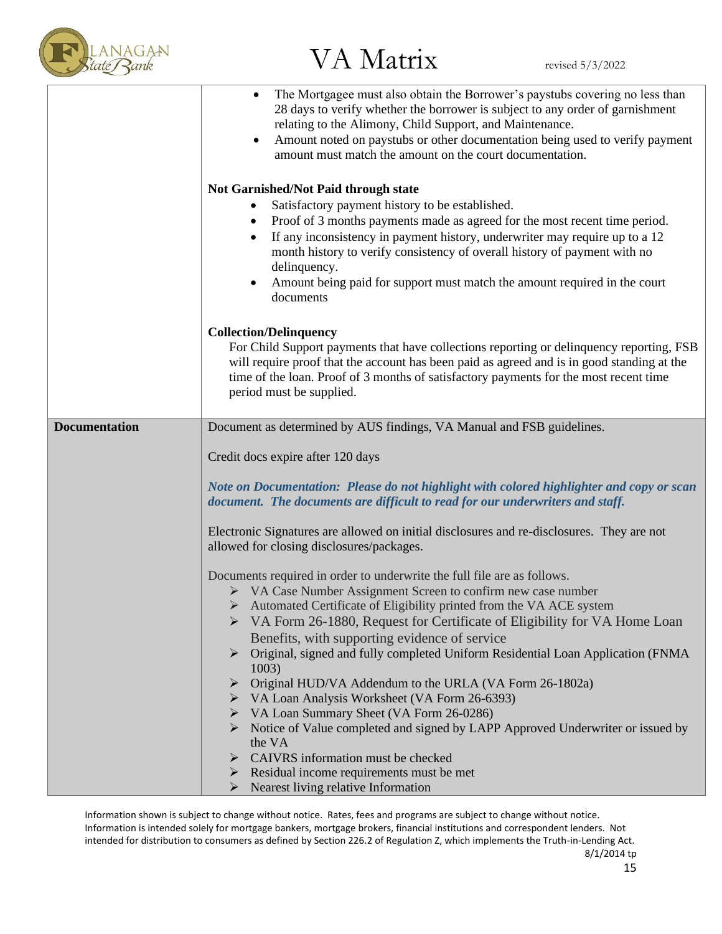

|                      | The Mortgagee must also obtain the Borrower's paystubs covering no less than<br>28 days to verify whether the borrower is subject to any order of garnishment<br>relating to the Alimony, Child Support, and Maintenance.<br>Amount noted on paystubs or other documentation being used to verify payment<br>$\bullet$<br>amount must match the amount on the court documentation.<br>Not Garnished/Not Paid through state<br>Satisfactory payment history to be established.<br>Proof of 3 months payments made as agreed for the most recent time period.<br>If any inconsistency in payment history, underwriter may require up to a 12<br>month history to verify consistency of overall history of payment with no<br>delinquency. |
|----------------------|-----------------------------------------------------------------------------------------------------------------------------------------------------------------------------------------------------------------------------------------------------------------------------------------------------------------------------------------------------------------------------------------------------------------------------------------------------------------------------------------------------------------------------------------------------------------------------------------------------------------------------------------------------------------------------------------------------------------------------------------|
|                      | Amount being paid for support must match the amount required in the court<br>documents                                                                                                                                                                                                                                                                                                                                                                                                                                                                                                                                                                                                                                                  |
|                      | <b>Collection/Delinquency</b><br>For Child Support payments that have collections reporting or delinquency reporting, FSB<br>will require proof that the account has been paid as agreed and is in good standing at the<br>time of the loan. Proof of 3 months of satisfactory payments for the most recent time<br>period must be supplied.                                                                                                                                                                                                                                                                                                                                                                                            |
| <b>Documentation</b> | Document as determined by AUS findings, VA Manual and FSB guidelines.                                                                                                                                                                                                                                                                                                                                                                                                                                                                                                                                                                                                                                                                   |
|                      | Credit docs expire after 120 days                                                                                                                                                                                                                                                                                                                                                                                                                                                                                                                                                                                                                                                                                                       |
|                      | Note on Documentation: Please do not highlight with colored highlighter and copy or scan<br>document. The documents are difficult to read for our underwriters and staff.                                                                                                                                                                                                                                                                                                                                                                                                                                                                                                                                                               |
|                      | Electronic Signatures are allowed on initial disclosures and re-disclosures. They are not<br>allowed for closing disclosures/packages.                                                                                                                                                                                                                                                                                                                                                                                                                                                                                                                                                                                                  |
|                      | Documents required in order to underwrite the full file are as follows.                                                                                                                                                                                                                                                                                                                                                                                                                                                                                                                                                                                                                                                                 |
|                      | $\triangleright$ VA Case Number Assignment Screen to confirm new case number                                                                                                                                                                                                                                                                                                                                                                                                                                                                                                                                                                                                                                                            |
|                      | $\triangleright$ Automated Certificate of Eligibility printed from the VA ACE system                                                                                                                                                                                                                                                                                                                                                                                                                                                                                                                                                                                                                                                    |
|                      | VA Form 26-1880, Request for Certificate of Eligibility for VA Home Loan                                                                                                                                                                                                                                                                                                                                                                                                                                                                                                                                                                                                                                                                |
|                      | Benefits, with supporting evidence of service                                                                                                                                                                                                                                                                                                                                                                                                                                                                                                                                                                                                                                                                                           |
|                      | Original, signed and fully completed Uniform Residential Loan Application (FNMA<br>1003)                                                                                                                                                                                                                                                                                                                                                                                                                                                                                                                                                                                                                                                |
|                      | Original HUD/VA Addendum to the URLA (VA Form 26-1802a)                                                                                                                                                                                                                                                                                                                                                                                                                                                                                                                                                                                                                                                                                 |
|                      | VA Loan Analysis Worksheet (VA Form 26-6393)                                                                                                                                                                                                                                                                                                                                                                                                                                                                                                                                                                                                                                                                                            |
|                      | VA Loan Summary Sheet (VA Form 26-0286)<br>➤<br>Notice of Value completed and signed by LAPP Approved Underwriter or issued by<br>➤                                                                                                                                                                                                                                                                                                                                                                                                                                                                                                                                                                                                     |
|                      | the VA                                                                                                                                                                                                                                                                                                                                                                                                                                                                                                                                                                                                                                                                                                                                  |
|                      | CAIVRS information must be checked                                                                                                                                                                                                                                                                                                                                                                                                                                                                                                                                                                                                                                                                                                      |
|                      | Residual income requirements must be met<br>➤                                                                                                                                                                                                                                                                                                                                                                                                                                                                                                                                                                                                                                                                                           |
|                      | Nearest living relative Information<br>➤                                                                                                                                                                                                                                                                                                                                                                                                                                                                                                                                                                                                                                                                                                |

Information shown is subject to change without notice. Rates, fees and programs are subject to change without notice. Information is intended solely for mortgage bankers, mortgage brokers, financial institutions and correspondent lenders. Not intended for distribution to consumers as defined by Section 226.2 of Regulation Z, which implements the Truth-in-Lending Act. 8/1/2014 tp

15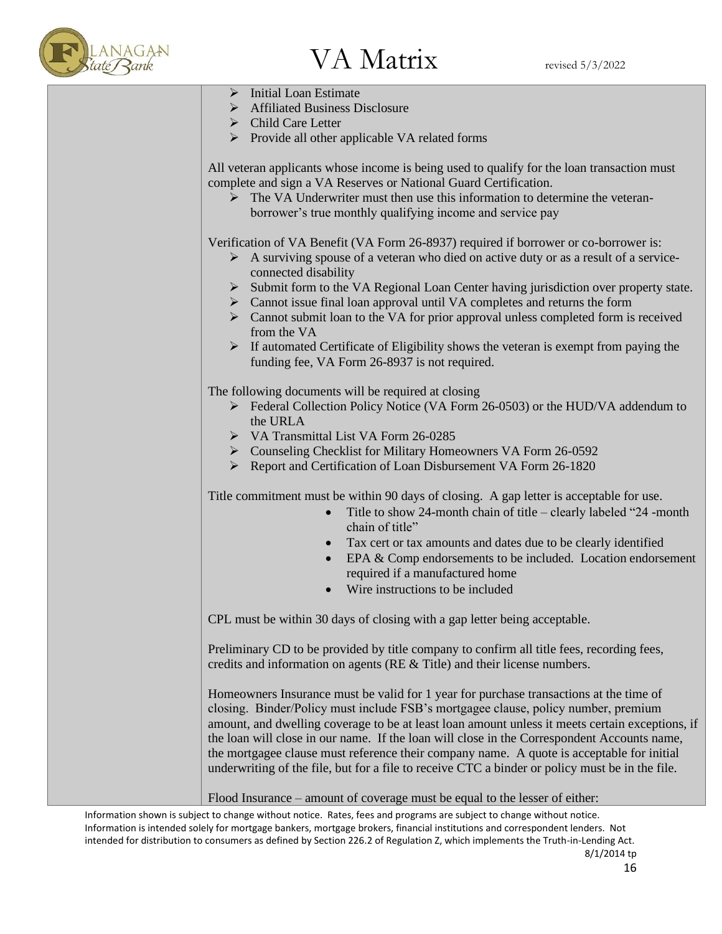

➢ Initial Loan Estimate ➢ Affiliated Business Disclosure ➢ Child Care Letter ➢ Provide all other applicable VA related forms All veteran applicants whose income is being used to qualify for the loan transaction must complete and sign a VA Reserves or National Guard Certification.  $\triangleright$  The VA Underwriter must then use this information to determine the veteranborrower's true monthly qualifying income and service pay Verification of VA Benefit (VA Form 26-8937) required if borrower or co-borrower is:  $\triangleright$  A surviving spouse of a veteran who died on active duty or as a result of a serviceconnected disability ➢ Submit form to the VA Regional Loan Center having jurisdiction over property state. ➢ Cannot issue final loan approval until VA completes and returns the form  $\triangleright$  Cannot submit loan to the VA for prior approval unless completed form is received from the VA  $\triangleright$  If automated Certificate of Eligibility shows the veteran is exempt from paying the funding fee, VA Form 26-8937 is not required. The following documents will be required at closing ➢ Federal Collection Policy Notice (VA Form 26-0503) or the HUD/VA addendum to the URLA ➢ VA Transmittal List VA Form 26-0285 ➢ Counseling Checklist for Military Homeowners VA Form 26-0592 ➢ Report and Certification of Loan Disbursement VA Form 26-1820 Title commitment must be within 90 days of closing. A gap letter is acceptable for use. • Title to show 24-month chain of title – clearly labeled "24 -month" chain of title" • Tax cert or tax amounts and dates due to be clearly identified • EPA & Comp endorsements to be included. Location endorsement required if a manufactured home Wire instructions to be included CPL must be within 30 days of closing with a gap letter being acceptable. Preliminary CD to be provided by title company to confirm all title fees, recording fees, credits and information on agents (RE & Title) and their license numbers. Homeowners Insurance must be valid for 1 year for purchase transactions at the time of closing. Binder/Policy must include FSB's mortgagee clause, policy number, premium amount, and dwelling coverage to be at least loan amount unless it meets certain exceptions, if the loan will close in our name. If the loan will close in the Correspondent Accounts name, the mortgagee clause must reference their company name. A quote is acceptable for initial underwriting of the file, but for a file to receive CTC a binder or policy must be in the file. Flood Insurance – amount of coverage must be equal to the lesser of either: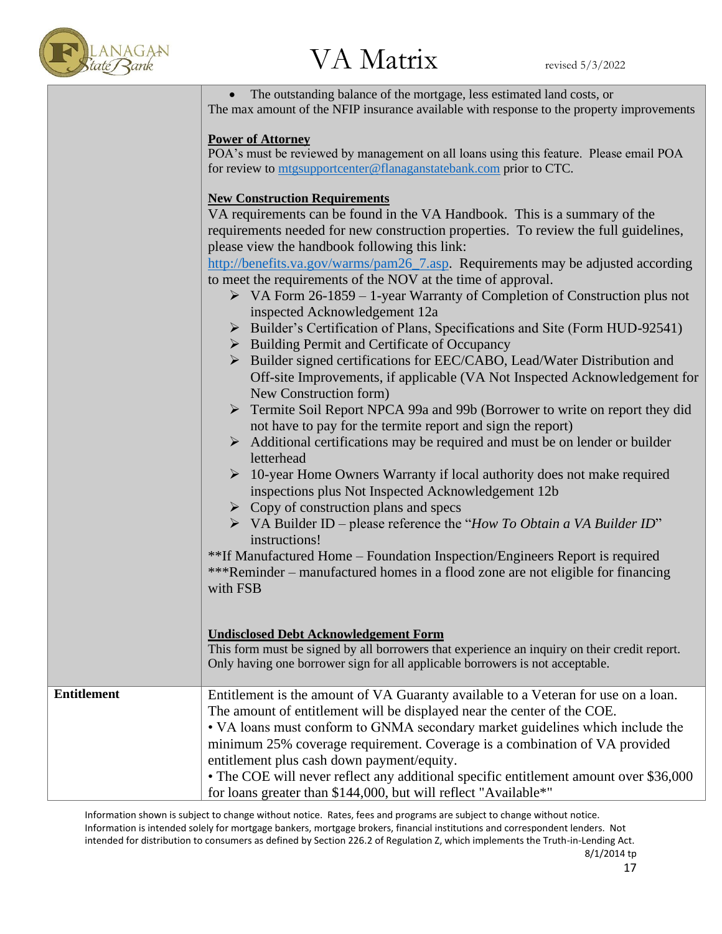

• The outstanding balance of the mortgage, less estimated land costs, or The max amount of the NFIP insurance available with response to the property improvements

### **Power of Attorney**

POA's must be reviewed by management on all loans using this feature. Please email POA for review to [mtgsupportcenter@flanaganstatebank.com](mailto:mtgsupportcenter@flanaganstatebank.com) prior to CTC.

### **New Construction Requirements**

|                    | <u>render action requirements</u><br>VA requirements can be found in the VA Handbook. This is a summary of the<br>requirements needed for new construction properties. To review the full guidelines,<br>please view the handbook following this link:<br>http://benefits.va.gov/warms/pam26_7.asp. Requirements may be adjusted according<br>to meet the requirements of the NOV at the time of approval.<br>$\triangleright$ VA Form 26-1859 – 1-year Warranty of Completion of Construction plus not<br>inspected Acknowledgement 12a<br>> Builder's Certification of Plans, Specifications and Site (Form HUD-92541)<br>$\triangleright$ Building Permit and Certificate of Occupancy<br>> Builder signed certifications for EEC/CABO, Lead/Water Distribution and<br>Off-site Improvements, if applicable (VA Not Inspected Acknowledgement for<br>New Construction form)<br>Fermite Soil Report NPCA 99a and 99b (Borrower to write on report they did<br>not have to pay for the termite report and sign the report)<br>$\triangleright$ Additional certifications may be required and must be on lender or builder<br>letterhead<br>$\triangleright$ 10-year Home Owners Warranty if local authority does not make required<br>inspections plus Not Inspected Acknowledgement 12b<br>$\triangleright$ Copy of construction plans and specs<br>$\triangleright$ VA Builder ID – please reference the "How To Obtain a VA Builder ID"<br>instructions!<br>**If Manufactured Home - Foundation Inspection/Engineers Report is required |
|--------------------|---------------------------------------------------------------------------------------------------------------------------------------------------------------------------------------------------------------------------------------------------------------------------------------------------------------------------------------------------------------------------------------------------------------------------------------------------------------------------------------------------------------------------------------------------------------------------------------------------------------------------------------------------------------------------------------------------------------------------------------------------------------------------------------------------------------------------------------------------------------------------------------------------------------------------------------------------------------------------------------------------------------------------------------------------------------------------------------------------------------------------------------------------------------------------------------------------------------------------------------------------------------------------------------------------------------------------------------------------------------------------------------------------------------------------------------------------------------------------------------------------------------------------------------------|
|                    | ***Reminder – manufactured homes in a flood zone are not eligible for financing<br>with FSB<br><b>Undisclosed Debt Acknowledgement Form</b><br>This form must be signed by all borrowers that experience an inquiry on their credit report.<br>Only having one borrower sign for all applicable borrowers is not acceptable.                                                                                                                                                                                                                                                                                                                                                                                                                                                                                                                                                                                                                                                                                                                                                                                                                                                                                                                                                                                                                                                                                                                                                                                                                |
| <b>Entitlement</b> | Entitlement is the amount of VA Guaranty available to a Veteran for use on a loan.                                                                                                                                                                                                                                                                                                                                                                                                                                                                                                                                                                                                                                                                                                                                                                                                                                                                                                                                                                                                                                                                                                                                                                                                                                                                                                                                                                                                                                                          |
|                    | The amount of entitlement will be displayed near the center of the COE.<br>• VA loans must conform to GNMA secondary market guidelines which include the<br>minimum 25% coverage requirement. Coverage is a combination of VA provided<br>entitlement plus cash down payment/equity.<br>• The COE will never reflect any additional specific entitlement amount over \$36,000<br>for loans greater than \$144,000, but will reflect "Available*"                                                                                                                                                                                                                                                                                                                                                                                                                                                                                                                                                                                                                                                                                                                                                                                                                                                                                                                                                                                                                                                                                            |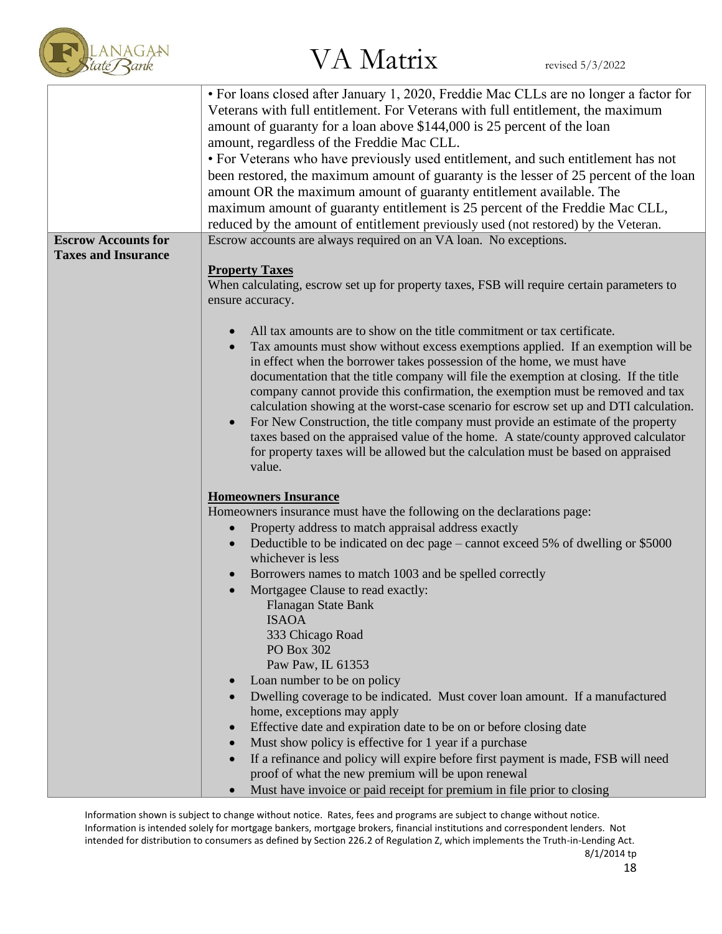

|                            | • For loans closed after January 1, 2020, Freddie Mac CLLs are no longer a factor for<br>Veterans with full entitlement. For Veterans with full entitlement, the maximum                                                              |  |  |  |  |  |
|----------------------------|---------------------------------------------------------------------------------------------------------------------------------------------------------------------------------------------------------------------------------------|--|--|--|--|--|
|                            | amount of guaranty for a loan above \$144,000 is 25 percent of the loan                                                                                                                                                               |  |  |  |  |  |
|                            | amount, regardless of the Freddie Mac CLL.                                                                                                                                                                                            |  |  |  |  |  |
|                            | • For Veterans who have previously used entitlement, and such entitlement has not                                                                                                                                                     |  |  |  |  |  |
|                            | been restored, the maximum amount of guaranty is the lesser of 25 percent of the loan                                                                                                                                                 |  |  |  |  |  |
|                            |                                                                                                                                                                                                                                       |  |  |  |  |  |
|                            | amount OR the maximum amount of guaranty entitlement available. The                                                                                                                                                                   |  |  |  |  |  |
|                            | maximum amount of guaranty entitlement is 25 percent of the Freddie Mac CLL,                                                                                                                                                          |  |  |  |  |  |
|                            | reduced by the amount of entitlement previously used (not restored) by the Veteran.                                                                                                                                                   |  |  |  |  |  |
| <b>Escrow Accounts for</b> | Escrow accounts are always required on an VA loan. No exceptions.                                                                                                                                                                     |  |  |  |  |  |
| <b>Taxes and Insurance</b> |                                                                                                                                                                                                                                       |  |  |  |  |  |
|                            | <b>Property Taxes</b>                                                                                                                                                                                                                 |  |  |  |  |  |
|                            | When calculating, escrow set up for property taxes, FSB will require certain parameters to                                                                                                                                            |  |  |  |  |  |
|                            | ensure accuracy.                                                                                                                                                                                                                      |  |  |  |  |  |
|                            |                                                                                                                                                                                                                                       |  |  |  |  |  |
|                            | All tax amounts are to show on the title commitment or tax certificate.<br>Tax amounts must show without excess exemptions applied. If an exemption will be<br>in effect when the borrower takes possession of the home, we must have |  |  |  |  |  |
|                            | documentation that the title company will file the exemption at closing. If the title<br>company cannot provide this confirmation, the exemption must be removed and tax                                                              |  |  |  |  |  |
|                            | calculation showing at the worst-case scenario for escrow set up and DTI calculation.<br>For New Construction, the title company must provide an estimate of the property                                                             |  |  |  |  |  |
|                            | taxes based on the appraised value of the home. A state/county approved calculator<br>for property taxes will be allowed but the calculation must be based on appraised<br>value.                                                     |  |  |  |  |  |
|                            | <b>Homeowners Insurance</b>                                                                                                                                                                                                           |  |  |  |  |  |
|                            | Homeowners insurance must have the following on the declarations page:                                                                                                                                                                |  |  |  |  |  |
|                            | Property address to match appraisal address exactly                                                                                                                                                                                   |  |  |  |  |  |
|                            | Deductible to be indicated on dec page – cannot exceed 5% of dwelling or \$5000                                                                                                                                                       |  |  |  |  |  |
|                            | whichever is less                                                                                                                                                                                                                     |  |  |  |  |  |
|                            | Borrowers names to match 1003 and be spelled correctly                                                                                                                                                                                |  |  |  |  |  |
|                            | Mortgagee Clause to read exactly:                                                                                                                                                                                                     |  |  |  |  |  |
|                            | Flanagan State Bank<br><b>ISAOA</b>                                                                                                                                                                                                   |  |  |  |  |  |
|                            | 333 Chicago Road                                                                                                                                                                                                                      |  |  |  |  |  |
|                            | PO Box 302                                                                                                                                                                                                                            |  |  |  |  |  |
|                            | Paw Paw, IL 61353                                                                                                                                                                                                                     |  |  |  |  |  |
|                            | Loan number to be on policy                                                                                                                                                                                                           |  |  |  |  |  |
|                            | Dwelling coverage to be indicated. Must cover loan amount. If a manufactured                                                                                                                                                          |  |  |  |  |  |
|                            | home, exceptions may apply                                                                                                                                                                                                            |  |  |  |  |  |
|                            | Effective date and expiration date to be on or before closing date                                                                                                                                                                    |  |  |  |  |  |
|                            | Must show policy is effective for 1 year if a purchase                                                                                                                                                                                |  |  |  |  |  |
|                            | If a refinance and policy will expire before first payment is made, FSB will need                                                                                                                                                     |  |  |  |  |  |
|                            | proof of what the new premium will be upon renewal                                                                                                                                                                                    |  |  |  |  |  |
|                            | Must have invoice or paid receipt for premium in file prior to closing                                                                                                                                                                |  |  |  |  |  |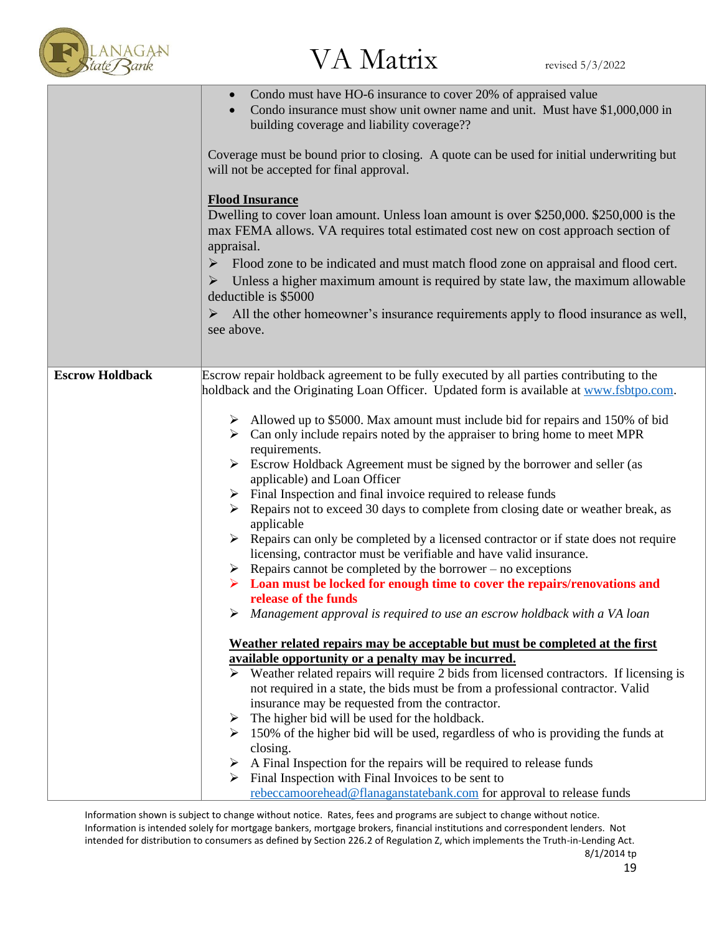

|                        | Condo must have HO-6 insurance to cover 20% of appraised value<br>Condo insurance must show unit owner name and unit. Must have \$1,000,000 in<br>building coverage and liability coverage??<br>Coverage must be bound prior to closing. A quote can be used for initial underwriting but<br>will not be accepted for final approval.<br><b>Flood Insurance</b><br>Dwelling to cover loan amount. Unless loan amount is over \$250,000. \$250,000 is the                                                                                                                                                                                                                                                                                         |
|------------------------|--------------------------------------------------------------------------------------------------------------------------------------------------------------------------------------------------------------------------------------------------------------------------------------------------------------------------------------------------------------------------------------------------------------------------------------------------------------------------------------------------------------------------------------------------------------------------------------------------------------------------------------------------------------------------------------------------------------------------------------------------|
|                        | max FEMA allows. VA requires total estimated cost new on cost approach section of<br>appraisal.                                                                                                                                                                                                                                                                                                                                                                                                                                                                                                                                                                                                                                                  |
|                        | $\blacktriangleright$<br>Flood zone to be indicated and must match flood zone on appraisal and flood cert.<br>Unless a higher maximum amount is required by state law, the maximum allowable<br>➤<br>deductible is \$5000                                                                                                                                                                                                                                                                                                                                                                                                                                                                                                                        |
|                        | All the other homeowner's insurance requirements apply to flood insurance as well,<br>➤<br>see above.                                                                                                                                                                                                                                                                                                                                                                                                                                                                                                                                                                                                                                            |
|                        |                                                                                                                                                                                                                                                                                                                                                                                                                                                                                                                                                                                                                                                                                                                                                  |
| <b>Escrow Holdback</b> | Escrow repair holdback agreement to be fully executed by all parties contributing to the                                                                                                                                                                                                                                                                                                                                                                                                                                                                                                                                                                                                                                                         |
|                        | holdback and the Originating Loan Officer. Updated form is available at www.fsbtpo.com.<br>$\triangleright$ Allowed up to \$5000. Max amount must include bid for repairs and 150% of bid<br>$\triangleright$ Can only include repairs noted by the appraiser to bring home to meet MPR<br>requirements.<br>$\triangleright$ Escrow Holdback Agreement must be signed by the borrower and seller (as<br>applicable) and Loan Officer<br>$\triangleright$ Final Inspection and final invoice required to release funds<br>$\triangleright$ Repairs not to exceed 30 days to complete from closing date or weather break, as<br>applicable<br>$\triangleright$ Repairs can only be completed by a licensed contractor or if state does not require |
|                        | licensing, contractor must be verifiable and have valid insurance.<br>$\triangleright$ Repairs cannot be completed by the borrower – no exceptions                                                                                                                                                                                                                                                                                                                                                                                                                                                                                                                                                                                               |
|                        | $\triangleright$ Loan must be locked for enough time to cover the repairs/renovations and<br>release of the funds                                                                                                                                                                                                                                                                                                                                                                                                                                                                                                                                                                                                                                |
|                        | $\triangleright$ Management approval is required to use an escrow holdback with a VA loan                                                                                                                                                                                                                                                                                                                                                                                                                                                                                                                                                                                                                                                        |
|                        | Weather related repairs may be acceptable but must be completed at the first                                                                                                                                                                                                                                                                                                                                                                                                                                                                                                                                                                                                                                                                     |
|                        | available opportunity or a penalty may be incurred.<br>$\triangleright$ Weather related repairs will require 2 bids from licensed contractors. If licensing is                                                                                                                                                                                                                                                                                                                                                                                                                                                                                                                                                                                   |
|                        | not required in a state, the bids must be from a professional contractor. Valid<br>insurance may be requested from the contractor.                                                                                                                                                                                                                                                                                                                                                                                                                                                                                                                                                                                                               |
|                        | $\triangleright$ The higher bid will be used for the holdback.                                                                                                                                                                                                                                                                                                                                                                                                                                                                                                                                                                                                                                                                                   |
|                        | $\geq 150\%$ of the higher bid will be used, regardless of who is providing the funds at<br>closing.                                                                                                                                                                                                                                                                                                                                                                                                                                                                                                                                                                                                                                             |
|                        | $\triangleright$ A Final Inspection for the repairs will be required to release funds                                                                                                                                                                                                                                                                                                                                                                                                                                                                                                                                                                                                                                                            |
|                        | Final Inspection with Final Invoices to be sent to<br>rebeccamoorehead@flanaganstatebank.com for approval to release funds                                                                                                                                                                                                                                                                                                                                                                                                                                                                                                                                                                                                                       |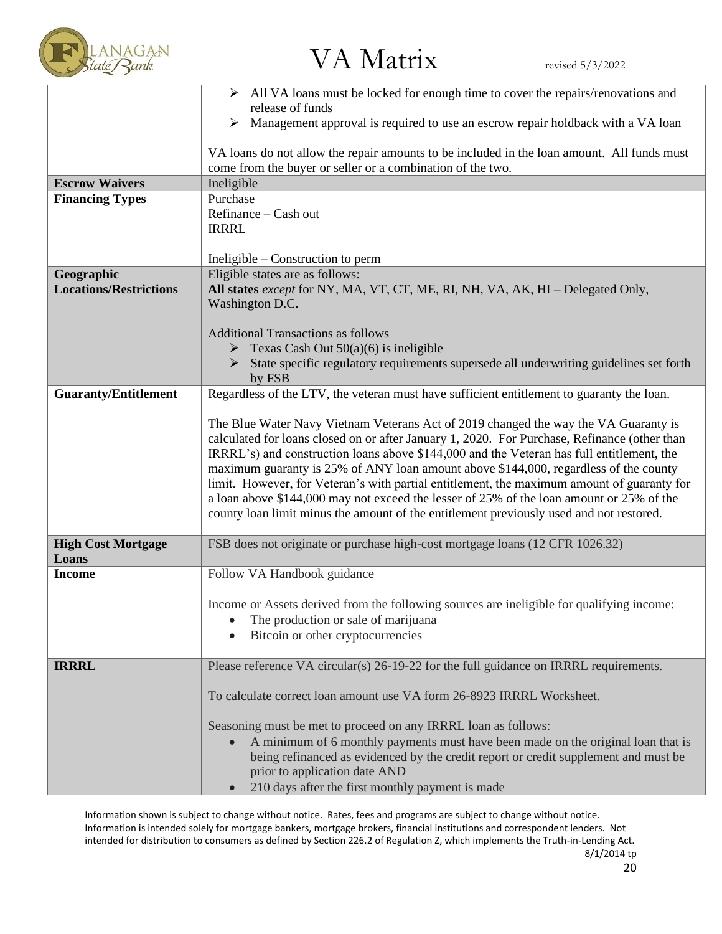

|                               | > All VA loans must be locked for enough time to cover the repairs/renovations and<br>release of funds                                                   |
|-------------------------------|----------------------------------------------------------------------------------------------------------------------------------------------------------|
|                               | Management approval is required to use an escrow repair holdback with a VA loan<br>➤                                                                     |
|                               | VA loans do not allow the repair amounts to be included in the loan amount. All funds must<br>come from the buyer or seller or a combination of the two. |
| <b>Escrow Waivers</b>         | Ineligible                                                                                                                                               |
| <b>Financing Types</b>        | Purchase                                                                                                                                                 |
|                               | Refinance - Cash out                                                                                                                                     |
|                               | <b>IRRRL</b>                                                                                                                                             |
|                               |                                                                                                                                                          |
|                               | Ineligible – Construction to perm                                                                                                                        |
| Geographic                    | Eligible states are as follows:                                                                                                                          |
| <b>Locations/Restrictions</b> | All states except for NY, MA, VT, CT, ME, RI, NH, VA, AK, HI - Delegated Only,                                                                           |
|                               | Washington D.C.                                                                                                                                          |
|                               |                                                                                                                                                          |
|                               | <b>Additional Transactions as follows</b>                                                                                                                |
|                               | $\triangleright$ Texas Cash Out 50(a)(6) is ineligible                                                                                                   |
|                               | State specific regulatory requirements supersede all underwriting guidelines set forth                                                                   |
|                               | by FSB                                                                                                                                                   |
| <b>Guaranty/Entitlement</b>   | Regardless of the LTV, the veteran must have sufficient entitlement to guaranty the loan.                                                                |
|                               |                                                                                                                                                          |
|                               | The Blue Water Navy Vietnam Veterans Act of 2019 changed the way the VA Guaranty is                                                                      |
|                               | calculated for loans closed on or after January 1, 2020. For Purchase, Refinance (other than                                                             |
|                               | IRRRL's) and construction loans above \$144,000 and the Veteran has full entitlement, the                                                                |
|                               | maximum guaranty is 25% of ANY loan amount above \$144,000, regardless of the county                                                                     |
|                               | limit. However, for Veteran's with partial entitlement, the maximum amount of guaranty for                                                               |
|                               | a loan above \$144,000 may not exceed the lesser of 25% of the loan amount or 25% of the                                                                 |
|                               | county loan limit minus the amount of the entitlement previously used and not restored.                                                                  |
| <b>High Cost Mortgage</b>     | FSB does not originate or purchase high-cost mortgage loans (12 CFR 1026.32)                                                                             |
| Loans                         |                                                                                                                                                          |
| <b>Income</b>                 | Follow VA Handbook guidance                                                                                                                              |
|                               | Income or Assets derived from the following sources are ineligible for qualifying income:                                                                |
|                               | The production or sale of marijuana                                                                                                                      |
|                               |                                                                                                                                                          |
|                               | Bitcoin or other cryptocurrencies                                                                                                                        |
| <b>IRRRL</b>                  | Please reference VA circular(s) 26-19-22 for the full guidance on IRRRL requirements.                                                                    |
|                               |                                                                                                                                                          |
|                               | To calculate correct loan amount use VA form 26-8923 IRRRL Worksheet.                                                                                    |
|                               |                                                                                                                                                          |
|                               | Seasoning must be met to proceed on any IRRRL loan as follows:                                                                                           |
|                               | A minimum of 6 monthly payments must have been made on the original loan that is                                                                         |
|                               | being refinanced as evidenced by the credit report or credit supplement and must be<br>prior to application date AND                                     |
|                               |                                                                                                                                                          |
|                               | 210 days after the first monthly payment is made                                                                                                         |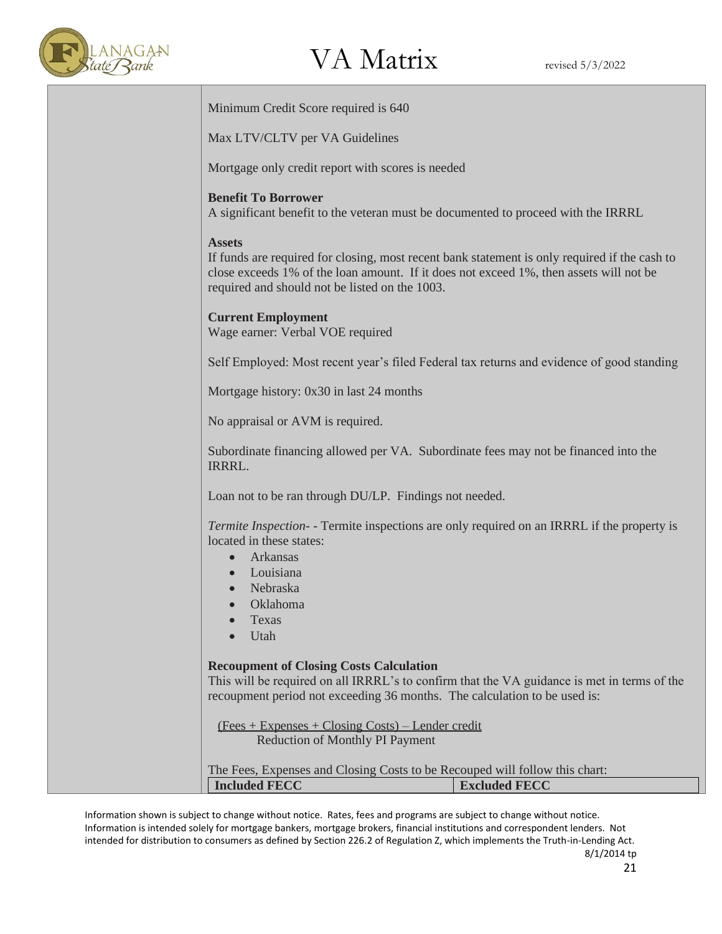

Minimum Credit Score required is 640

Max LTV/CLTV per VA Guidelines

Mortgage only credit report with scores is needed

#### **Benefit To Borrower**

A significant benefit to the veteran must be documented to proceed with the IRRRL

#### **Assets**

If funds are required for closing, most recent bank statement is only required if the cash to close exceeds 1% of the loan amount. If it does not exceed 1%, then assets will not be required and should not be listed on the 1003.

### **Current Employment**

Wage earner: Verbal VOE required

Self Employed: Most recent year's filed Federal tax returns and evidence of good standing

Mortgage history: 0x30 in last 24 months

No appraisal or AVM is required.

Subordinate financing allowed per VA. Subordinate fees may not be financed into the IRRRL.

Loan not to be ran through DU/LP. Findings not needed.

*Termite Inspection*- - Termite inspections are only required on an IRRRL if the property is located in these states:

- Arkansas
- Louisiana
- Nebraska
- Oklahoma
- Texas
- Utah

### **Recoupment of Closing Costs Calculation**

This will be required on all IRRRL's to confirm that the VA guidance is met in terms of the recoupment period not exceeding 36 months. The calculation to be used is:

 (Fees + Expenses + Closing Costs) – Lender credit Reduction of Monthly PI Payment

| The Fees, Expenses and Closing Costs to be Recouped will follow this chart: |  |  |  |                      |  |
|-----------------------------------------------------------------------------|--|--|--|----------------------|--|
| <b>Included FECC</b>                                                        |  |  |  | <b>Excluded FECC</b> |  |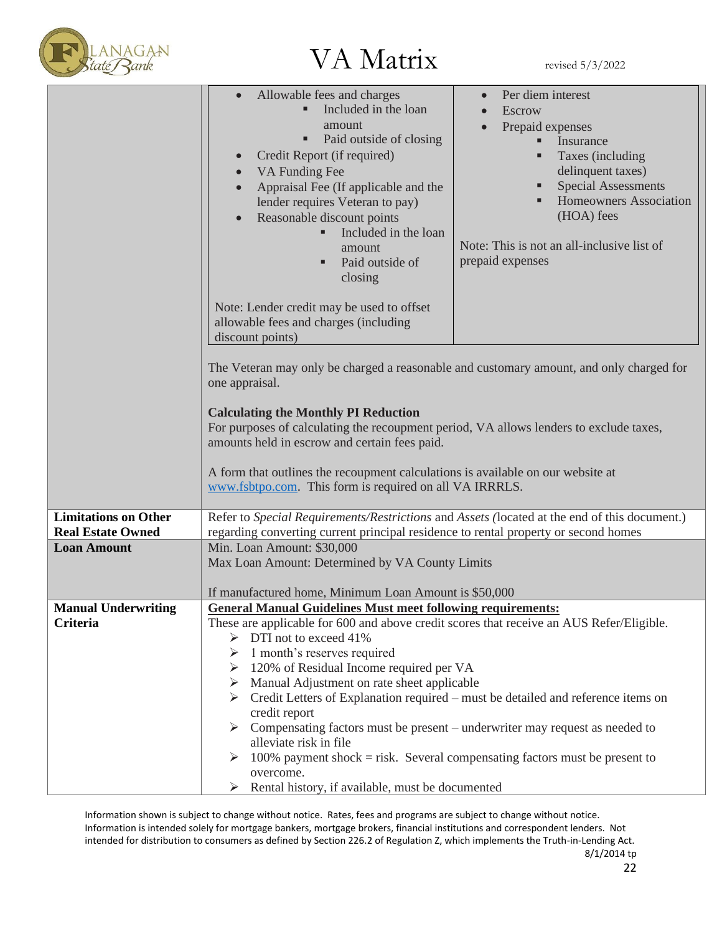

|                                                         | Allowable fees and charges<br>Included in the loan<br>amount<br>Paid outside of closing<br>٠<br>Credit Report (if required)<br>VA Funding Fee<br>$\bullet$<br>Appraisal Fee (If applicable and the<br>lender requires Veteran to pay)<br>Reasonable discount points<br>Included in the loan<br>٠<br>amount<br>Paid outside of<br>٠<br>closing<br>Note: Lender credit may be used to offset<br>allowable fees and charges (including<br>discount points)                                                                                                                                                                                                                                                               | Per diem interest<br>Escrow<br>Prepaid expenses<br>Insurance<br>Taxes (including<br>delinquent taxes)<br><b>Special Assessments</b><br>Homeowners Association<br>(HOA) fees<br>Note: This is not an all-inclusive list of<br>prepaid expenses |  |  |  |
|---------------------------------------------------------|-----------------------------------------------------------------------------------------------------------------------------------------------------------------------------------------------------------------------------------------------------------------------------------------------------------------------------------------------------------------------------------------------------------------------------------------------------------------------------------------------------------------------------------------------------------------------------------------------------------------------------------------------------------------------------------------------------------------------|-----------------------------------------------------------------------------------------------------------------------------------------------------------------------------------------------------------------------------------------------|--|--|--|
|                                                         | The Veteran may only be charged a reasonable and customary amount, and only charged for<br>one appraisal.<br><b>Calculating the Monthly PI Reduction</b><br>For purposes of calculating the recoupment period, VA allows lenders to exclude taxes,<br>amounts held in escrow and certain fees paid.<br>A form that outlines the recoupment calculations is available on our website at<br>www.fsbtpo.com. This form is required on all VA IRRRLS.                                                                                                                                                                                                                                                                     |                                                                                                                                                                                                                                               |  |  |  |
| <b>Limitations on Other</b><br><b>Real Estate Owned</b> | Refer to Special Requirements/Restrictions and Assets (located at the end of this document.)<br>regarding converting current principal residence to rental property or second homes                                                                                                                                                                                                                                                                                                                                                                                                                                                                                                                                   |                                                                                                                                                                                                                                               |  |  |  |
| <b>Loan Amount</b>                                      | Min. Loan Amount: \$30,000<br>Max Loan Amount: Determined by VA County Limits<br>If manufactured home, Minimum Loan Amount is \$50,000                                                                                                                                                                                                                                                                                                                                                                                                                                                                                                                                                                                |                                                                                                                                                                                                                                               |  |  |  |
| <b>Manual Underwriting</b><br>Criteria                  | <b>General Manual Guidelines Must meet following requirements:</b><br>These are applicable for 600 and above credit scores that receive an AUS Refer/Eligible.<br>$\triangleright$ DTI not to exceed 41%<br>1 month's reserves required<br>120% of Residual Income required per VA<br>Manual Adjustment on rate sheet applicable<br>➤<br>$\triangleright$ Credit Letters of Explanation required – must be detailed and reference items on<br>credit report<br>Compensating factors must be present – underwriter may request as needed to<br>alleviate risk in file<br>100% payment shock $=$ risk. Several compensating factors must be present to<br>overcome.<br>Rental history, if available, must be documented |                                                                                                                                                                                                                                               |  |  |  |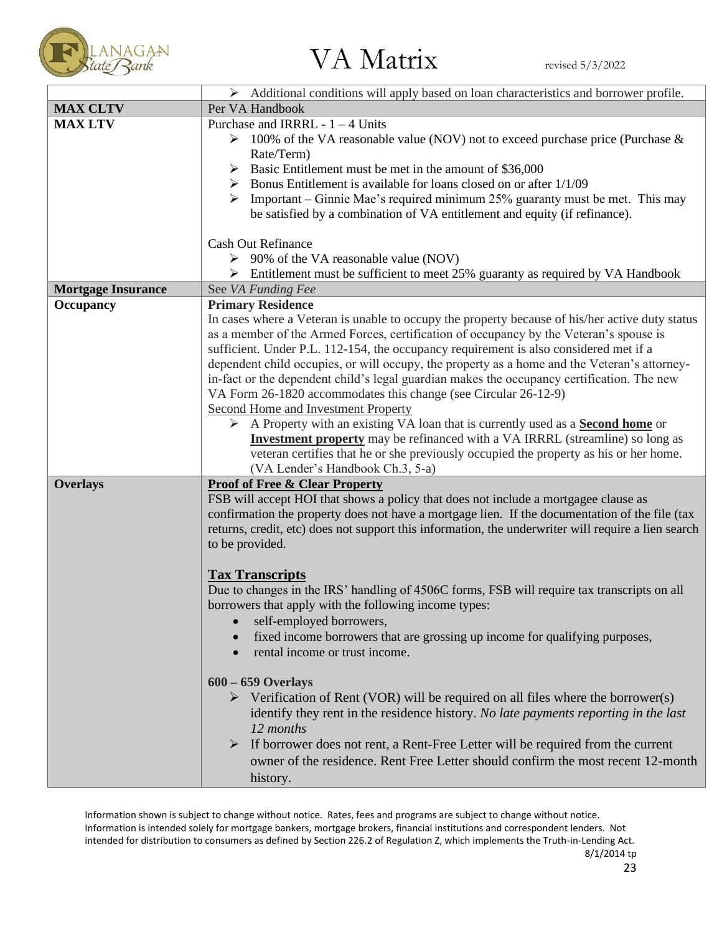

|                           | $\triangleright$ Additional conditions will apply based on loan characteristics and borrower profile.                                                                                                                                                                                                                                                                                                                                                                                                                                                                                                                                                                                                                                                                                                                                                                                            |
|---------------------------|--------------------------------------------------------------------------------------------------------------------------------------------------------------------------------------------------------------------------------------------------------------------------------------------------------------------------------------------------------------------------------------------------------------------------------------------------------------------------------------------------------------------------------------------------------------------------------------------------------------------------------------------------------------------------------------------------------------------------------------------------------------------------------------------------------------------------------------------------------------------------------------------------|
| <b>MAX CLTV</b>           | Per VA Handbook                                                                                                                                                                                                                                                                                                                                                                                                                                                                                                                                                                                                                                                                                                                                                                                                                                                                                  |
| <b>MAX LTV</b>            | Purchase and IRRRL - $1 - 4$ Units<br>$\triangleright$ 100% of the VA reasonable value (NOV) not to exceed purchase price (Purchase &<br>Rate/Term)<br>Basic Entitlement must be met in the amount of \$36,000<br>➤<br>$\triangleright$ Bonus Entitlement is available for loans closed on or after 1/1/09<br>Important – Ginnie Mae's required minimum 25% guaranty must be met. This may<br>➤<br>be satisfied by a combination of VA entitlement and equity (if refinance).                                                                                                                                                                                                                                                                                                                                                                                                                    |
|                           | <b>Cash Out Refinance</b><br>$\triangleright$ 90% of the VA reasonable value (NOV)<br>$\triangleright$ Entitlement must be sufficient to meet 25% guaranty as required by VA Handbook                                                                                                                                                                                                                                                                                                                                                                                                                                                                                                                                                                                                                                                                                                            |
| <b>Mortgage Insurance</b> | See VA Funding Fee                                                                                                                                                                                                                                                                                                                                                                                                                                                                                                                                                                                                                                                                                                                                                                                                                                                                               |
| <b>Occupancy</b>          | <b>Primary Residence</b><br>In cases where a Veteran is unable to occupy the property because of his/her active duty status<br>as a member of the Armed Forces, certification of occupancy by the Veteran's spouse is<br>sufficient. Under P.L. 112-154, the occupancy requirement is also considered met if a<br>dependent child occupies, or will occupy, the property as a home and the Veteran's attorney-<br>in-fact or the dependent child's legal guardian makes the occupancy certification. The new<br>VA Form 26-1820 accommodates this change (see Circular 26-12-9)<br>Second Home and Investment Property<br>A Property with an existing VA loan that is currently used as a <b>Second home</b> or<br><b>Investment property</b> may be refinanced with a VA IRRRL (streamline) so long as<br>veteran certifies that he or she previously occupied the property as his or her home. |
|                           | (VA Lender's Handbook Ch.3, 5-a)                                                                                                                                                                                                                                                                                                                                                                                                                                                                                                                                                                                                                                                                                                                                                                                                                                                                 |
| <b>Overlays</b>           | <b>Proof of Free &amp; Clear Property</b><br>FSB will accept HOI that shows a policy that does not include a mortgagee clause as<br>confirmation the property does not have a mortgage lien. If the documentation of the file (tax<br>returns, credit, etc) does not support this information, the underwriter will require a lien search<br>to be provided.                                                                                                                                                                                                                                                                                                                                                                                                                                                                                                                                     |
|                           | <b>Tax Transcripts</b><br>Due to changes in the IRS' handling of 4506C forms, FSB will require tax transcripts on all<br>borrowers that apply with the following income types:<br>self-employed borrowers,<br>fixed income borrowers that are grossing up income for qualifying purposes,<br>rental income or trust income.                                                                                                                                                                                                                                                                                                                                                                                                                                                                                                                                                                      |
|                           | $600 - 659$ Overlays<br>$\triangleright$ Verification of Rent (VOR) will be required on all files where the borrower(s)<br>identify they rent in the residence history. No late payments reporting in the last<br>12 months<br>$\triangleright$ If borrower does not rent, a Rent-Free Letter will be required from the current<br>owner of the residence. Rent Free Letter should confirm the most recent 12-month<br>history.                                                                                                                                                                                                                                                                                                                                                                                                                                                                  |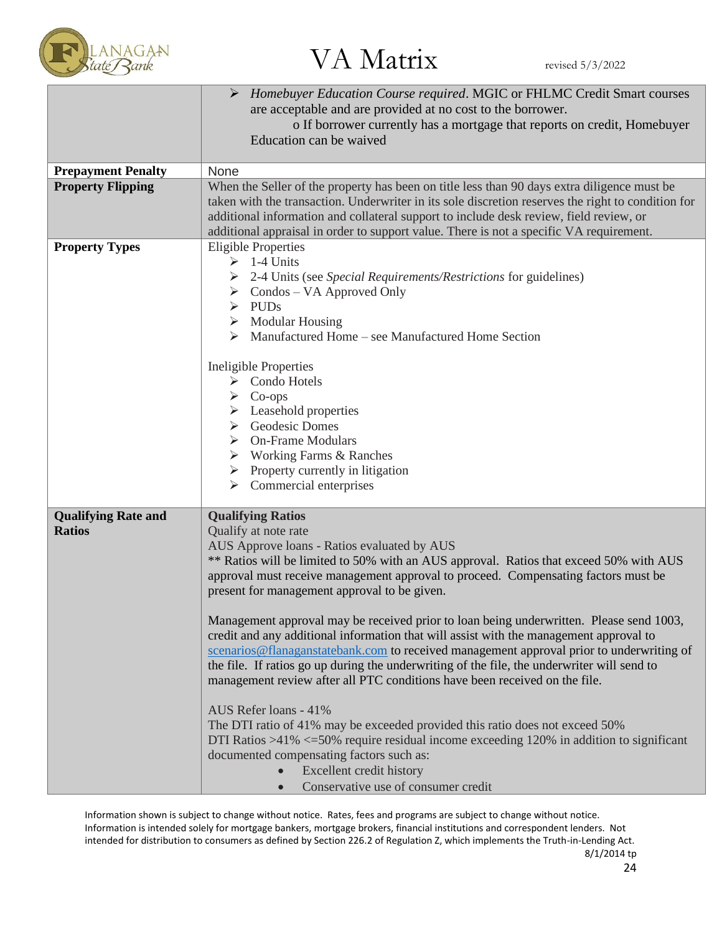

|                            | Homebuyer Education Course required. MGIC or FHLMC Credit Smart courses                            |
|----------------------------|----------------------------------------------------------------------------------------------------|
|                            | are acceptable and are provided at no cost to the borrower.                                        |
|                            | o If borrower currently has a mortgage that reports on credit, Homebuyer                           |
|                            | Education can be waived                                                                            |
|                            |                                                                                                    |
| <b>Prepayment Penalty</b>  | None                                                                                               |
| <b>Property Flipping</b>   | When the Seller of the property has been on title less than 90 days extra diligence must be        |
|                            | taken with the transaction. Underwriter in its sole discretion reserves the right to condition for |
|                            | additional information and collateral support to include desk review, field review, or             |
|                            | additional appraisal in order to support value. There is not a specific VA requirement.            |
| <b>Property Types</b>      | <b>Eligible Properties</b>                                                                         |
|                            | $\geq 1-4$ Units                                                                                   |
|                            | 2-4 Units (see Special Requirements/Restrictions for guidelines)                                   |
|                            | $\triangleright$ Condos – VA Approved Only                                                         |
|                            | $\triangleright$ PUDs                                                                              |
|                            | $\triangleright$ Modular Housing                                                                   |
|                            | Manufactured Home – see Manufactured Home Section                                                  |
|                            |                                                                                                    |
|                            | <b>Ineligible Properties</b>                                                                       |
|                            | $\triangleright$ Condo Hotels                                                                      |
|                            | $\triangleright$ Co-ops                                                                            |
|                            | $\triangleright$ Leasehold properties                                                              |
|                            | $\triangleright$ Geodesic Domes                                                                    |
|                            | <b>On-Frame Modulars</b>                                                                           |
|                            | $\triangleright$ Working Farms & Ranches                                                           |
|                            | $\triangleright$ Property currently in litigation                                                  |
|                            | $\triangleright$ Commercial enterprises                                                            |
|                            |                                                                                                    |
| <b>Qualifying Rate and</b> | <b>Qualifying Ratios</b>                                                                           |
| <b>Ratios</b>              | Qualify at note rate                                                                               |
|                            | AUS Approve loans - Ratios evaluated by AUS                                                        |
|                            | ** Ratios will be limited to 50% with an AUS approval. Ratios that exceed 50% with AUS             |
|                            | approval must receive management approval to proceed. Compensating factors must be                 |
|                            | present for management approval to be given.                                                       |
|                            |                                                                                                    |
|                            | Management approval may be received prior to loan being underwritten. Please send 1003,            |
|                            | credit and any additional information that will assist with the management approval to             |
|                            | scenarios@flanaganstatebank.com to received management approval prior to underwriting of           |
|                            | the file. If ratios go up during the underwriting of the file, the underwriter will send to        |
|                            | management review after all PTC conditions have been received on the file.                         |
|                            |                                                                                                    |
|                            | AUS Refer loans - 41%                                                                              |
|                            | The DTI ratio of 41% may be exceeded provided this ratio does not exceed 50%                       |
|                            | DTI Ratios $>41\%$ <=50% require residual income exceeding 120% in addition to significant         |
|                            | documented compensating factors such as:                                                           |
|                            | Excellent credit history<br>$\bullet$                                                              |
|                            |                                                                                                    |
|                            | Conservative use of consumer credit                                                                |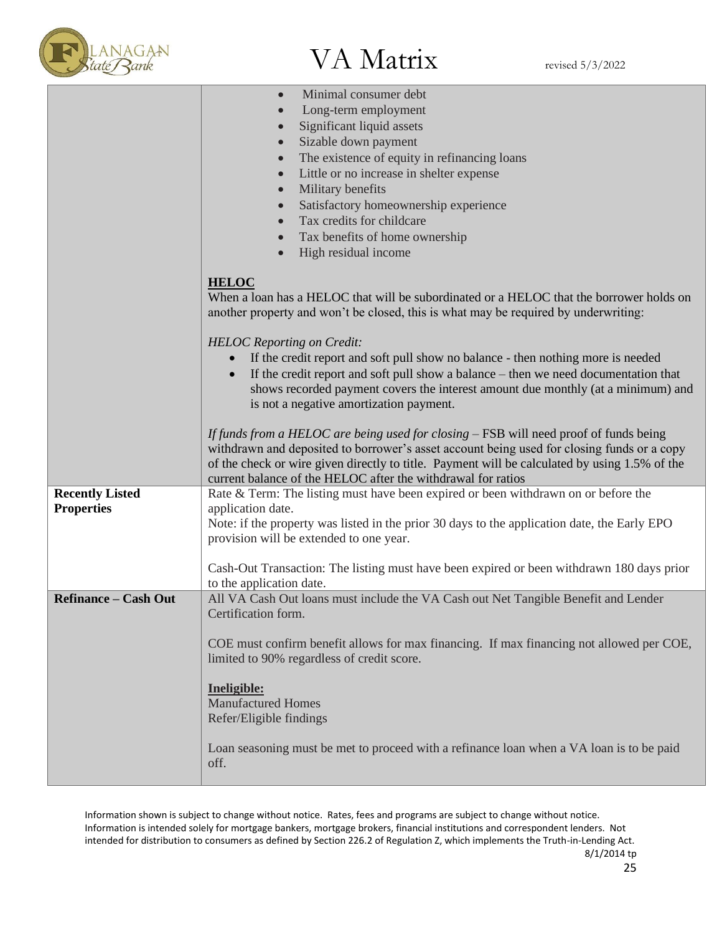

|                                             | Minimal consumer debt<br>$\bullet$<br>Long-term employment<br>$\bullet$<br>Significant liquid assets<br>$\bullet$<br>Sizable down payment<br>$\bullet$<br>The existence of equity in refinancing loans<br>$\bullet$<br>Little or no increase in shelter expense<br>$\bullet$<br>Military benefits<br>$\bullet$<br>Satisfactory homeownership experience<br>$\bullet$<br>Tax credits for childcare<br>$\bullet$<br>Tax benefits of home ownership<br>$\bullet$<br>High residual income<br>$\bullet$ |
|---------------------------------------------|----------------------------------------------------------------------------------------------------------------------------------------------------------------------------------------------------------------------------------------------------------------------------------------------------------------------------------------------------------------------------------------------------------------------------------------------------------------------------------------------------|
|                                             | <b>HELOC</b><br>When a loan has a HELOC that will be subordinated or a HELOC that the borrower holds on<br>another property and won't be closed, this is what may be required by underwriting:                                                                                                                                                                                                                                                                                                     |
|                                             | <b>HELOC</b> Reporting on Credit:<br>If the credit report and soft pull show no balance - then nothing more is needed<br>If the credit report and soft pull show a balance – then we need documentation that<br>shows recorded payment covers the interest amount due monthly (at a minimum) and<br>is not a negative amortization payment.                                                                                                                                                        |
|                                             | If funds from a HELOC are being used for closing – FSB will need proof of funds being<br>withdrawn and deposited to borrower's asset account being used for closing funds or a copy<br>of the check or wire given directly to title. Payment will be calculated by using 1.5% of the<br>current balance of the HELOC after the withdrawal for ratios                                                                                                                                               |
| <b>Recently Listed</b><br><b>Properties</b> | Rate $&$ Term: The listing must have been expired or been withdrawn on or before the<br>application date.<br>Note: if the property was listed in the prior 30 days to the application date, the Early EPO<br>provision will be extended to one year.<br>Cash-Out Transaction: The listing must have been expired or been withdrawn 180 days prior                                                                                                                                                  |
|                                             | to the application date.                                                                                                                                                                                                                                                                                                                                                                                                                                                                           |
| <b>Refinance – Cash Out</b>                 | All VA Cash Out loans must include the VA Cash out Net Tangible Benefit and Lender<br>Certification form.<br>COE must confirm benefit allows for max financing. If max financing not allowed per COE,<br>limited to 90% regardless of credit score.                                                                                                                                                                                                                                                |
|                                             | Ineligible:<br><b>Manufactured Homes</b><br>Refer/Eligible findings                                                                                                                                                                                                                                                                                                                                                                                                                                |
|                                             | Loan seasoning must be met to proceed with a refinance loan when a VA loan is to be paid<br>off.                                                                                                                                                                                                                                                                                                                                                                                                   |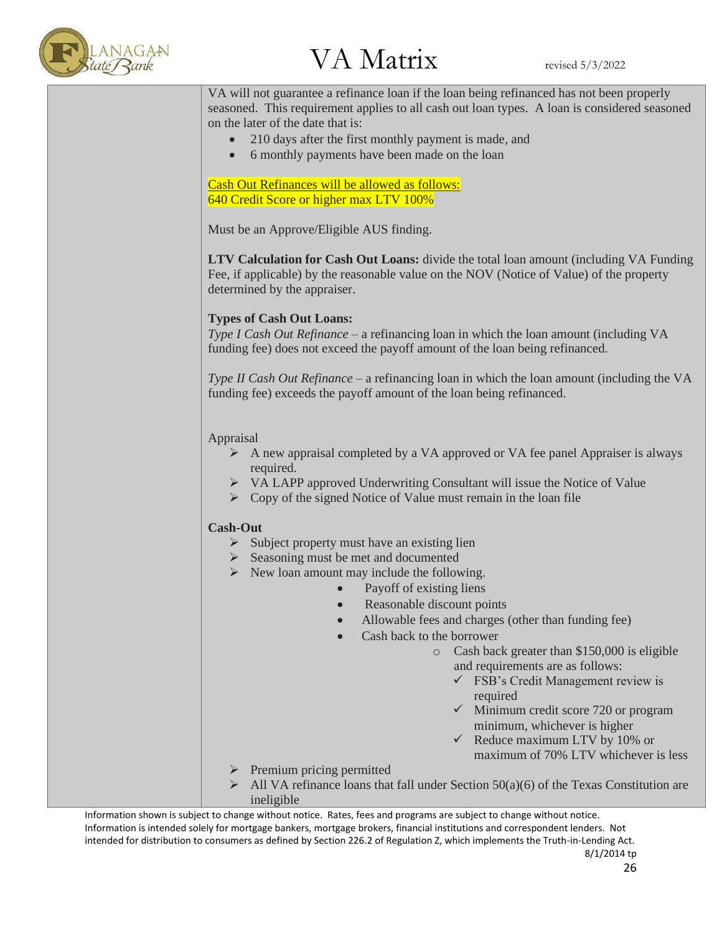

VA will not guarantee a refinance loan if the loan being refinanced has not been properly seasoned. This requirement applies to all cash out loan types. A loan is considered seasoned on the later of the date that is:

- 210 days after the first monthly payment is made, and
- 6 monthly payments have been made on the loan

Cash Out Refinances will be allowed as follows: 640 Credit Score or higher max LTV 100%

Must be an Approve/Eligible AUS finding.

**LTV Calculation for Cash Out Loans:** divide the total loan amount (including VA Funding Fee, if applicable) by the reasonable value on the NOV (Notice of Value) of the property determined by the appraiser.

### **Types of Cash Out Loans:**

*Type I Cash Out Refinance* – a refinancing loan in which the loan amount (including VA funding fee) does not exceed the payoff amount of the loan being refinanced.

*Type II Cash Out Refinance* – a refinancing loan in which the loan amount (including the VA funding fee) exceeds the payoff amount of the loan being refinanced.

#### Appraisal

- $\triangleright$  A new appraisal completed by a VA approved or VA fee panel Appraiser is always required.
- ➢ VA LAPP approved Underwriting Consultant will issue the Notice of Value
- $\triangleright$  Copy of the signed Notice of Value must remain in the loan file

#### **Cash-Out**

- $\triangleright$  Subject property must have an existing lien
- ➢ Seasoning must be met and documented
- $\triangleright$  New loan amount may include the following.
	- Payoff of existing liens
	- Reasonable discount points
		- Allowable fees and charges (other than funding fee)
	- Cash back to the borrower
		- o Cash back greater than \$150,000 is eligible and requirements are as follows:
			- $\checkmark$  FSB's Credit Management review is required
			- $\checkmark$  Minimum credit score 720 or program minimum, whichever is higher
			- $\checkmark$  Reduce maximum LTV by 10% or maximum of 70% LTV whichever is less
- ➢ Premium pricing permitted
- All VA refinance loans that fall under Section  $50(a)(6)$  of the Texas Constitution are ineligible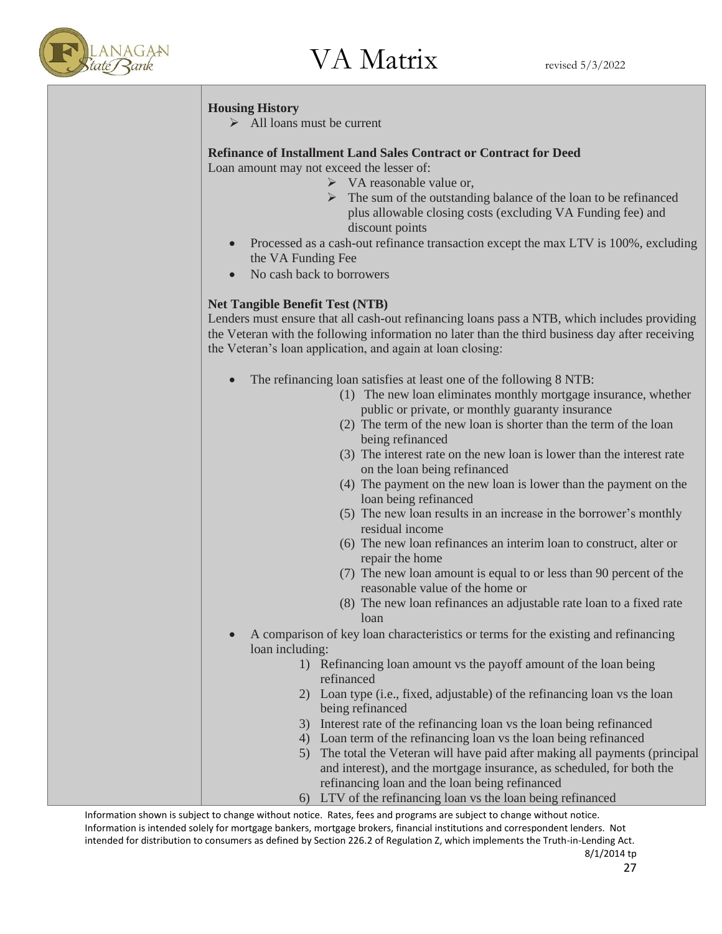

### **Housing History**

 $\triangleright$  All loans must be current

### **Refinance of Installment Land Sales Contract or Contract for Deed**

Loan amount may not exceed the lesser of:

- ➢ VA reasonable value or,
- ➢ The sum of the outstanding balance of the loan to be refinanced plus allowable closing costs (excluding VA Funding fee) and discount points
- Processed as a cash-out refinance transaction except the max LTV is 100%, excluding the VA Funding Fee
- No cash back to borrowers

### **Net Tangible Benefit Test (NTB)**

Lenders must ensure that all cash-out refinancing loans pass a NTB, which includes providing the Veteran with the following information no later than the third business day after receiving the Veteran's loan application, and again at loan closing:

- The refinancing loan satisfies at least one of the following 8 NTB:
	- (1) The new loan eliminates monthly mortgage insurance, whether public or private, or monthly guaranty insurance
	- (2) The term of the new loan is shorter than the term of the loan being refinanced
	- (3) The interest rate on the new loan is lower than the interest rate on the loan being refinanced
	- (4) The payment on the new loan is lower than the payment on the loan being refinanced
	- (5) The new loan results in an increase in the borrower's monthly residual income
	- (6) The new loan refinances an interim loan to construct, alter or repair the home
	- (7) The new loan amount is equal to or less than 90 percent of the reasonable value of the home or
	- (8) The new loan refinances an adjustable rate loan to a fixed rate loan
- A comparison of key loan characteristics or terms for the existing and refinancing loan including:
	- 1) Refinancing loan amount vs the payoff amount of the loan being refinanced
	- 2) Loan type (i.e., fixed, adjustable) of the refinancing loan vs the loan being refinanced
	- 3) Interest rate of the refinancing loan vs the loan being refinanced
	- 4) Loan term of the refinancing loan vs the loan being refinanced
	- 5) The total the Veteran will have paid after making all payments (principal and interest), and the mortgage insurance, as scheduled, for both the refinancing loan and the loan being refinanced
	- 6) LTV of the refinancing loan vs the loan being refinanced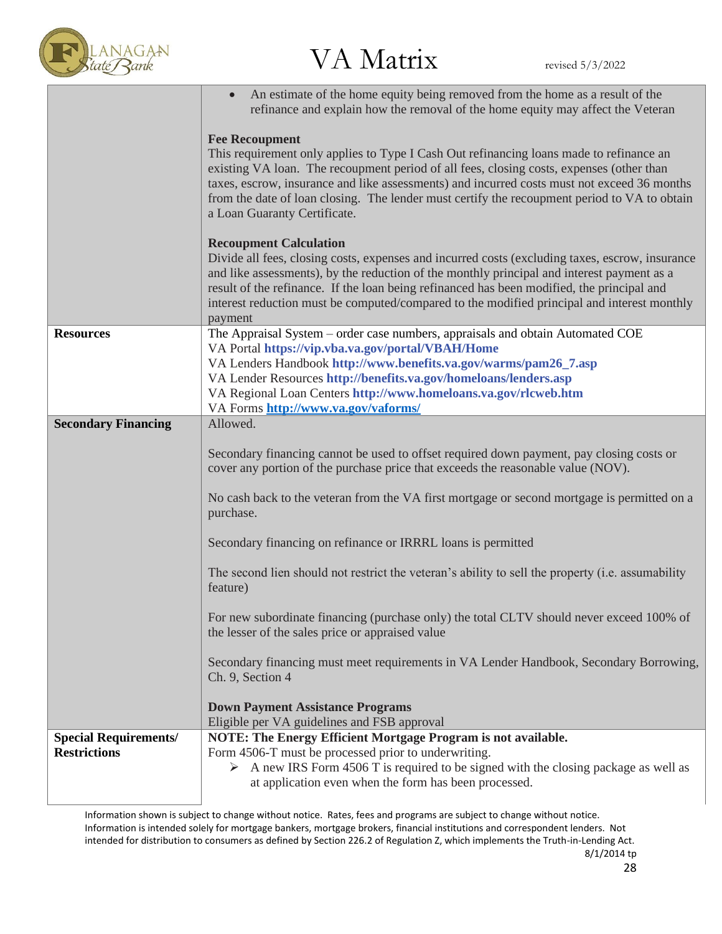

 $\frac{V}{\text{Rank}}$  VA Matrix revised 5/3/2022

|                                                     | An estimate of the home equity being removed from the home as a result of the<br>refinance and explain how the removal of the home equity may affect the Veteran                                                                                                                                                                                                                                                                                                                                                                                                                                                                                                                                                                                                                                                                              |
|-----------------------------------------------------|-----------------------------------------------------------------------------------------------------------------------------------------------------------------------------------------------------------------------------------------------------------------------------------------------------------------------------------------------------------------------------------------------------------------------------------------------------------------------------------------------------------------------------------------------------------------------------------------------------------------------------------------------------------------------------------------------------------------------------------------------------------------------------------------------------------------------------------------------|
|                                                     | <b>Fee Recoupment</b><br>This requirement only applies to Type I Cash Out refinancing loans made to refinance an<br>existing VA loan. The recoupment period of all fees, closing costs, expenses (other than<br>taxes, escrow, insurance and like assessments) and incurred costs must not exceed 36 months<br>from the date of loan closing. The lender must certify the recoupment period to VA to obtain<br>a Loan Guaranty Certificate.                                                                                                                                                                                                                                                                                                                                                                                                   |
|                                                     | <b>Recoupment Calculation</b><br>Divide all fees, closing costs, expenses and incurred costs (excluding taxes, escrow, insurance<br>and like assessments), by the reduction of the monthly principal and interest payment as a<br>result of the refinance. If the loan being refinanced has been modified, the principal and<br>interest reduction must be computed/compared to the modified principal and interest monthly<br>payment                                                                                                                                                                                                                                                                                                                                                                                                        |
| <b>Resources</b>                                    | The Appraisal System – order case numbers, appraisals and obtain Automated COE<br>VA Portal https://vip.vba.va.gov/portal/VBAH/Home<br>VA Lenders Handbook http://www.benefits.va.gov/warms/pam26_7.asp<br>VA Lender Resources http://benefits.va.gov/homeloans/lenders.asp<br>VA Regional Loan Centers http://www.homeloans.va.gov/rlcweb.htm<br>VA Forms http://www.va.gov/vaforms/                                                                                                                                                                                                                                                                                                                                                                                                                                                         |
| <b>Secondary Financing</b>                          | Allowed.<br>Secondary financing cannot be used to offset required down payment, pay closing costs or<br>cover any portion of the purchase price that exceeds the reasonable value (NOV).<br>No cash back to the veteran from the VA first mortgage or second mortgage is permitted on a<br>purchase.<br>Secondary financing on refinance or IRRRL loans is permitted<br>The second lien should not restrict the veteran's ability to sell the property (i.e. assumability<br>feature)<br>For new subordinate financing (purchase only) the total CLTV should never exceed 100% of<br>the lesser of the sales price or appraised value<br>Secondary financing must meet requirements in VA Lender Handbook, Secondary Borrowing,<br>Ch. 9, Section 4<br><b>Down Payment Assistance Programs</b><br>Eligible per VA guidelines and FSB approval |
| <b>Special Requirements/</b><br><b>Restrictions</b> | NOTE: The Energy Efficient Mortgage Program is not available.<br>Form 4506-T must be processed prior to underwriting.<br>$\triangleright$ A new IRS Form 4506 T is required to be signed with the closing package as well as<br>at application even when the form has been processed.                                                                                                                                                                                                                                                                                                                                                                                                                                                                                                                                                         |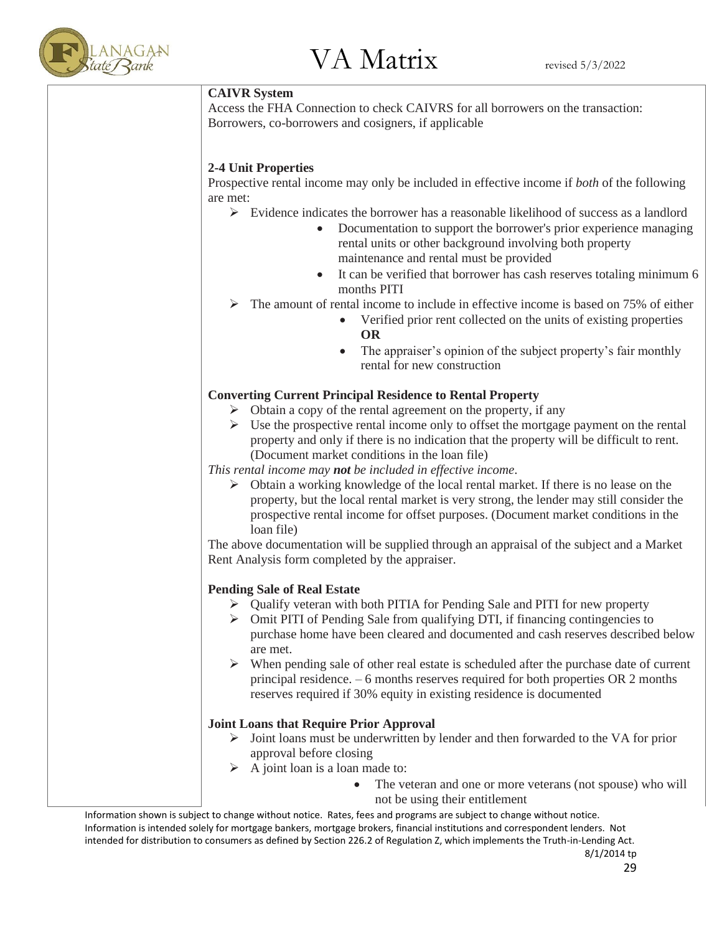

#### **CAIVR System**

Access the FHA Connection to check CAIVRS for all borrowers on the transaction: Borrowers, co-borrowers and cosigners, if applicable

### **2-4 Unit Properties**

Prospective rental income may only be included in effective income if *both* of the following are met:

- $\triangleright$  Evidence indicates the borrower has a reasonable likelihood of success as a landlord
	- Documentation to support the borrower's prior experience managing rental units or other background involving both property maintenance and rental must be provided
	- It can be verified that borrower has cash reserves totaling minimum 6 months PITI
	- The amount of rental income to include in effective income is based on 75% of either
		- Verified prior rent collected on the units of existing properties **OR**
		- The appraiser's opinion of the subject property's fair monthly rental for new construction

### **Converting Current Principal Residence to Rental Property**

- $\triangleright$  Obtain a copy of the rental agreement on the property, if any
- $\triangleright$  Use the prospective rental income only to offset the mortgage payment on the rental property and only if there is no indication that the property will be difficult to rent. (Document market conditions in the loan file)

*This rental income may not be included in effective income*.

 $\triangleright$  Obtain a working knowledge of the local rental market. If there is no lease on the property, but the local rental market is very strong, the lender may still consider the prospective rental income for offset purposes. (Document market conditions in the loan file)

The above documentation will be supplied through an appraisal of the subject and a Market Rent Analysis form completed by the appraiser.

### **Pending Sale of Real Estate**

- ➢ Qualify veteran with both PITIA for Pending Sale and PITI for new property
- $\triangleright$  Omit PITI of Pending Sale from qualifying DTI, if financing contingencies to purchase home have been cleared and documented and cash reserves described below are met.
- When pending sale of other real estate is scheduled after the purchase date of current principal residence. – 6 months reserves required for both properties OR 2 months reserves required if 30% equity in existing residence is documented

### **Joint Loans that Require Prior Approval**

- ➢ Joint loans must be underwritten by lender and then forwarded to the VA for prior approval before closing
- $\triangleright$  A joint loan is a loan made to:
	- The veteran and one or more veterans (not spouse) who will not be using their entitlement

Information shown is subject to change without notice. Rates, fees and programs are subject to change without notice. Information is intended solely for mortgage bankers, mortgage brokers, financial institutions and correspondent lenders. Not intended for distribution to consumers as defined by Section 226.2 of Regulation Z, which implements the Truth-in-Lending Act. 8/1/2014 tp

29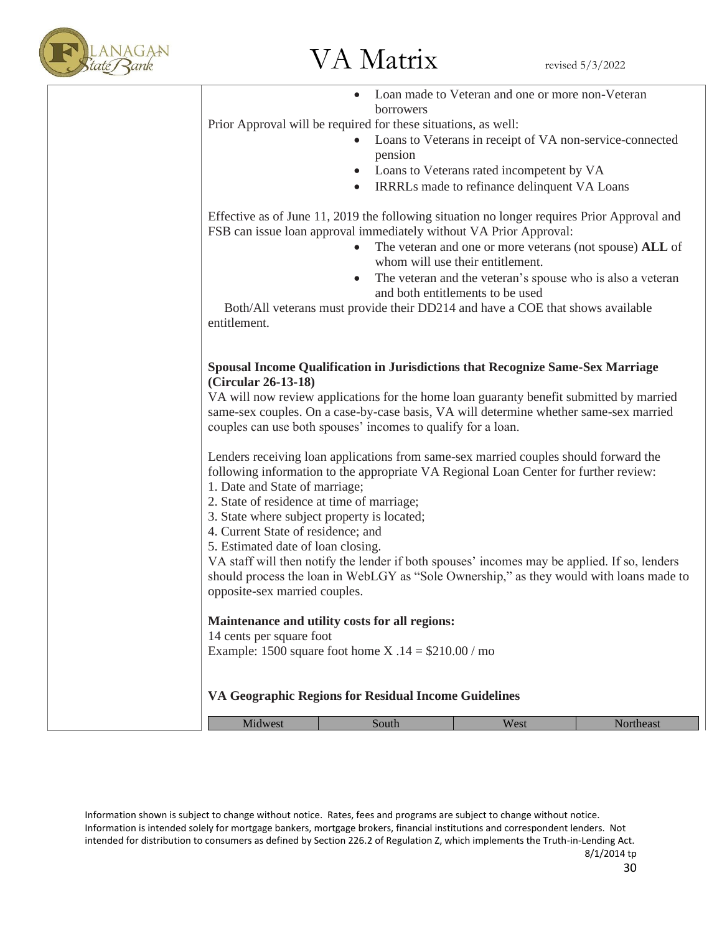

| Midwest                                                                                                                                                                                    | South                                                                                                                                                                                                                                                                                                                              | West                                                                                           | Northeast |  |  |
|--------------------------------------------------------------------------------------------------------------------------------------------------------------------------------------------|------------------------------------------------------------------------------------------------------------------------------------------------------------------------------------------------------------------------------------------------------------------------------------------------------------------------------------|------------------------------------------------------------------------------------------------|-----------|--|--|
|                                                                                                                                                                                            | Example: 1500 square foot home $X .14 = $210.00 /$ mo<br>VA Geographic Regions for Residual Income Guidelines                                                                                                                                                                                                                      |                                                                                                |           |  |  |
| 14 cents per square foot                                                                                                                                                                   | Maintenance and utility costs for all regions:                                                                                                                                                                                                                                                                                     |                                                                                                |           |  |  |
| 4. Current State of residence; and<br>5. Estimated date of loan closing.<br>opposite-sex married couples.                                                                                  | VA staff will then notify the lender if both spouses' incomes may be applied. If so, lenders<br>should process the loan in WebLGY as "Sole Ownership," as they would with loans made to                                                                                                                                            |                                                                                                |           |  |  |
| 2. State of residence at time of marriage;<br>3. State where subject property is located;                                                                                                  |                                                                                                                                                                                                                                                                                                                                    |                                                                                                |           |  |  |
| 1. Date and State of marriage;                                                                                                                                                             | Lenders receiving loan applications from same-sex married couples should forward the<br>following information to the appropriate VA Regional Loan Center for further review:                                                                                                                                                       |                                                                                                |           |  |  |
| (Circular 26-13-18)                                                                                                                                                                        | Spousal Income Qualification in Jurisdictions that Recognize Same-Sex Marriage<br>VA will now review applications for the home loan guaranty benefit submitted by married<br>same-sex couples. On a case-by-case basis, VA will determine whether same-sex married<br>couples can use both spouses' incomes to qualify for a loan. |                                                                                                |           |  |  |
| entitlement.                                                                                                                                                                               | Both/All veterans must provide their DD214 and have a COE that shows available                                                                                                                                                                                                                                                     |                                                                                                |           |  |  |
|                                                                                                                                                                                            | $\bullet$                                                                                                                                                                                                                                                                                                                          | The veteran and the veteran's spouse who is also a veteran<br>and both entitlements to be used |           |  |  |
|                                                                                                                                                                                            | Effective as of June 11, 2019 the following situation no longer requires Prior Approval and<br>FSB can issue loan approval immediately without VA Prior Approval:<br>$\bullet$                                                                                                                                                     | The veteran and one or more veterans (not spouse) ALL of<br>whom will use their entitlement.   |           |  |  |
| Loans to Veterans in receipt of VA non-service-connected<br>pension<br>Loans to Veterans rated incompetent by VA<br>$\bullet$<br>IRRRLs made to refinance delinquent VA Loans<br>$\bullet$ |                                                                                                                                                                                                                                                                                                                                    |                                                                                                |           |  |  |
|                                                                                                                                                                                            |                                                                                                                                                                                                                                                                                                                                    |                                                                                                |           |  |  |
|                                                                                                                                                                                            | borrowers                                                                                                                                                                                                                                                                                                                          |                                                                                                |           |  |  |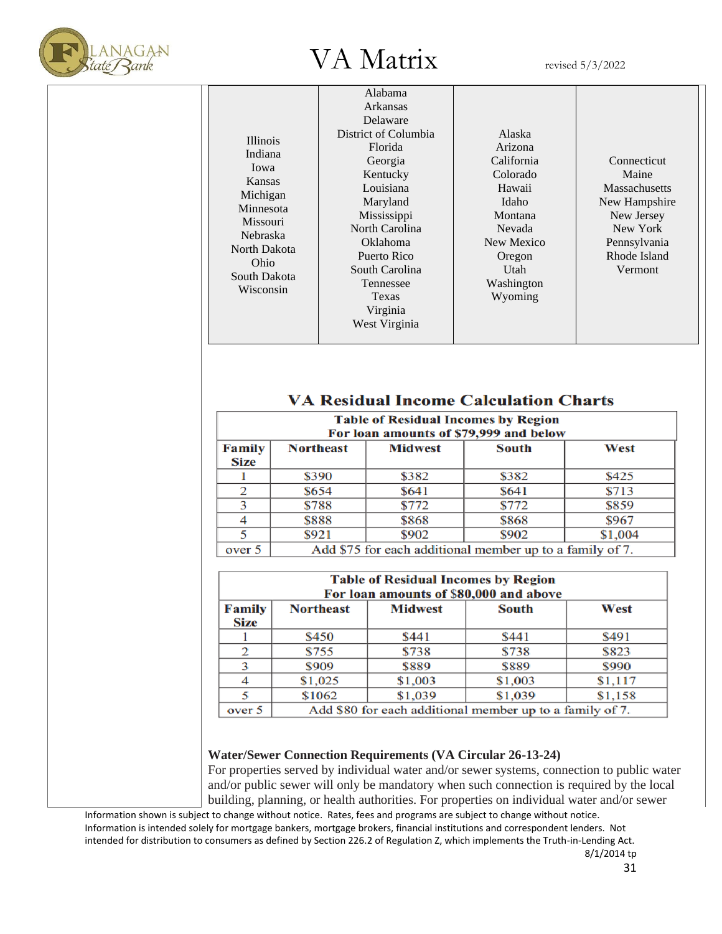

|                 | Alabama              |            |                      |
|-----------------|----------------------|------------|----------------------|
|                 | Arkansas             |            |                      |
|                 | Delaware             |            |                      |
| <b>Illinois</b> | District of Columbia | Alaska     |                      |
| Indiana         | Florida              | Arizona    |                      |
| Iowa            | Georgia              | California | Connecticut          |
| Kansas          | Kentucky             | Colorado   | Maine                |
| Michigan        | Louisiana            | Hawaii     | <b>Massachusetts</b> |
| Minnesota       | Maryland             | Idaho      | New Hampshire        |
| <b>Missouri</b> | <b>Mississippi</b>   | Montana    | New Jersey           |
| <b>Nebraska</b> | North Carolina       | Nevada     | New York             |
| North Dakota    | Oklahoma             | New Mexico | Pennsylvania         |
| Ohio            | Puerto Rico          | Oregon     | Rhode Island         |
| South Dakota    | South Carolina       | Utah       | Vermont              |
| Wisconsin       | Tennessee            | Washington |                      |
|                 | Texas                | Wyoming    |                      |
|                 | Virginia             |            |                      |
|                 | West Virginia        |            |                      |
|                 |                      |            |                      |

### **VA Residual Income Calculation Charts**

| <b>Table of Residual Incomes by Region</b><br>For loan amounts of \$79,999 and below |                                                          |                |              |         |  |  |
|--------------------------------------------------------------------------------------|----------------------------------------------------------|----------------|--------------|---------|--|--|
| <b>Family</b><br><b>Size</b>                                                         | <b>Northeast</b>                                         | <b>Midwest</b> | <b>South</b> | West    |  |  |
|                                                                                      | \$390                                                    | \$382          | \$382        | \$425   |  |  |
| っ                                                                                    | \$654                                                    | \$641          | \$641        | \$713   |  |  |
| ٦                                                                                    | \$788                                                    | \$772          | \$772        | \$859   |  |  |
|                                                                                      | \$888                                                    | \$868          | \$868        | \$967   |  |  |
|                                                                                      | \$921                                                    | \$902          | \$902        | \$1,004 |  |  |
| over 5                                                                               | Add \$75 for each additional member up to a family of 7. |                |              |         |  |  |

| <b>Table of Residual Incomes by Region</b><br>For loan amounts of \$80,000 and above |                  |                |                                                          |         |
|--------------------------------------------------------------------------------------|------------------|----------------|----------------------------------------------------------|---------|
| <b>Family</b><br>Size                                                                | <b>Northeast</b> | <b>Midwest</b> | <b>South</b>                                             | West    |
|                                                                                      | \$450            | \$441          | \$441                                                    | \$491   |
| 2                                                                                    | \$755            | \$738          | \$738                                                    | \$823   |
| 3                                                                                    | \$909            | \$889          | \$889                                                    | \$990   |
|                                                                                      | \$1,025          | \$1,003        | \$1,003                                                  | \$1,117 |
|                                                                                      | \$1062           | \$1,039        | \$1,039                                                  | \$1,158 |
| over 5                                                                               |                  |                | Add \$80 for each additional member up to a family of 7. |         |

### **Water/Sewer Connection Requirements (VA Circular 26-13-24)**

For properties served by individual water and/or sewer systems, connection to public water and/or public sewer will only be mandatory when such connection is required by the local building, planning, or health authorities. For properties on individual water and/or sewer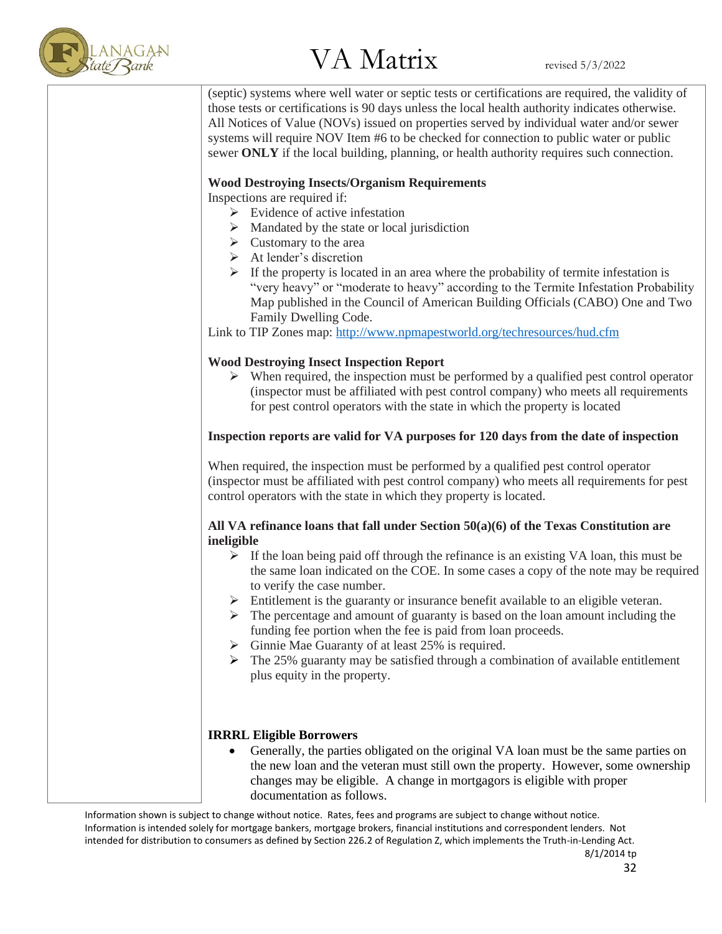

(septic) systems where well water or septic tests or certifications are required, the validity of those tests or certifications is 90 days unless the local health authority indicates otherwise. All Notices of Value (NOVs) issued on properties served by individual water and/or sewer systems will require NOV Item #6 to be checked for connection to public water or public sewer **ONLY** if the local building, planning, or health authority requires such connection.

### **Wood Destroying Insects/Organism Requirements**

Inspections are required if:

- $\triangleright$  Evidence of active infestation
- ➢ Mandated by the state or local jurisdiction
- $\triangleright$  Customary to the area
- ➢ At lender's discretion
- $\triangleright$  If the property is located in an area where the probability of termite infestation is "very heavy" or "moderate to heavy" according to the Termite Infestation Probability Map published in the Council of American Building Officials (CABO) One and Two Family Dwelling Code.

Link to TIP Zones map:<http://www.npmapestworld.org/techresources/hud.cfm>

### **Wood Destroying Insect Inspection Report**

 $\triangleright$  When required, the inspection must be performed by a qualified pest control operator (inspector must be affiliated with pest control company) who meets all requirements for pest control operators with the state in which the property is located

### **Inspection reports are valid for VA purposes for 120 days from the date of inspection**

When required, the inspection must be performed by a qualified pest control operator (inspector must be affiliated with pest control company) who meets all requirements for pest control operators with the state in which they property is located.

### **All VA refinance loans that fall under Section 50(a)(6) of the Texas Constitution are ineligible**

- $\triangleright$  If the loan being paid off through the refinance is an existing VA loan, this must be the same loan indicated on the COE. In some cases a copy of the note may be required to verify the case number.
- ➢ Entitlement is the guaranty or insurance benefit available to an eligible veteran.
- ➢ The percentage and amount of guaranty is based on the loan amount including the funding fee portion when the fee is paid from loan proceeds.
- ➢ Ginnie Mae Guaranty of at least 25% is required.
- $\triangleright$  The 25% guaranty may be satisfied through a combination of available entitlement plus equity in the property.

### **IRRRL Eligible Borrowers**

Generally, the parties obligated on the original VA loan must be the same parties on the new loan and the veteran must still own the property. However, some ownership changes may be eligible. A change in mortgagors is eligible with proper documentation as follows.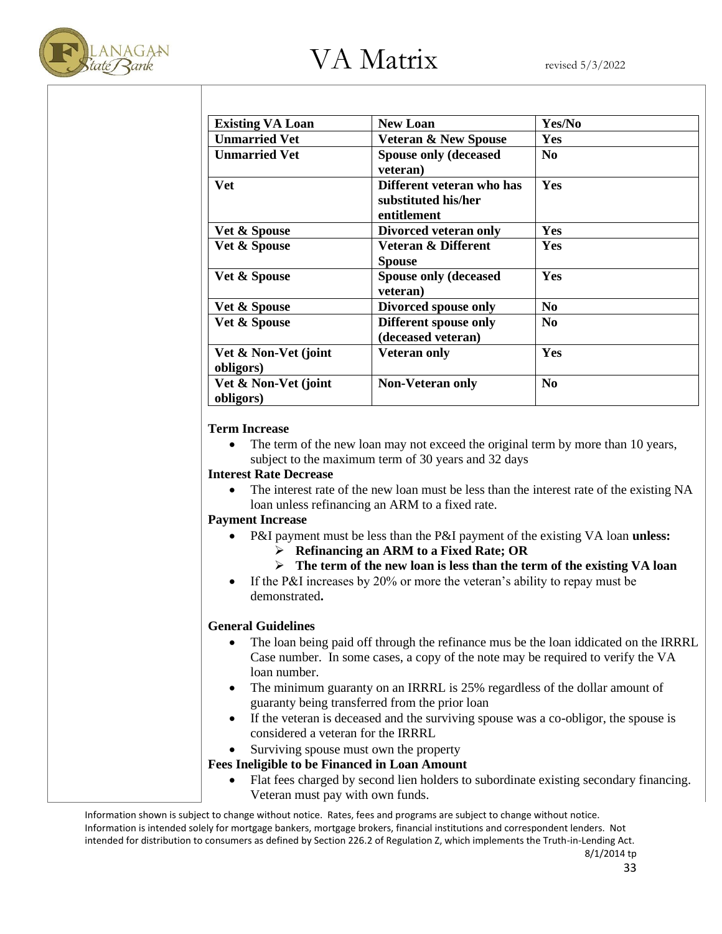

| <b>Existing VA Loan</b>           | <b>New Loan</b>                                                 | Yes/No         |
|-----------------------------------|-----------------------------------------------------------------|----------------|
| <b>Unmarried Vet</b>              | <b>Veteran &amp; New Spouse</b>                                 | Yes            |
| <b>Unmarried Vet</b>              | <b>Spouse only (deceased)</b><br>veteran)                       | N <sub>0</sub> |
| Vet                               | Different veteran who has<br>substituted his/her<br>entitlement | Yes            |
| Vet & Spouse                      | Divorced veteran only                                           | Yes            |
| Vet & Spouse                      | Veteran & Different<br><b>Spouse</b>                            | <b>Yes</b>     |
| Vet & Spouse                      | <b>Spouse only (deceased)</b><br>veteran)                       | Yes            |
| Vet & Spouse                      | Divorced spouse only                                            | $\bf No$       |
| <b>Vet &amp; Spouse</b>           | Different spouse only<br>(deceased veteran)                     | N <sub>0</sub> |
| Vet & Non-Vet (joint<br>obligors) | <b>Veteran only</b>                                             | Yes            |
| Vet & Non-Vet (joint<br>obligors) | <b>Non-Veteran only</b>                                         | $\bf No$       |

#### **Term Increase**

• The term of the new loan may not exceed the original term by more than 10 years, subject to the maximum term of 30 years and 32 days

#### **Interest Rate Decrease**

The interest rate of the new loan must be less than the interest rate of the existing NA loan unless refinancing an ARM to a fixed rate.

#### **Payment Increase**

- P&I payment must be less than the P&I payment of the existing VA loan **unless:**
	- ➢ **Refinancing an ARM to a Fixed Rate; OR**
	- ➢ **The term of the new loan is less than the term of the existing VA loan**
- If the P&I increases by 20% or more the veteran's ability to repay must be demonstrated**.**

### **General Guidelines**

- The loan being paid off through the refinance mus be the loan iddicated on the IRRRL Case number. In some cases, a copy of the note may be required to verify the VA loan number.
- The minimum guaranty on an IRRRL is 25% regardless of the dollar amount of guaranty being transferred from the prior loan
- If the veteran is deceased and the surviving spouse was a co-obligor, the spouse is considered a veteran for the IRRRL
- Surviving spouse must own the property

### **Fees Ineligible to be Financed in Loan Amount**

• Flat fees charged by second lien holders to subordinate existing secondary financing. Veteran must pay with own funds.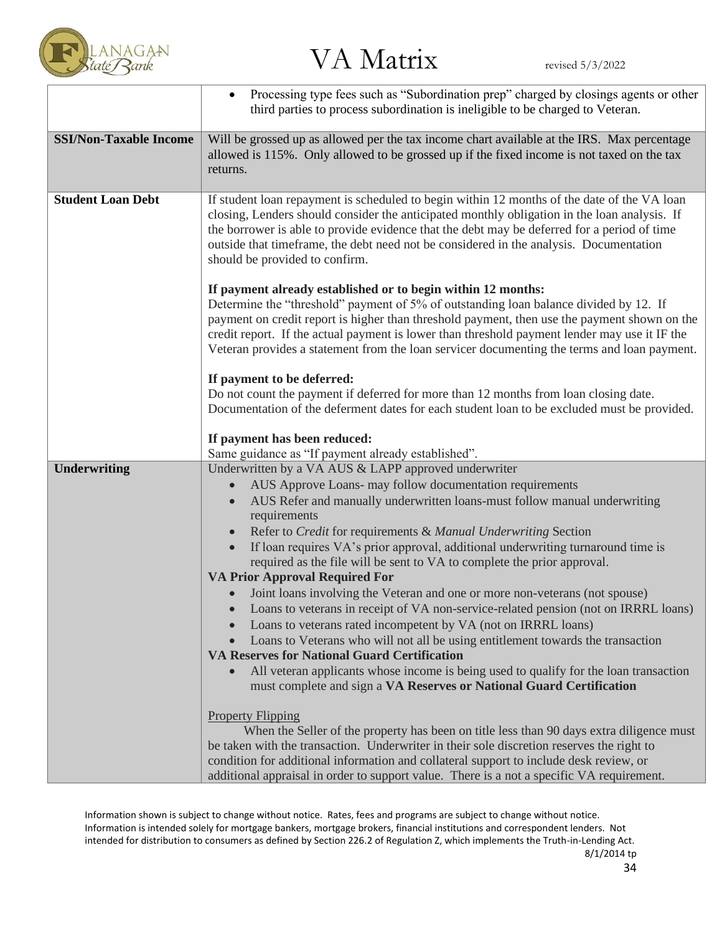

|                               | Processing type fees such as "Subordination prep" charged by closings agents or other<br>third parties to process subordination is ineligible to be charged to Veteran.                                                                                                                                                                                                                                                                               |  |
|-------------------------------|-------------------------------------------------------------------------------------------------------------------------------------------------------------------------------------------------------------------------------------------------------------------------------------------------------------------------------------------------------------------------------------------------------------------------------------------------------|--|
| <b>SSI/Non-Taxable Income</b> | Will be grossed up as allowed per the tax income chart available at the IRS. Max percentage<br>allowed is 115%. Only allowed to be grossed up if the fixed income is not taxed on the tax<br>returns.                                                                                                                                                                                                                                                 |  |
| <b>Student Loan Debt</b>      | If student loan repayment is scheduled to begin within 12 months of the date of the VA loan<br>closing, Lenders should consider the anticipated monthly obligation in the loan analysis. If<br>the borrower is able to provide evidence that the debt may be deferred for a period of time<br>outside that timeframe, the debt need not be considered in the analysis. Documentation<br>should be provided to confirm.                                |  |
|                               | If payment already established or to begin within 12 months:<br>Determine the "threshold" payment of 5% of outstanding loan balance divided by 12. If<br>payment on credit report is higher than threshold payment, then use the payment shown on the<br>credit report. If the actual payment is lower than threshold payment lender may use it IF the<br>Veteran provides a statement from the loan servicer documenting the terms and loan payment. |  |
|                               | If payment to be deferred:<br>Do not count the payment if deferred for more than 12 months from loan closing date.<br>Documentation of the deferment dates for each student loan to be excluded must be provided.                                                                                                                                                                                                                                     |  |
|                               | If payment has been reduced:<br>Same guidance as "If payment already established".                                                                                                                                                                                                                                                                                                                                                                    |  |
| <b>Underwriting</b>           | Underwritten by a VA AUS & LAPP approved underwriter                                                                                                                                                                                                                                                                                                                                                                                                  |  |
|                               | AUS Approve Loans- may follow documentation requirements                                                                                                                                                                                                                                                                                                                                                                                              |  |
|                               | AUS Refer and manually underwritten loans-must follow manual underwriting                                                                                                                                                                                                                                                                                                                                                                             |  |
|                               | requirements                                                                                                                                                                                                                                                                                                                                                                                                                                          |  |
|                               | Refer to Credit for requirements & Manual Underwriting Section                                                                                                                                                                                                                                                                                                                                                                                        |  |
|                               | If loan requires VA's prior approval, additional underwriting turnaround time is<br>required as the file will be sent to VA to complete the prior approval.                                                                                                                                                                                                                                                                                           |  |
|                               | <b>VA Prior Approval Required For</b>                                                                                                                                                                                                                                                                                                                                                                                                                 |  |
|                               | Joint loans involving the Veteran and one or more non-veterans (not spouse)                                                                                                                                                                                                                                                                                                                                                                           |  |
|                               | Loans to veterans in receipt of VA non-service-related pension (not on IRRRL loans)<br>Loans to veterans rated incompetent by VA (not on IRRRL loans)                                                                                                                                                                                                                                                                                                 |  |
|                               | Loans to Veterans who will not all be using entitlement towards the transaction<br>$\bullet$                                                                                                                                                                                                                                                                                                                                                          |  |
|                               | <b>VA Reserves for National Guard Certification</b>                                                                                                                                                                                                                                                                                                                                                                                                   |  |
|                               | All veteran applicants whose income is being used to qualify for the loan transaction<br>must complete and sign a VA Reserves or National Guard Certification                                                                                                                                                                                                                                                                                         |  |
|                               | <b>Property Flipping</b>                                                                                                                                                                                                                                                                                                                                                                                                                              |  |
|                               | When the Seller of the property has been on title less than 90 days extra diligence must<br>be taken with the transaction. Underwriter in their sole discretion reserves the right to                                                                                                                                                                                                                                                                 |  |
|                               | condition for additional information and collateral support to include desk review, or<br>additional appraisal in order to support value. There is a not a specific VA requirement.                                                                                                                                                                                                                                                                   |  |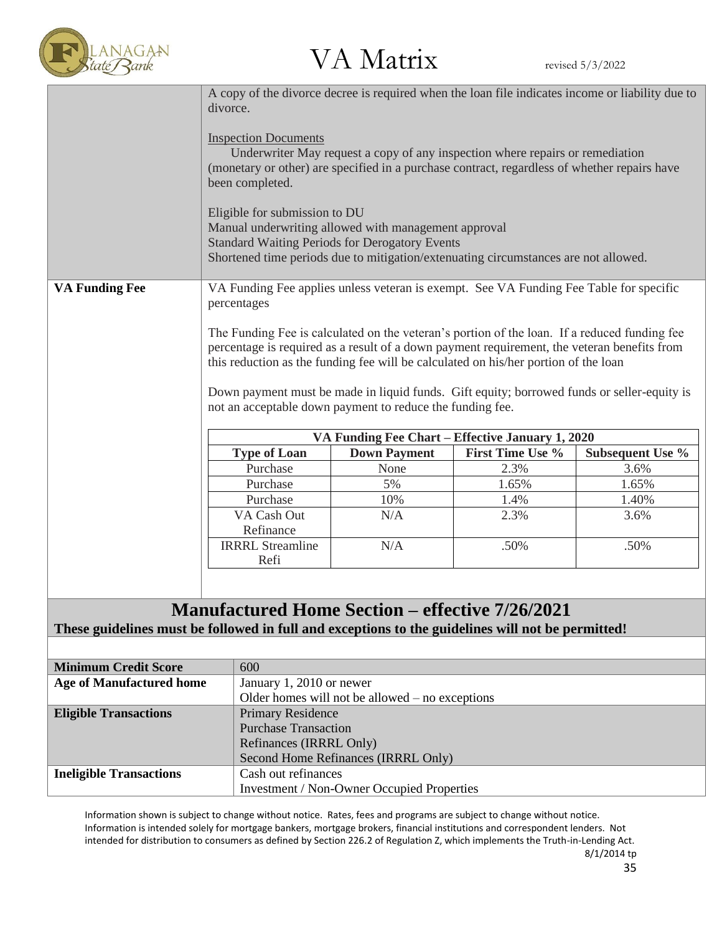

 $\text{LANAGAN}$ <br>  $\text{VANAGAN}$   $\text{VAN}$   $\text{Matrix}$  revised 5/3/2022

|                                                                                                   | A copy of the divorce decree is required when the loan file indicates income or liability due to<br>divorce.                                                                                                                                                                                                                                                                                                                                  |                                                                                        |                                                                               |                  |  |
|---------------------------------------------------------------------------------------------------|-----------------------------------------------------------------------------------------------------------------------------------------------------------------------------------------------------------------------------------------------------------------------------------------------------------------------------------------------------------------------------------------------------------------------------------------------|----------------------------------------------------------------------------------------|-------------------------------------------------------------------------------|------------------|--|
|                                                                                                   | <b>Inspection Documents</b><br>(monetary or other) are specified in a purchase contract, regardless of whether repairs have<br>been completed.<br>Eligible for submission to DU<br>Manual underwriting allowed with management approval<br><b>Standard Waiting Periods for Derogatory Events</b><br>Shortened time periods due to mitigation/extenuating circumstances are not allowed.                                                       |                                                                                        | Underwriter May request a copy of any inspection where repairs or remediation |                  |  |
| <b>VA Funding Fee</b>                                                                             | percentages                                                                                                                                                                                                                                                                                                                                                                                                                                   | VA Funding Fee applies unless veteran is exempt. See VA Funding Fee Table for specific |                                                                               |                  |  |
|                                                                                                   | The Funding Fee is calculated on the veteran's portion of the loan. If a reduced funding fee<br>percentage is required as a result of a down payment requirement, the veteran benefits from<br>this reduction as the funding fee will be calculated on his/her portion of the loan<br>Down payment must be made in liquid funds. Gift equity; borrowed funds or seller-equity is<br>not an acceptable down payment to reduce the funding fee. |                                                                                        |                                                                               |                  |  |
|                                                                                                   |                                                                                                                                                                                                                                                                                                                                                                                                                                               |                                                                                        | VA Funding Fee Chart - Effective January 1, 2020                              |                  |  |
|                                                                                                   | <b>Type of Loan</b>                                                                                                                                                                                                                                                                                                                                                                                                                           | <b>Down Payment</b>                                                                    | First Time Use %                                                              | Subsequent Use % |  |
|                                                                                                   | Purchase                                                                                                                                                                                                                                                                                                                                                                                                                                      | None                                                                                   | 2.3%                                                                          | 3.6%             |  |
|                                                                                                   | Purchase                                                                                                                                                                                                                                                                                                                                                                                                                                      | 5%                                                                                     | 1.65%                                                                         | 1.65%            |  |
|                                                                                                   | Purchase                                                                                                                                                                                                                                                                                                                                                                                                                                      | 10%                                                                                    | 1.4%                                                                          | 1.40%            |  |
|                                                                                                   | VA Cash Out<br>Refinance                                                                                                                                                                                                                                                                                                                                                                                                                      | N/A                                                                                    | 2.3%                                                                          | 3.6%             |  |
|                                                                                                   | <b>IRRRL Streamline</b><br>Refi                                                                                                                                                                                                                                                                                                                                                                                                               | N/A                                                                                    | .50%                                                                          | .50%             |  |
|                                                                                                   |                                                                                                                                                                                                                                                                                                                                                                                                                                               |                                                                                        |                                                                               |                  |  |
|                                                                                                   | <b>Manufactured Home Section – effective 7/26/2021</b>                                                                                                                                                                                                                                                                                                                                                                                        |                                                                                        |                                                                               |                  |  |
| These guidelines must be followed in full and exceptions to the guidelines will not be permitted! |                                                                                                                                                                                                                                                                                                                                                                                                                                               |                                                                                        |                                                                               |                  |  |
|                                                                                                   |                                                                                                                                                                                                                                                                                                                                                                                                                                               |                                                                                        |                                                                               |                  |  |
| <b>Minimum Credit Score</b>                                                                       | 600                                                                                                                                                                                                                                                                                                                                                                                                                                           |                                                                                        |                                                                               |                  |  |
| <b>Age of Manufactured home</b>                                                                   | January 1, 2010 or newer                                                                                                                                                                                                                                                                                                                                                                                                                      |                                                                                        |                                                                               |                  |  |
|                                                                                                   | Older homes will not be allowed $-$ no exceptions                                                                                                                                                                                                                                                                                                                                                                                             |                                                                                        |                                                                               |                  |  |
| <b>Eligible Transactions</b>                                                                      |                                                                                                                                                                                                                                                                                                                                                                                                                                               | <b>Primary Residence</b>                                                               |                                                                               |                  |  |
|                                                                                                   | <b>Purchase Transaction</b>                                                                                                                                                                                                                                                                                                                                                                                                                   |                                                                                        |                                                                               |                  |  |
|                                                                                                   |                                                                                                                                                                                                                                                                                                                                                                                                                                               | Refinances (IRRRL Only)                                                                |                                                                               |                  |  |
| <b>Ineligible Transactions</b>                                                                    | Cash out refinances                                                                                                                                                                                                                                                                                                                                                                                                                           | Second Home Refinances (IRRRL Only)                                                    |                                                                               |                  |  |
|                                                                                                   |                                                                                                                                                                                                                                                                                                                                                                                                                                               | <b>Investment / Non-Owner Occupied Properties</b>                                      |                                                                               |                  |  |
|                                                                                                   | Information shown is subject to change without notice. Rates, fees and programs are subject to change without notice.                                                                                                                                                                                                                                                                                                                         |                                                                                        |                                                                               |                  |  |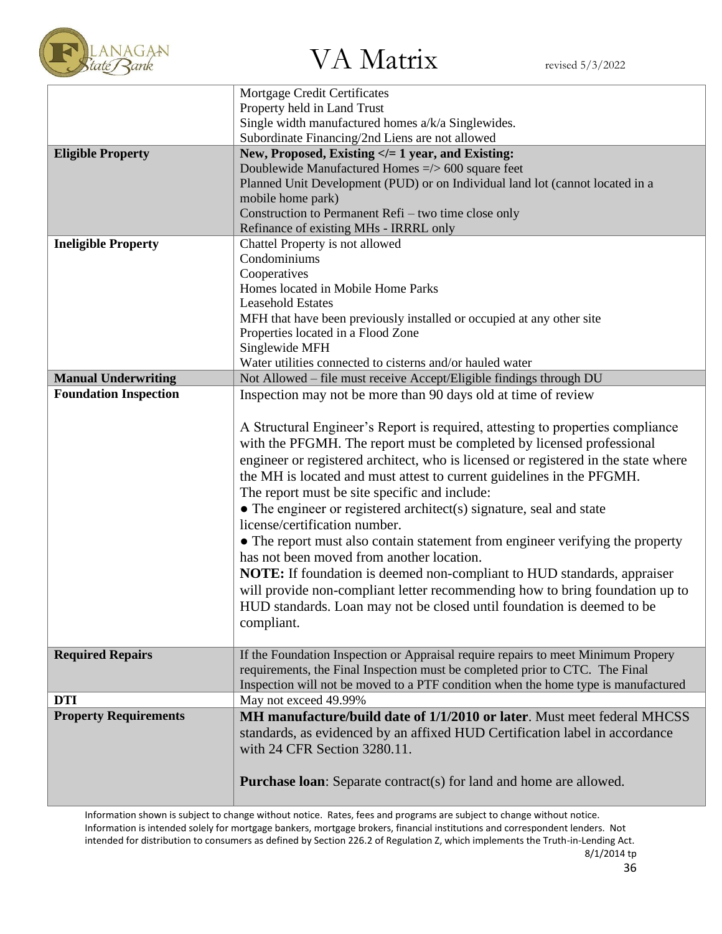

 $\mathbb{V}$ A Matrix revised 5/3/2022

|                              | Mortgage Credit Certificates                                                       |  |
|------------------------------|------------------------------------------------------------------------------------|--|
|                              | Property held in Land Trust<br>Single width manufactured homes a/k/a Singlewides.  |  |
|                              | Subordinate Financing/2nd Liens are not allowed                                    |  |
| <b>Eligible Property</b>     | New, Proposed, Existing = 1 year, and Existing:</th                                |  |
|                              | Doublewide Manufactured Homes =/> 600 square feet                                  |  |
|                              | Planned Unit Development (PUD) or on Individual land lot (cannot located in a      |  |
|                              | mobile home park)                                                                  |  |
|                              | Construction to Permanent Refi - two time close only                               |  |
|                              | Refinance of existing MHs - IRRRL only                                             |  |
| <b>Ineligible Property</b>   | Chattel Property is not allowed                                                    |  |
|                              | Condominiums                                                                       |  |
|                              | Cooperatives                                                                       |  |
|                              | Homes located in Mobile Home Parks                                                 |  |
|                              | <b>Leasehold Estates</b>                                                           |  |
|                              | MFH that have been previously installed or occupied at any other site              |  |
|                              | Properties located in a Flood Zone                                                 |  |
|                              | Singlewide MFH                                                                     |  |
|                              | Water utilities connected to cisterns and/or hauled water                          |  |
| <b>Manual Underwriting</b>   | Not Allowed - file must receive Accept/Eligible findings through DU                |  |
| <b>Foundation Inspection</b> | Inspection may not be more than 90 days old at time of review                      |  |
|                              |                                                                                    |  |
|                              | A Structural Engineer's Report is required, attesting to properties compliance     |  |
|                              | with the PFGMH. The report must be completed by licensed professional              |  |
|                              | engineer or registered architect, who is licensed or registered in the state where |  |
|                              | the MH is located and must attest to current guidelines in the PFGMH.              |  |
|                              | The report must be site specific and include:                                      |  |
|                              | • The engineer or registered architect(s) signature, seal and state                |  |
|                              | license/certification number.                                                      |  |
|                              | • The report must also contain statement from engineer verifying the property      |  |
|                              | has not been moved from another location.                                          |  |
|                              | <b>NOTE:</b> If foundation is deemed non-compliant to HUD standards, appraiser     |  |
|                              |                                                                                    |  |
|                              | will provide non-compliant letter recommending how to bring foundation up to       |  |
|                              | HUD standards. Loan may not be closed until foundation is deemed to be             |  |
|                              | compliant.                                                                         |  |
| <b>Required Repairs</b>      | If the Foundation Inspection or Appraisal require repairs to meet Minimum Propery  |  |
|                              | requirements, the Final Inspection must be completed prior to CTC. The Final       |  |
|                              | Inspection will not be moved to a PTF condition when the home type is manufactured |  |
| <b>DTI</b>                   | May not exceed 49.99%                                                              |  |
| <b>Property Requirements</b> | MH manufacture/build date of 1/1/2010 or later. Must meet federal MHCSS            |  |
|                              |                                                                                    |  |
|                              |                                                                                    |  |
|                              | standards, as evidenced by an affixed HUD Certification label in accordance        |  |
|                              | with 24 CFR Section 3280.11.                                                       |  |
|                              | <b>Purchase loan:</b> Separate contract(s) for land and home are allowed.          |  |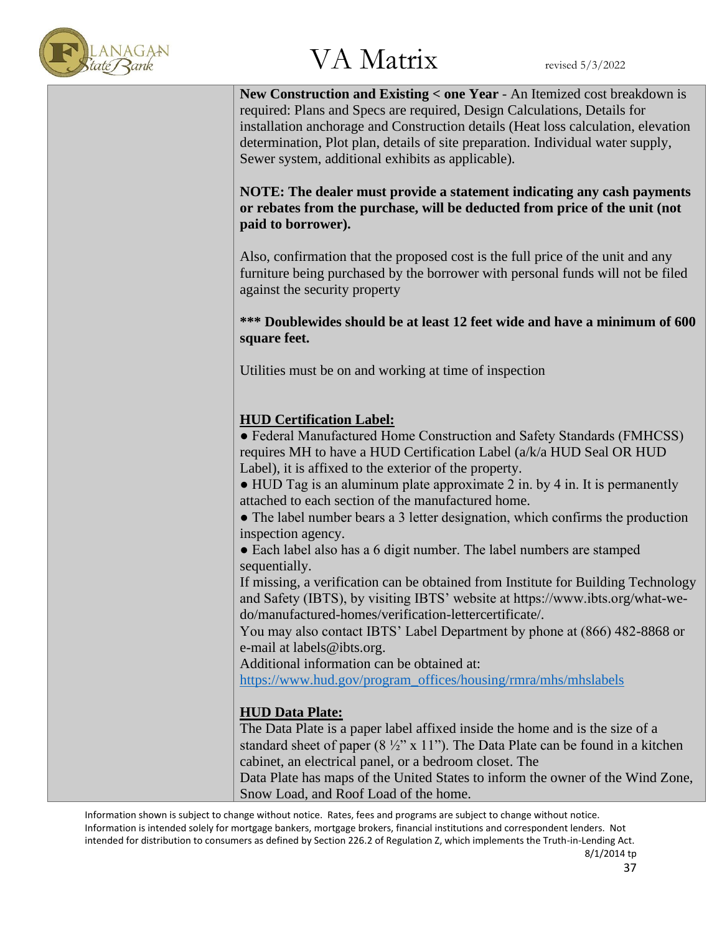

**New Construction and Existing < one Year** - An Itemized cost breakdown is required: Plans and Specs are required, Design Calculations, Details for installation anchorage and Construction details (Heat loss calculation, elevation determination, Plot plan, details of site preparation. Individual water supply, Sewer system, additional exhibits as applicable).

**NOTE: The dealer must provide a statement indicating any cash payments or rebates from the purchase, will be deducted from price of the unit (not paid to borrower).**

Also, confirmation that the proposed cost is the full price of the unit and any furniture being purchased by the borrower with personal funds will not be filed against the security property

**\*\*\* Doublewides should be at least 12 feet wide and have a minimum of 600 square feet.**

Utilities must be on and working at time of inspection

### **HUD Certification Label:**

● Federal Manufactured Home Construction and Safety Standards (FMHCSS) requires MH to have a HUD Certification Label (a/k/a HUD Seal OR HUD Label), it is affixed to the exterior of the property.

• HUD Tag is an aluminum plate approximate 2 in. by 4 in. It is permanently attached to each section of the manufactured home.

• The label number bears a 3 letter designation, which confirms the production inspection agency.

• Each label also has a 6 digit number. The label numbers are stamped sequentially.

If missing, a verification can be obtained from Institute for Building Technology and Safety (IBTS), by visiting IBTS' website at https://www.ibts.org/what-wedo/manufactured-homes/verification-lettercertificate/.

You may also contact IBTS' Label Department by phone at (866) 482-8868 or e-mail at labels@ibts.org.

Additional information can be obtained at:

[https://www.hud.gov/program\\_offices/housing/rmra/mhs/mhslabels](https://www.hud.gov/program_offices/housing/rmra/mhs/mhslabels)

### **HUD Data Plate:**

The Data Plate is a paper label affixed inside the home and is the size of a standard sheet of paper  $(8 \frac{1}{2} x 11)$ . The Data Plate can be found in a kitchen cabinet, an electrical panel, or a bedroom closet. The

Data Plate has maps of the United States to inform the owner of the Wind Zone, Snow Load, and Roof Load of the home.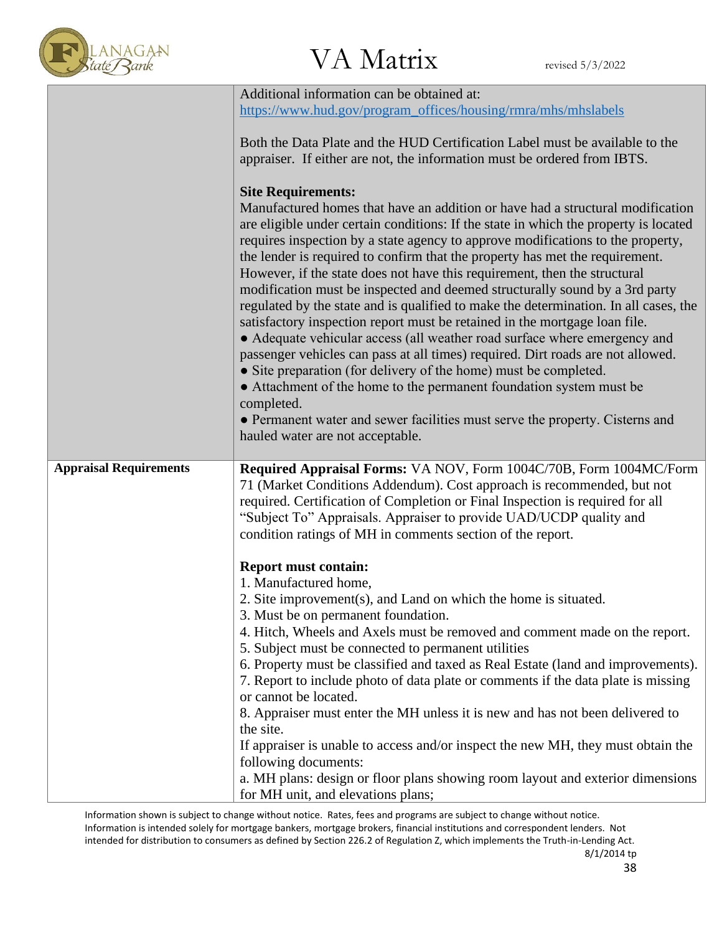

|                               | Additional information can be obtained at:                                                                                              |
|-------------------------------|-----------------------------------------------------------------------------------------------------------------------------------------|
|                               | https://www.hud.gov/program_offices/housing/rmra/mhs/mhslabels                                                                          |
|                               |                                                                                                                                         |
|                               | Both the Data Plate and the HUD Certification Label must be available to the                                                            |
|                               | appraiser. If either are not, the information must be ordered from IBTS.                                                                |
|                               |                                                                                                                                         |
|                               | <b>Site Requirements:</b>                                                                                                               |
|                               | Manufactured homes that have an addition or have had a structural modification                                                          |
|                               | are eligible under certain conditions: If the state in which the property is located                                                    |
|                               | requires inspection by a state agency to approve modifications to the property,                                                         |
|                               | the lender is required to confirm that the property has met the requirement.                                                            |
|                               | However, if the state does not have this requirement, then the structural                                                               |
|                               | modification must be inspected and deemed structurally sound by a 3rd party                                                             |
|                               | regulated by the state and is qualified to make the determination. In all cases, the                                                    |
|                               | satisfactory inspection report must be retained in the mortgage loan file.                                                              |
|                               | • Adequate vehicular access (all weather road surface where emergency and                                                               |
|                               | passenger vehicles can pass at all times) required. Dirt roads are not allowed.                                                         |
|                               | • Site preparation (for delivery of the home) must be completed.<br>• Attachment of the home to the permanent foundation system must be |
|                               | completed.                                                                                                                              |
|                               | • Permanent water and sewer facilities must serve the property. Cisterns and                                                            |
|                               | hauled water are not acceptable.                                                                                                        |
|                               |                                                                                                                                         |
| <b>Appraisal Requirements</b> | Required Appraisal Forms: VA NOV, Form 1004C/70B, Form 1004MC/Form                                                                      |
|                               | 71 (Market Conditions Addendum). Cost approach is recommended, but not                                                                  |
|                               | required. Certification of Completion or Final Inspection is required for all                                                           |
|                               | "Subject To" Appraisals. Appraiser to provide UAD/UCDP quality and                                                                      |
|                               | condition ratings of MH in comments section of the report.                                                                              |
|                               |                                                                                                                                         |
|                               | <b>Report must contain:</b>                                                                                                             |
|                               | 1. Manufactured home,                                                                                                                   |
|                               | 2. Site improvement(s), and Land on which the home is situated.                                                                         |
|                               | 3. Must be on permanent foundation.                                                                                                     |
|                               | 4. Hitch, Wheels and Axels must be removed and comment made on the report.                                                              |
|                               | 5. Subject must be connected to permanent utilities                                                                                     |
|                               | 6. Property must be classified and taxed as Real Estate (land and improvements).                                                        |
|                               | 7. Report to include photo of data plate or comments if the data plate is missing                                                       |
|                               | or cannot be located.                                                                                                                   |
|                               | 8. Appraiser must enter the MH unless it is new and has not been delivered to                                                           |
|                               | the site.                                                                                                                               |
|                               | If appraiser is unable to access and/or inspect the new MH, they must obtain the                                                        |
|                               | following documents:                                                                                                                    |
|                               | a. MH plans: design or floor plans showing room layout and exterior dimensions                                                          |
|                               | for MH unit, and elevations plans;                                                                                                      |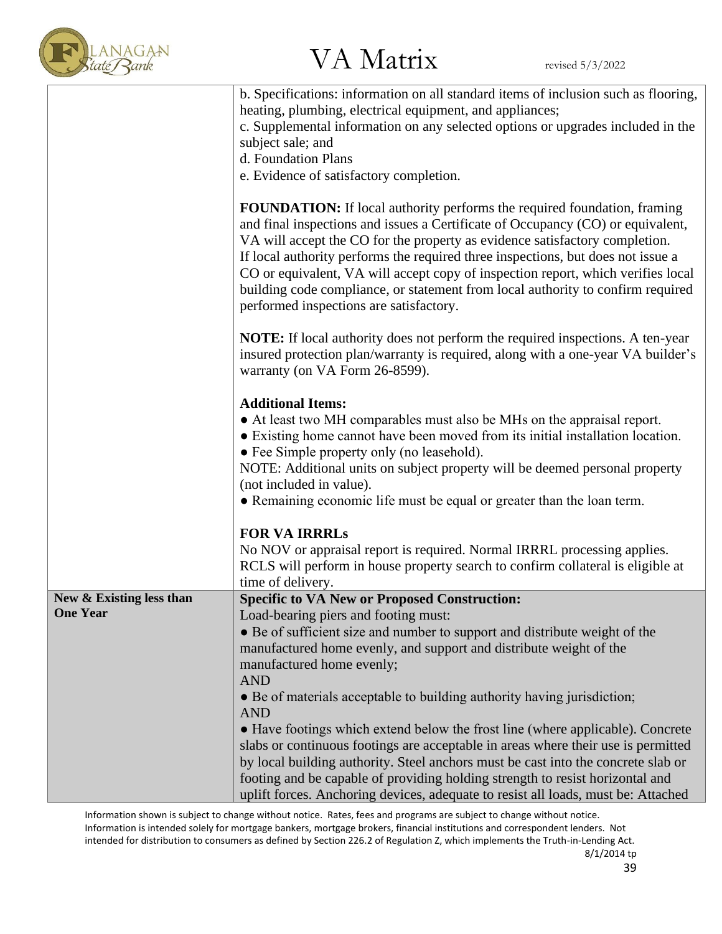

|                                             | b. Specifications: information on all standard items of inclusion such as flooring,<br>heating, plumbing, electrical equipment, and appliances;<br>c. Supplemental information on any selected options or upgrades included in the<br>subject sale; and<br>d. Foundation Plans<br>e. Evidence of satisfactory completion.                                                                                                                                                                                                                        |
|---------------------------------------------|--------------------------------------------------------------------------------------------------------------------------------------------------------------------------------------------------------------------------------------------------------------------------------------------------------------------------------------------------------------------------------------------------------------------------------------------------------------------------------------------------------------------------------------------------|
|                                             | FOUNDATION: If local authority performs the required foundation, framing<br>and final inspections and issues a Certificate of Occupancy (CO) or equivalent,<br>VA will accept the CO for the property as evidence satisfactory completion.<br>If local authority performs the required three inspections, but does not issue a<br>CO or equivalent, VA will accept copy of inspection report, which verifies local<br>building code compliance, or statement from local authority to confirm required<br>performed inspections are satisfactory. |
|                                             | <b>NOTE:</b> If local authority does not perform the required inspections. A ten-year<br>insured protection plan/warranty is required, along with a one-year VA builder's<br>warranty (on VA Form 26-8599).                                                                                                                                                                                                                                                                                                                                      |
|                                             | <b>Additional Items:</b><br>• At least two MH comparables must also be MHs on the appraisal report.<br>• Existing home cannot have been moved from its initial installation location.<br>• Fee Simple property only (no leasehold).<br>NOTE: Additional units on subject property will be deemed personal property<br>(not included in value).<br>• Remaining economic life must be equal or greater than the loan term.                                                                                                                         |
|                                             | <b>FOR VA IRRRLS</b><br>No NOV or appraisal report is required. Normal IRRRL processing applies.<br>RCLS will perform in house property search to confirm collateral is eligible at<br>time of delivery.                                                                                                                                                                                                                                                                                                                                         |
| New & Existing less than<br><b>One Year</b> | <b>Specific to VA New or Proposed Construction:</b><br>Load-bearing piers and footing must:<br>• Be of sufficient size and number to support and distribute weight of the<br>manufactured home evenly, and support and distribute weight of the<br>manufactured home evenly;<br><b>AND</b>                                                                                                                                                                                                                                                       |
|                                             | • Be of materials acceptable to building authority having jurisdiction;<br><b>AND</b><br>• Have footings which extend below the frost line (where applicable). Concrete<br>slabs or continuous footings are acceptable in areas where their use is permitted<br>by local building authority. Steel anchors must be cast into the concrete slab or<br>footing and be capable of providing holding strength to resist horizontal and<br>uplift forces. Anchoring devices, adequate to resist all loads, must be: Attached                          |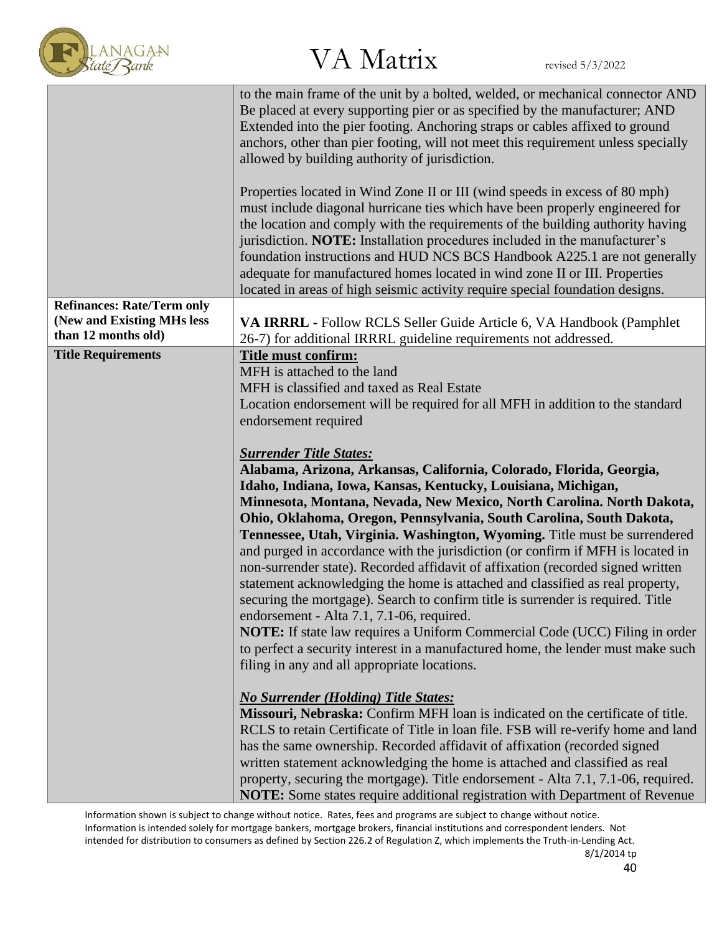

|                                   | to the main frame of the unit by a bolted, welded, or mechanical connector AND<br>Be placed at every supporting pier or as specified by the manufacturer; AND<br>Extended into the pier footing. Anchoring straps or cables affixed to ground<br>anchors, other than pier footing, will not meet this requirement unless specially<br>allowed by building authority of jurisdiction.                                                                                                                                                                                                                                                                                                                                                                              |  |
|-----------------------------------|-------------------------------------------------------------------------------------------------------------------------------------------------------------------------------------------------------------------------------------------------------------------------------------------------------------------------------------------------------------------------------------------------------------------------------------------------------------------------------------------------------------------------------------------------------------------------------------------------------------------------------------------------------------------------------------------------------------------------------------------------------------------|--|
|                                   | Properties located in Wind Zone II or III (wind speeds in excess of 80 mph)<br>must include diagonal hurricane ties which have been properly engineered for<br>the location and comply with the requirements of the building authority having<br>jurisdiction. NOTE: Installation procedures included in the manufacturer's<br>foundation instructions and HUD NCS BCS Handbook A225.1 are not generally<br>adequate for manufactured homes located in wind zone II or III. Properties<br>located in areas of high seismic activity require special foundation designs.                                                                                                                                                                                           |  |
| <b>Refinances: Rate/Term only</b> |                                                                                                                                                                                                                                                                                                                                                                                                                                                                                                                                                                                                                                                                                                                                                                   |  |
| (New and Existing MHs less        | VA IRRRL - Follow RCLS Seller Guide Article 6, VA Handbook (Pamphlet                                                                                                                                                                                                                                                                                                                                                                                                                                                                                                                                                                                                                                                                                              |  |
| than 12 months old)               | 26-7) for additional IRRRL guideline requirements not addressed.                                                                                                                                                                                                                                                                                                                                                                                                                                                                                                                                                                                                                                                                                                  |  |
| <b>Title Requirements</b>         | Title must confirm:<br>MFH is attached to the land<br>MFH is classified and taxed as Real Estate<br>Location endorsement will be required for all MFH in addition to the standard                                                                                                                                                                                                                                                                                                                                                                                                                                                                                                                                                                                 |  |
|                                   | endorsement required                                                                                                                                                                                                                                                                                                                                                                                                                                                                                                                                                                                                                                                                                                                                              |  |
|                                   |                                                                                                                                                                                                                                                                                                                                                                                                                                                                                                                                                                                                                                                                                                                                                                   |  |
|                                   | <b>Surrender Title States:</b>                                                                                                                                                                                                                                                                                                                                                                                                                                                                                                                                                                                                                                                                                                                                    |  |
|                                   | Alabama, Arizona, Arkansas, California, Colorado, Florida, Georgia,                                                                                                                                                                                                                                                                                                                                                                                                                                                                                                                                                                                                                                                                                               |  |
|                                   | Idaho, Indiana, Iowa, Kansas, Kentucky, Louisiana, Michigan,                                                                                                                                                                                                                                                                                                                                                                                                                                                                                                                                                                                                                                                                                                      |  |
|                                   | Minnesota, Montana, Nevada, New Mexico, North Carolina. North Dakota,                                                                                                                                                                                                                                                                                                                                                                                                                                                                                                                                                                                                                                                                                             |  |
|                                   | Ohio, Oklahoma, Oregon, Pennsylvania, South Carolina, South Dakota,<br>Tennessee, Utah, Virginia. Washington, Wyoming. Title must be surrendered<br>and purged in accordance with the jurisdiction (or confirm if MFH is located in<br>non-surrender state). Recorded affidavit of affixation (recorded signed written<br>statement acknowledging the home is attached and classified as real property,<br>securing the mortgage). Search to confirm title is surrender is required. Title<br>endorsement - Alta 7.1, 7.1-06, required.<br><b>NOTE:</b> If state law requires a Uniform Commercial Code (UCC) Filing in order<br>to perfect a security interest in a manufactured home, the lender must make such<br>filing in any and all appropriate locations. |  |
|                                   | <b>No Surrender (Holding) Title States:</b><br>Missouri, Nebraska: Confirm MFH loan is indicated on the certificate of title.<br>RCLS to retain Certificate of Title in loan file. FSB will re-verify home and land<br>has the same ownership. Recorded affidavit of affixation (recorded signed<br>written statement acknowledging the home is attached and classified as real<br>property, securing the mortgage). Title endorsement - Alta 7.1, 7.1-06, required.<br><b>NOTE:</b> Some states require additional registration with Department of Revenue                                                                                                                                                                                                       |  |